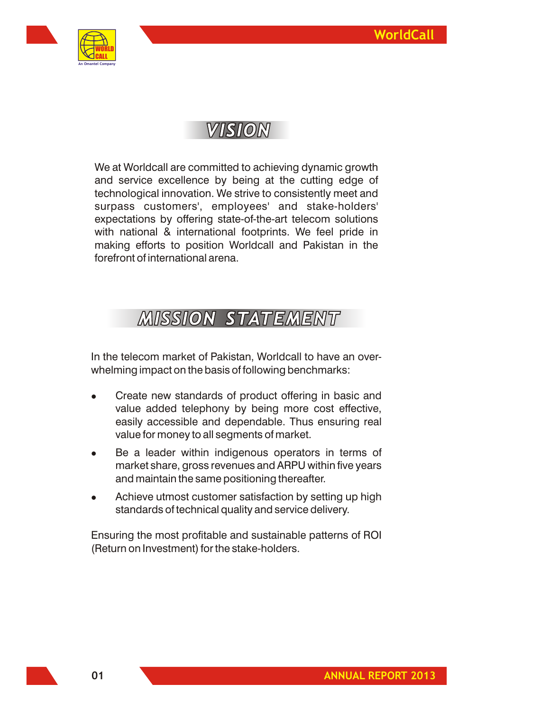



We at Worldcall are committed to achieving dynamic growth and service excellence by being at the cutting edge of technological innovation. We strive to consistently meet and surpass customers', employees' and stake-holders' expectations by offering state-of-the-art telecom solutions with national & international footprints. We feel pride in making efforts to position Worldcall and Pakistan in the forefront of international arena.

# **MISSION STATEMENT**

In the telecom market of Pakistan, Worldcall to have an overwhelming impact on the basis of following benchmarks:

- Create new standards of product offering in basic and value added telephony by being more cost effective, easily accessible and dependable. Thus ensuring real value for money to all segments of market.
- Be a leader within indigenous operators in terms of market share, gross revenues and ARPU within five years and maintain the same positioning thereafter.
- Achieve utmost customer satisfaction by setting up high standards of technical quality and service delivery.

Ensuring the most profitable and sustainable patterns of ROI (Return on Investment) for the stake-holders.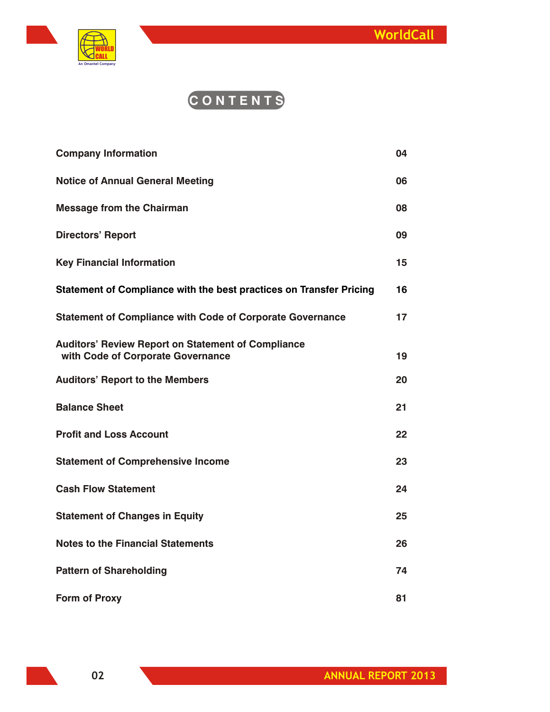



# **C O N T E N T S**

| <b>Company Information</b>                                                                     | 04 |
|------------------------------------------------------------------------------------------------|----|
| <b>Notice of Annual General Meeting</b>                                                        | 06 |
| <b>Message from the Chairman</b>                                                               | 08 |
| <b>Directors' Report</b>                                                                       | 09 |
| <b>Key Financial Information</b>                                                               | 15 |
| Statement of Compliance with the best practices on Transfer Pricing                            | 16 |
| <b>Statement of Compliance with Code of Corporate Governance</b>                               | 17 |
| <b>Auditors' Review Report on Statement of Compliance</b><br>with Code of Corporate Governance | 19 |
| <b>Auditors' Report to the Members</b>                                                         | 20 |
| <b>Balance Sheet</b>                                                                           | 21 |
| <b>Profit and Loss Account</b>                                                                 | 22 |
| <b>Statement of Comprehensive Income</b>                                                       | 23 |
| <b>Cash Flow Statement</b>                                                                     | 24 |
| <b>Statement of Changes in Equity</b>                                                          | 25 |
| <b>Notes to the Financial Statements</b>                                                       | 26 |
| <b>Pattern of Shareholding</b>                                                                 | 74 |
| <b>Form of Proxy</b>                                                                           | 81 |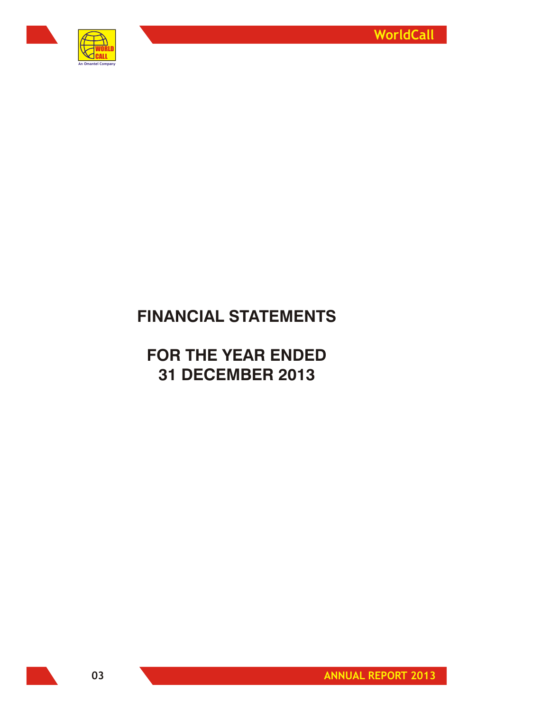

# **FINANCIAL STATEMENTS**

# **FOR THE YEAR ENDED 31 DECEMBER 2013**

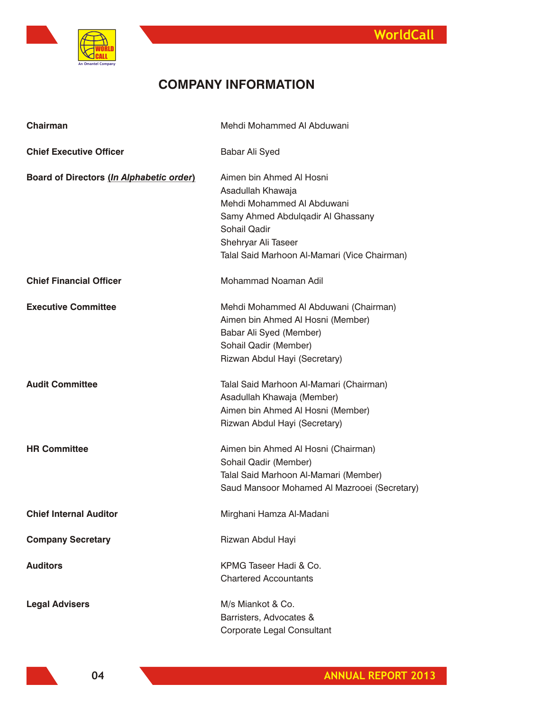

# **COMPANY INFORMATION**

| <b>Chairman</b>                          | Mehdi Mohammed Al Abduwani                                                                                                                                                                              |  |  |
|------------------------------------------|---------------------------------------------------------------------------------------------------------------------------------------------------------------------------------------------------------|--|--|
| <b>Chief Executive Officer</b>           | Babar Ali Syed                                                                                                                                                                                          |  |  |
| Board of Directors (In Alphabetic order) | Aimen bin Ahmed Al Hosni<br>Asadullah Khawaja<br>Mehdi Mohammed Al Abduwani<br>Samy Ahmed Abdulqadir Al Ghassany<br>Sohail Qadir<br>Shehryar Ali Taseer<br>Talal Said Marhoon Al-Mamari (Vice Chairman) |  |  |
| <b>Chief Financial Officer</b>           | Mohammad Noaman Adil                                                                                                                                                                                    |  |  |
| <b>Executive Committee</b>               | Mehdi Mohammed Al Abduwani (Chairman)<br>Aimen bin Ahmed Al Hosni (Member)<br>Babar Ali Syed (Member)<br>Sohail Qadir (Member)<br>Rizwan Abdul Hayi (Secretary)                                         |  |  |
| <b>Audit Committee</b>                   | Talal Said Marhoon Al-Mamari (Chairman)<br>Asadullah Khawaja (Member)<br>Aimen bin Ahmed Al Hosni (Member)<br>Rizwan Abdul Hayi (Secretary)                                                             |  |  |
| <b>HR Committee</b>                      | Aimen bin Ahmed Al Hosni (Chairman)<br>Sohail Qadir (Member)<br>Talal Said Marhoon Al-Mamari (Member)<br>Saud Mansoor Mohamed Al Mazrooei (Secretary)                                                   |  |  |
| <b>Chief Internal Auditor</b>            | Mirghani Hamza Al-Madani                                                                                                                                                                                |  |  |
| <b>Company Secretary</b>                 | Rizwan Abdul Hayi                                                                                                                                                                                       |  |  |
| <b>Auditors</b>                          | KPMG Taseer Hadi & Co.<br><b>Chartered Accountants</b>                                                                                                                                                  |  |  |
| <b>Legal Advisers</b>                    | M/s Miankot & Co.<br>Barristers, Advocates &<br>Corporate Legal Consultant                                                                                                                              |  |  |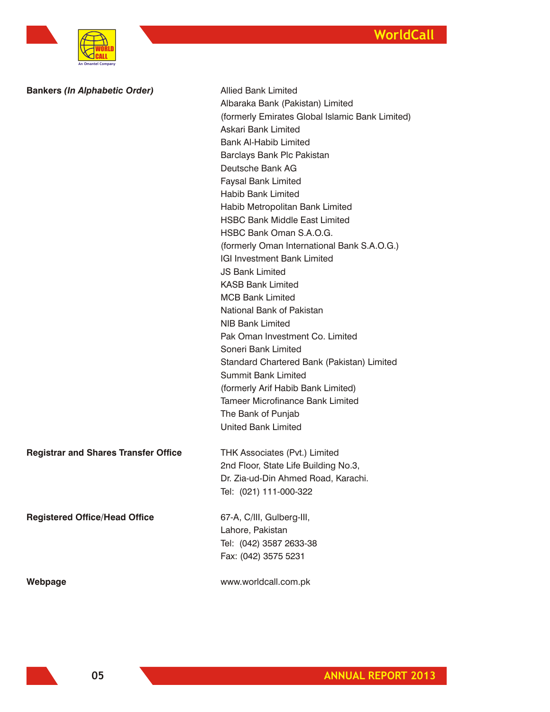

| <b>Bankers (In Alphabetic Order)</b>        | <b>Allied Bank Limited</b>                      |
|---------------------------------------------|-------------------------------------------------|
|                                             | Albaraka Bank (Pakistan) Limited                |
|                                             | (formerly Emirates Global Islamic Bank Limited) |
|                                             | Askari Bank Limited                             |
|                                             | <b>Bank Al-Habib Limited</b>                    |
|                                             | Barclays Bank Plc Pakistan                      |
|                                             | Deutsche Bank AG                                |
|                                             | <b>Faysal Bank Limited</b>                      |
|                                             | <b>Habib Bank Limited</b>                       |
|                                             | Habib Metropolitan Bank Limited                 |
|                                             | <b>HSBC Bank Middle East Limited</b>            |
|                                             | HSBC Bank Oman S.A.O.G.                         |
|                                             | (formerly Oman International Bank S.A.O.G.)     |
|                                             | <b>IGI Investment Bank Limited</b>              |
|                                             | <b>JS Bank Limited</b>                          |
|                                             | <b>KASB Bank Limited</b>                        |
|                                             | <b>MCB Bank Limited</b>                         |
|                                             | National Bank of Pakistan                       |
|                                             | <b>NIB Bank Limited</b>                         |
|                                             | Pak Oman Investment Co. Limited                 |
|                                             | Soneri Bank Limited                             |
|                                             | Standard Chartered Bank (Pakistan) Limited      |
|                                             | <b>Summit Bank Limited</b>                      |
|                                             | (formerly Arif Habib Bank Limited)              |
|                                             | <b>Tameer Microfinance Bank Limited</b>         |
|                                             | The Bank of Punjab                              |
|                                             | <b>United Bank Limited</b>                      |
|                                             |                                                 |
| <b>Registrar and Shares Transfer Office</b> | THK Associates (Pvt.) Limited                   |
|                                             | 2nd Floor, State Life Building No.3,            |
|                                             | Dr. Zia-ud-Din Ahmed Road, Karachi.             |
|                                             | Tel: (021) 111-000-322                          |
|                                             |                                                 |
| <b>Registered Office/Head Office</b>        | 67-A, C/III, Gulberg-III,                       |
|                                             | Lahore, Pakistan                                |
|                                             | Tel: (042) 3587 2633-38                         |
|                                             | Fax: (042) 3575 5231                            |
|                                             |                                                 |
| Webpage                                     | www.worldcall.com.pk                            |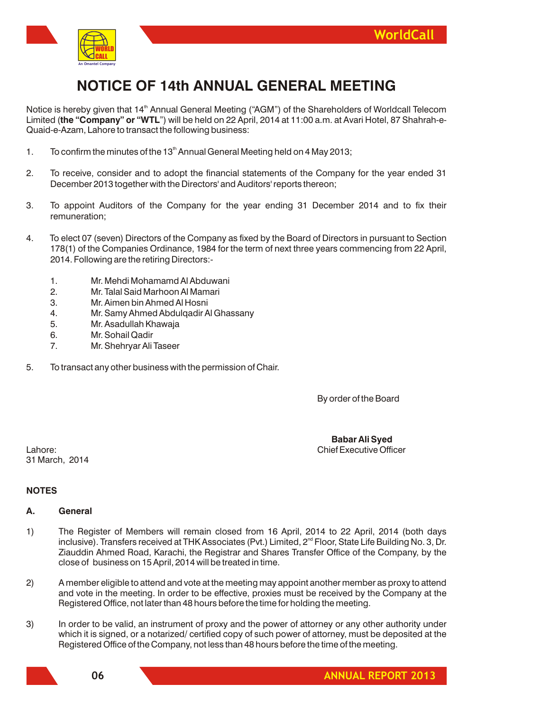

# **NOTICE OF 14th ANNUAL GENERAL MEETING**

Notice is hereby given that 14<sup>th</sup> Annual General Meeting ("AGM") of the Shareholders of Worldcall Telecom Limited (**the "Company" or "WTL**") will be held on 22 April, 2014 at 11:00 a.m. at Avari Hotel, 87 Shahrah-e-Quaid-e-Azam, Lahore to transact the following business:

- 1. To confirm the minutes of the 13<sup>th</sup> Annual General Meeting held on 4 May 2013;
- 2. To receive, consider and to adopt the financial statements of the Company for the year ended 31 December 2013 together with the Directors' and Auditors' reports thereon;
- 3. To appoint Auditors of the Company for the year ending 31 December 2014 and to fix their remuneration;
- 4. To elect 07 (seven) Directors of the Company as fixed by the Board of Directors in pursuant to Section 178(1) of the Companies Ordinance, 1984 for the term of next three years commencing from 22 April, 2014. Following are the retiring Directors:-
	- 1. Mr. Mehdi Mohamamd Al Abduwani
	- 2. Mr. Talal Said Marhoon Al Mamari
	- 3. Mr. Aimen bin Ahmed Al Hosni
	- 4. Mr. Samy Ahmed Abdulqadir Al Ghassany
	- 5. Mr. Asadullah Khawaja
	- 6. Mr. Sohail Qadir
	- 7. Mr. Shehryar Ali Taseer
- 5. To transact any other business with the permission of Chair.

By order of the Board

 **Babar Ali Syed** Lahore: Chief Executive Officer

31 March, 2014

#### **NOTES**

#### **A. General**

- 1) The Register of Members will remain closed from 16 April, 2014 to 22 April, 2014 (both days inclusive). Transfers received at THK Associates (Pvt.) Limited, 2<sup>nd</sup> Floor, State Life Building No. 3, Dr. Ziauddin Ahmed Road, Karachi, the Registrar and Shares Transfer Office of the Company, by the close of business on 15 April, 2014 will be treated in time.
- 2) A member eligible to attend and vote at the meeting may appoint another member as proxy to attend and vote in the meeting. In order to be effective, proxies must be received by the Company at the Registered Office, not later than 48 hours before the time for holding the meeting.
- 3) In order to be valid, an instrument of proxy and the power of attorney or any other authority under which it is signed, or a notarized/ certified copy of such power of attorney, must be deposited at the Registered Office of the Company, not less than 48 hours before the time of the meeting.



**06**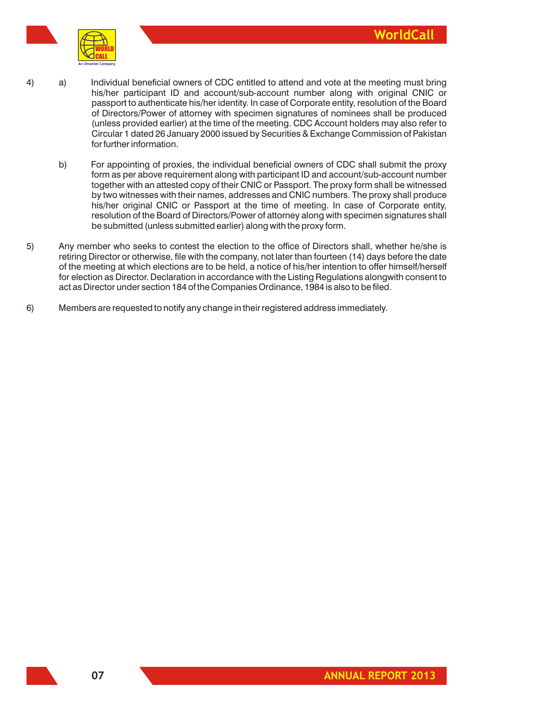

- 4) a) Individual beneficial owners of CDC entitled to attend and vote at the meeting must bring his/her participant ID and account/sub-account number along with original CNIC or passport to authenticate his/her identity. In case of Corporate entity, resolution of the Board of Directors/Power of attorney with specimen signatures of nominees shall be produced (unless provided earlier) at the time of the meeting. CDC Account holders may also refer to Circular 1 dated 26 January 2000 issued by Securities & Exchange Commission of Pakistan for further information.
	- b) For appointing of proxies, the individual beneficial owners of CDC shall submit the proxy form as per above requirement along with participant ID and account/sub-account number together with an attested copy of their CNIC or Passport. The proxy form shall be witnessed by two witnesses with their names, addresses and CNIC numbers. The proxy shall produce his/her original CNIC or Passport at the time of meeting. In case of Corporate entity, resolution of the Board of Directors/Power of attorney along with specimen signatures shall be submitted (unless submitted earlier) along with the proxy form.
- 5) Any member who seeks to contest the election to the office of Directors shall, whether he/she is retiring Director or otherwise, file with the company, not later than fourteen (14) days before the date of the meeting at which elections are to be held, a notice of his/her intention to offer himself/herself for election as Director. Declaration in accordance with the Listing Regulations alongwith consent to act as Director under section 184 of the Companies Ordinance, 1984 is also to be filed.
- 6) Members are requested to notify any change in their registered address immediately.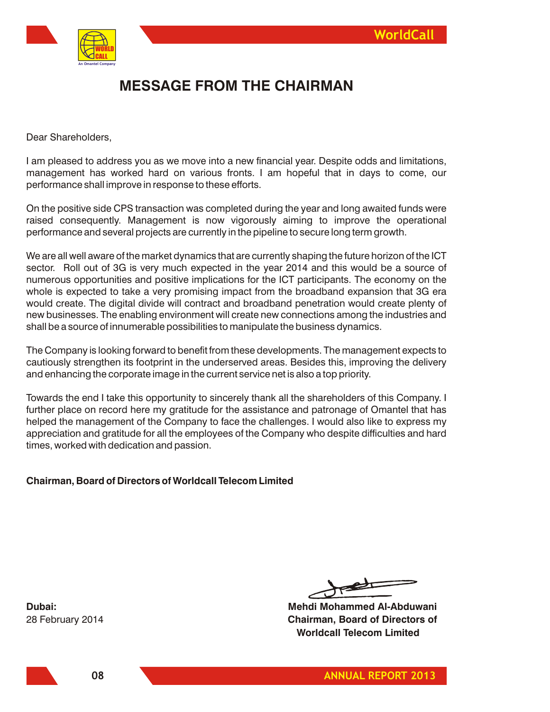

# **MESSAGE FROM THE CHAIRMAN**

Dear Shareholders,

I am pleased to address you as we move into a new financial year. Despite odds and limitations, management has worked hard on various fronts. I am hopeful that in days to come, our performance shall improve in response to these efforts.

On the positive side CPS transaction was completed during the year and long awaited funds were raised consequently. Management is now vigorously aiming to improve the operational performance and several projects are currently in the pipeline to secure long term growth.

We are all well aware of the market dynamics that are currently shaping the future horizon of the ICT sector. Roll out of 3G is very much expected in the year 2014 and this would be a source of numerous opportunities and positive implications for the ICT participants. The economy on the whole is expected to take a very promising impact from the broadband expansion that 3G era would create. The digital divide will contract and broadband penetration would create plenty of new businesses. The enabling environment will create new connections among the industries and shall be a source of innumerable possibilities to manipulate the business dynamics.

The Company is looking forward to benefit from these developments. The management expects to cautiously strengthen its footprint in the underserved areas. Besides this, improving the delivery and enhancing the corporate image in the current service net is also a top priority.

Towards the end I take this opportunity to sincerely thank all the shareholders of this Company. I further place on record here my gratitude for the assistance and patronage of Omantel that has helped the management of the Company to face the challenges. I would also like to express my appreciation and gratitude for all the employees of the Company who despite difficulties and hard times, worked with dedication and passion.

#### **Chairman, Board of Directors of Worldcall Telecom Limited**

 $\overline{\phantom{a}}$ 

**Dubai: Mehdi Mohammed Al-Abduwani** 28 February 2014 **Chairman, Board of Directors of Worldcall Telecom Limited**

**08**

**ANNUAL REPORT 2013**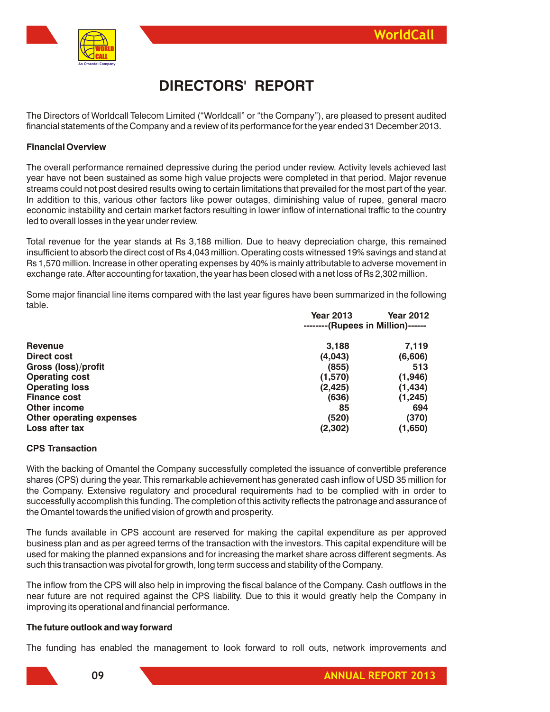

# **DIRECTORS' REPORT**

The Directors of Worldcall Telecom Limited ("Worldcall" or "the Company"), are pleased to present audited financial statements of the Company and a review of its performance for the year ended 31 December 2013.

#### **Financial Overview**

The overall performance remained depressive during the period under review. Activity levels achieved last year have not been sustained as some high value projects were completed in that period. Major revenue streams could not post desired results owing to certain limitations that prevailed for the most part of the year. In addition to this, various other factors like power outages, diminishing value of rupee, general macro economic instability and certain market factors resulting in lower inflow of international traffic to the country led to overall losses in the year under review.

Total revenue for the year stands at Rs 3,188 million. Due to heavy depreciation charge, this remained insufficient to absorb the direct cost of Rs 4,043 million. Operating costs witnessed 19% savings and stand at Rs 1,570 million. Increase in other operating expenses by 40% is mainly attributable to adverse movement in exchange rate. After accounting for taxation, the year has been closed with a net loss of Rs 2,302 million.

Some major financial line items compared with the last year figures have been summarized in the following table.

|                          | <b>Year 2013</b>                  | <b>Year 2012</b> |  |
|--------------------------|-----------------------------------|------------------|--|
|                          | --------(Rupees in Million)------ |                  |  |
| <b>Revenue</b>           | 3,188                             | 7,119            |  |
| Direct cost              | (4,043)                           | (6,606)          |  |
| Gross (loss)/profit      | (855)                             | 513              |  |
| <b>Operating cost</b>    | (1,570)                           | (1, 946)         |  |
| <b>Operating loss</b>    | (2, 425)                          | (1,434)          |  |
| <b>Finance cost</b>      | (636)                             | (1, 245)         |  |
| Other income             | 85                                | 694              |  |
| Other operating expenses | (520)                             | (370)            |  |
| Loss after tax           | (2, 302)                          | (1,650)          |  |

#### **CPS Transaction**

With the backing of Omantel the Company successfully completed the issuance of convertible preference shares (CPS) during the year. This remarkable achievement has generated cash inflow of USD 35 million for the Company. Extensive regulatory and procedural requirements had to be complied with in order to successfully accomplish this funding. The completion of this activity reflects the patronage and assurance of the Omantel towards the unified vision of growth and prosperity.

The funds available in CPS account are reserved for making the capital expenditure as per approved business plan and as per agreed terms of the transaction with the investors. This capital expenditure will be used for making the planned expansions and for increasing the market share across different segments. As such this transaction was pivotal for growth, long term success and stability of the Company.

The inflow from the CPS will also help in improving the fiscal balance of the Company. Cash outflows in the near future are not required against the CPS liability. Due to this it would greatly help the Company in improving its operational and financial performance.

#### **The future outlook and way forward**

The funding has enabled the management to look forward to roll outs, network improvements and

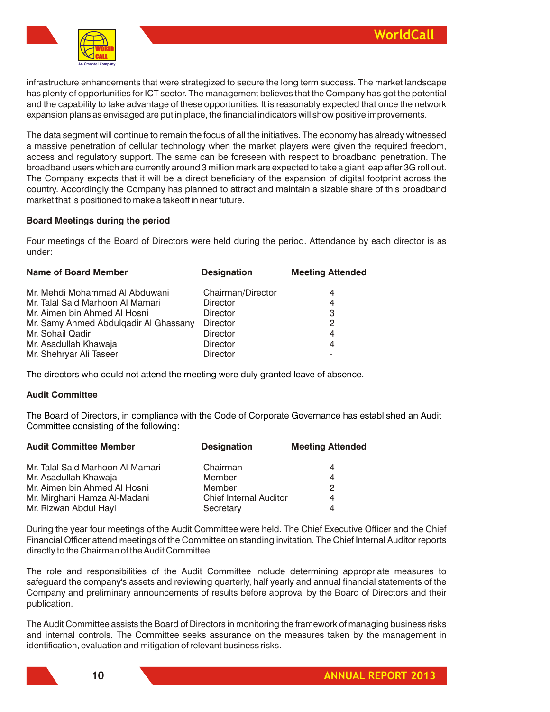

infrastructure enhancements that were strategized to secure the long term success. The market landscape has plenty of opportunities for ICT sector. The management believes that the Company has got the potential and the capability to take advantage of these opportunities. It is reasonably expected that once the network expansion plans as envisaged are put in place, the financial indicators will show positive improvements.

The data segment will continue to remain the focus of all the initiatives. The economy has already witnessed a massive penetration of cellular technology when the market players were given the required freedom, access and regulatory support. The same can be foreseen with respect to broadband penetration. The broadband users which are currently around 3 million mark are expected to take a giant leap after 3G roll out. The Company expects that it will be a direct beneficiary of the expansion of digital footprint across the country. Accordingly the Company has planned to attract and maintain a sizable share of this broadband market that is positioned to make a takeoff in near future.

#### **Board Meetings during the period**

Four meetings of the Board of Directors were held during the period. Attendance by each director is as under:

| <b>Name of Board Member</b>           | <b>Designation</b> | <b>Meeting Attended</b> |  |
|---------------------------------------|--------------------|-------------------------|--|
| Mr. Mehdi Mohammad Al Abduwani        | Chairman/Director  | 4                       |  |
| Mr. Talal Said Marhoon Al Mamari      | <b>Director</b>    | 4                       |  |
| Mr. Aimen bin Ahmed Al Hosni          | <b>Director</b>    | 3                       |  |
| Mr. Samy Ahmed Abdulgadir Al Ghassany | <b>Director</b>    | 2                       |  |
| Mr. Sohail Qadir                      | <b>Director</b>    | 4                       |  |
| Mr. Asadullah Khawaja                 | <b>Director</b>    | 4                       |  |
| Mr. Shehryar Ali Taseer               | <b>Director</b>    |                         |  |

The directors who could not attend the meeting were duly granted leave of absence.

#### **Audit Committee**

The Board of Directors, in compliance with the Code of Corporate Governance has established an Audit Committee consisting of the following:

| <b>Audit Committee Member</b>    | <b>Designation</b>            | <b>Meeting Attended</b> |  |  |
|----------------------------------|-------------------------------|-------------------------|--|--|
| Mr. Talal Said Marhoon Al-Mamari | Chairman                      | 4                       |  |  |
| Mr. Asadullah Khawaja            | Member                        | 4                       |  |  |
| Mr. Aimen bin Ahmed Al Hosni     | Member                        | 2                       |  |  |
| Mr. Mirghani Hamza Al-Madani     | <b>Chief Internal Auditor</b> | 4                       |  |  |
| Mr. Rizwan Abdul Hayi            | Secretary                     |                         |  |  |

During the year four meetings of the Audit Committee were held. The Chief Executive Officer and the Chief Financial Officer attend meetings of the Committee on standing invitation. The Chief Internal Auditor reports directly to the Chairman of the Audit Committee.

The role and responsibilities of the Audit Committee include determining appropriate measures to safeguard the company's assets and reviewing quarterly, half yearly and annual financial statements of the Company and preliminary announcements of results before approval by the Board of Directors and their publication.

The Audit Committee assists the Board of Directors in monitoring the framework of managing business risks and internal controls. The Committee seeks assurance on the measures taken by the management in identification, evaluation and mitigation of relevant business risks.



**10**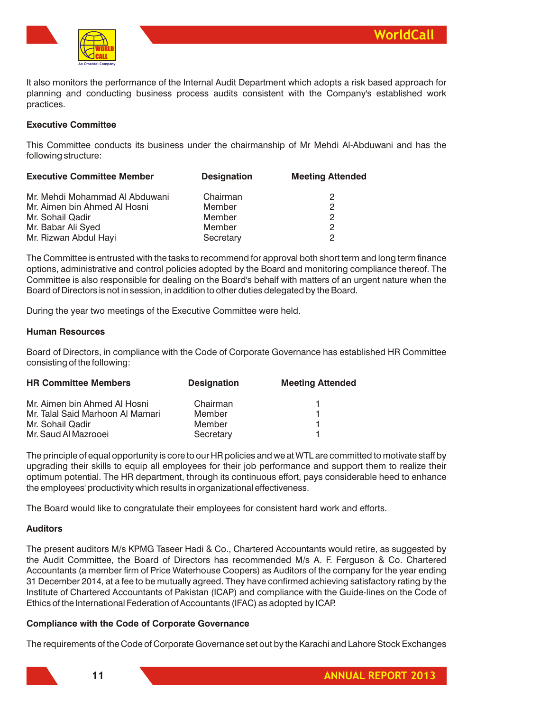

It also monitors the performance of the Internal Audit Department which adopts a risk based approach for planning and conducting business process audits consistent with the Company's established work practices.

#### **Executive Committee**

This Committee conducts its business under the chairmanship of Mr Mehdi Al-Abduwani and has the following structure:

| <b>Executive Committee Member</b> | <b>Designation</b> | <b>Meeting Attended</b> |  |  |
|-----------------------------------|--------------------|-------------------------|--|--|
| Mr. Mehdi Mohammad Al Abduwani    | Chairman           | 2                       |  |  |
| Mr. Aimen bin Ahmed Al Hosni      | Member             | 2                       |  |  |
| Mr. Sohail Qadir                  | Member             | 2                       |  |  |
| Mr. Babar Ali Syed                | Member             | 2                       |  |  |
| Mr. Rizwan Abdul Hayi             | Secretary          | 2                       |  |  |

The Committee is entrusted with the tasks to recommend for approval both short term and long term finance options, administrative and control policies adopted by the Board and monitoring compliance thereof. The Committee is also responsible for dealing on the Board's behalf with matters of an urgent nature when the Board of Directors is not in session, in addition to other duties delegated by the Board.

During the year two meetings of the Executive Committee were held.

#### **Human Resources**

Board of Directors, in compliance with the Code of Corporate Governance has established HR Committee consisting of the following:

| <b>HR Committee Members</b>      | <b>Designation</b> | <b>Meeting Attended</b> |  |  |
|----------------------------------|--------------------|-------------------------|--|--|
| Mr. Aimen bin Ahmed Al Hosni     | Chairman           |                         |  |  |
| Mr. Talal Said Marhoon Al Mamari | Member             |                         |  |  |
| Mr. Sohail Qadir                 | Member             |                         |  |  |
| Mr. Saud Al Mazrooei             | Secretary          |                         |  |  |

The principle of equal opportunity is core to our HR policies and we at WTL are committed to motivate staff by upgrading their skills to equip all employees for their job performance and support them to realize their optimum potential. The HR department, through its continuous effort, pays considerable heed to enhance the employees' productivity which results in organizational effectiveness.

The Board would like to congratulate their employees for consistent hard work and efforts.

#### **Auditors**

The present auditors M/s KPMG Taseer Hadi & Co., Chartered Accountants would retire, as suggested by the Audit Committee, the Board of Directors has recommended M/s A. F. Ferguson & Co. Chartered Accountants (a member firm of Price Waterhouse Coopers) as Auditors of the company for the year ending 31 December 2014, at a fee to be mutually agreed. They have confirmed achieving satisfactory rating by the Institute of Chartered Accountants of Pakistan (ICAP) and compliance with the Guide-lines on the Code of Ethics of the International Federation of Accountants (IFAC) as adopted by ICAP.

#### **Compliance with the Code of Corporate Governance**

The requirements of the Code of Corporate Governance set out by the Karachi and Lahore Stock Exchanges

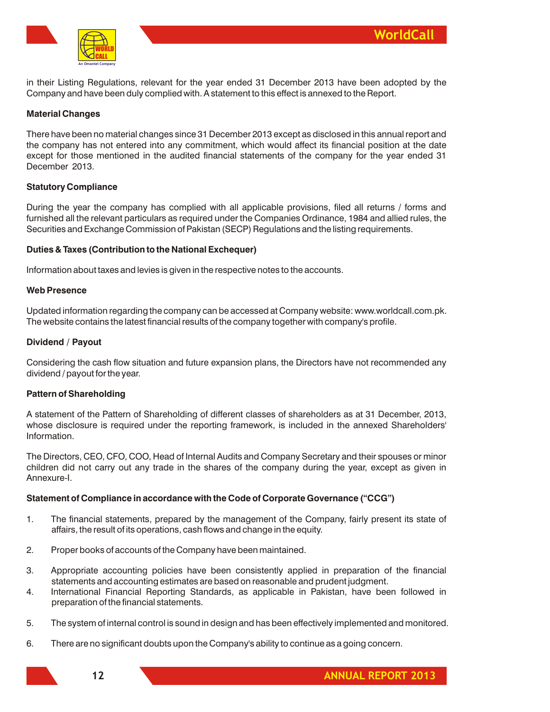

in their Listing Regulations, relevant for the year ended 31 December 2013 have been adopted by the Company and have been duly complied with. A statement to this effect is annexed to the Report.

#### **Material Changes**

There have been no material changes since 31 December 2013 except as disclosed in this annual report and the company has not entered into any commitment, which would affect its financial position at the date except for those mentioned in the audited financial statements of the company for the year ended 31 December 2013.

#### **Statutory Compliance**

During the year the company has complied with all applicable provisions, filed all returns / forms and furnished all the relevant particulars as required under the Companies Ordinance, 1984 and allied rules, the Securities and Exchange Commission of Pakistan (SECP) Regulations and the listing requirements.

#### **Duties & Taxes (Contribution to the National Exchequer)**

Information about taxes and levies is given in the respective notes to the accounts.

#### **Web Presence**

Updated information regarding the company can be accessed at Company website: www.worldcall.com.pk. The website contains the latest financial results of the company together with company's profile.

#### **Dividend / Payout**

Considering the cash flow situation and future expansion plans, the Directors have not recommended any dividend / payout for the year.

#### **Pattern of Shareholding**

A statement of the Pattern of Shareholding of different classes of shareholders as at 31 December, 2013, whose disclosure is required under the reporting framework, is included in the annexed Shareholders' Information.

The Directors, CEO, CFO, COO, Head of Internal Audits and Company Secretary and their spouses or minor children did not carry out any trade in the shares of the company during the year, except as given in Annexure-I.

#### **Statement of Compliance in accordance with the Code of Corporate Governance ("CCG")**

- 1. The financial statements, prepared by the management of the Company, fairly present its state of affairs, the result of its operations, cash flows and change in the equity.
- 2. Proper books of accounts of the Company have been maintained.
- 3. Appropriate accounting policies have been consistently applied in preparation of the financial statements and accounting estimates are based on reasonable and prudent judgment.
- 4. International Financial Reporting Standards, as applicable in Pakistan, have been followed in preparation of the financial statements.
- 5. The system of internal control is sound in design and has been effectively implemented and monitored.
- 6. There are no significant doubts upon the Company's ability to continue as a going concern.

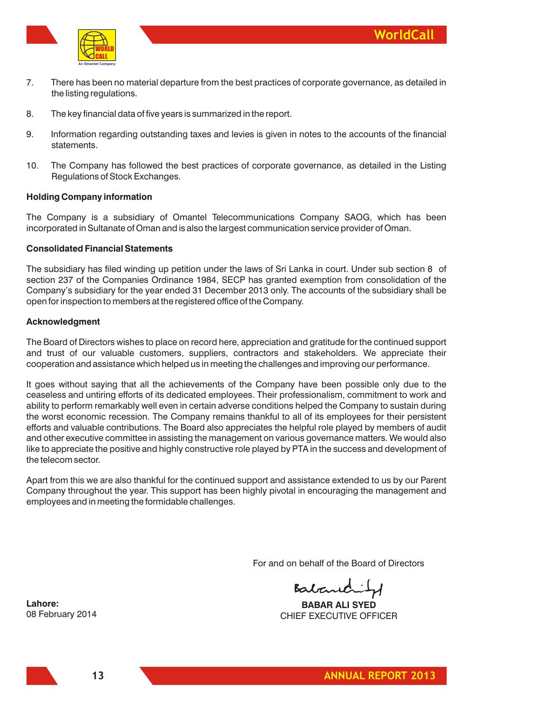**WorldCall**



- 7. There has been no material departure from the best practices of corporate governance, as detailed in the listing regulations.
- 8. The key financial data of five years is summarized in the report.
- 9. Information regarding outstanding taxes and levies is given in notes to the accounts of the financial statements.
- 10. The Company has followed the best practices of corporate governance, as detailed in the Listing Regulations of Stock Exchanges.

#### **Holding Company information**

The Company is a subsidiary of Omantel Telecommunications Company SAOG, which has been incorporated in Sultanate of Oman and is also the largest communication service provider of Oman.

#### **Consolidated Financial Statements**

The subsidiary has filed winding up petition under the laws of Sri Lanka in court. Under sub section 8 of section 237 of the Companies Ordinance 1984, SECP has granted exemption from consolidation of the Company's subsidiary for the year ended 31 December 2013 only. The accounts of the subsidiary shall be open for inspection to members at the registered office of the Company.

#### **Acknowledgment**

The Board of Directors wishes to place on record here, appreciation and gratitude for the continued support and trust of our valuable customers, suppliers, contractors and stakeholders. We appreciate their cooperation and assistance which helped us in meeting the challenges and improving our performance.

It goes without saying that all the achievements of the Company have been possible only due to the ceaseless and untiring efforts of its dedicated employees. Their professionalism, commitment to work and ability to perform remarkably well even in certain adverse conditions helped the Company to sustain during the worst economic recession. The Company remains thankful to all of its employees for their persistent efforts and valuable contributions. The Board also appreciates the helpful role played by members of audit and other executive committee in assisting the management on various governance matters. We would also like to appreciate the positive and highly constructive role played by PTA in the success and development of the telecom sector.

Apart from this we are also thankful for the continued support and assistance extended to us by our Parent Company throughout the year. This support has been highly pivotal in encouraging the management and employees and in meeting the formidable challenges.

For and on behalf of the Board of Directors

Babancrity

**BABAR ALI SYED** CHIEF EXECUTIVE OFFICER

**Lahore:** 08 February 2014

**13**

**ANNUAL REPORT 2013**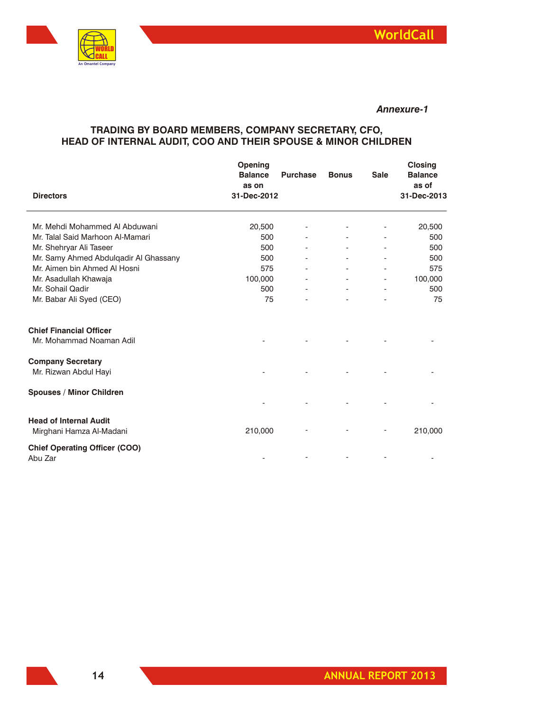

*Annexure-1*

#### **TRADING BY BOARD MEMBERS, COMPANY SECRETARY, CFO, HEAD OF INTERNAL AUDIT, COO AND THEIR SPOUSE & MINOR CHILDREN**

|                                                           | Opening<br><b>Balance</b><br>as on | <b>Purchase</b>          | <b>Bonus</b> | <b>Sale</b>    | <b>Closing</b><br><b>Balance</b><br>as of |
|-----------------------------------------------------------|------------------------------------|--------------------------|--------------|----------------|-------------------------------------------|
| <b>Directors</b>                                          | 31-Dec-2012                        |                          |              |                | 31-Dec-2013                               |
| Mr. Mehdi Mohammed Al Abduwani                            | 20,500                             |                          |              | -              | 20,500                                    |
| Mr. Talal Said Marhoon Al-Mamari                          | 500                                |                          |              |                | 500                                       |
| Mr. Shehryar Ali Taseer                                   | 500                                |                          |              |                | 500                                       |
| Mr. Samy Ahmed Abdulqadir Al Ghassany                     | 500                                | $\overline{\phantom{a}}$ |              |                | 500                                       |
| Mr. Aimen bin Ahmed Al Hosni                              | 575                                |                          |              |                | 575                                       |
| Mr. Asadullah Khawaja                                     | 100,000                            | $\overline{\phantom{a}}$ |              | $\overline{a}$ | 100,000                                   |
| Mr. Sohail Qadir                                          | 500                                |                          |              |                | 500                                       |
| Mr. Babar Ali Syed (CEO)                                  | 75                                 |                          |              | -              | 75                                        |
| <b>Chief Financial Officer</b>                            |                                    |                          |              |                |                                           |
| Mr. Mohammad Noaman Adil                                  |                                    |                          |              |                |                                           |
| <b>Company Secretary</b>                                  |                                    |                          |              |                |                                           |
| Mr. Rizwan Abdul Hayi                                     |                                    |                          |              |                |                                           |
| <b>Spouses / Minor Children</b>                           |                                    |                          |              |                |                                           |
|                                                           |                                    |                          |              |                |                                           |
| <b>Head of Internal Audit</b><br>Mirghani Hamza Al-Madani | 210,000                            |                          |              |                | 210,000                                   |
| <b>Chief Operating Officer (COO)</b><br>Abu Zar           |                                    |                          |              |                |                                           |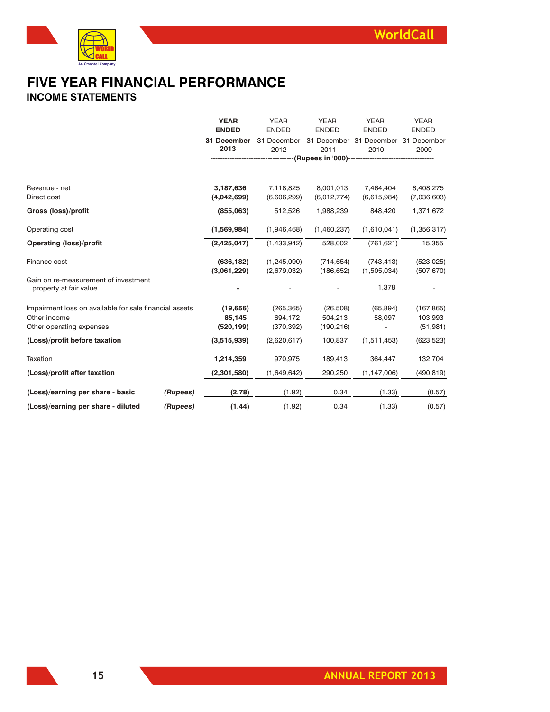

## **FIVE YEAR FINANCIAL PERFORMANCE INCOME STATEMENTS**

|                                                                |          | <b>YEAR</b>  | <b>YEAR</b><br><b>YEAR</b><br><b>YEAR</b>                                     |             |                                     | <b>YEAR</b> |
|----------------------------------------------------------------|----------|--------------|-------------------------------------------------------------------------------|-------------|-------------------------------------|-------------|
|                                                                |          | <b>ENDED</b> | <b>ENDED</b><br><b>ENDED</b><br><b>ENDED</b>                                  |             | <b>ENDED</b>                        |             |
|                                                                |          | 31 December  | 31 December                                                                   |             | 31 December 31 December 31 December |             |
|                                                                |          | 2013         | 2012                                                                          | 2011        | 2010                                | 2009        |
|                                                                |          |              | --------------------------------(Rupees in '000)----------------------------- |             |                                     |             |
|                                                                |          |              |                                                                               |             |                                     |             |
| Revenue - net                                                  |          | 3,187,636    | 7,118,825                                                                     | 8,001,013   | 7,464,404                           | 8,408,275   |
| Direct cost                                                    |          | (4,042,699)  | (6,606,299)                                                                   | (6,012,774) | (6,615,984)                         | (7,036,603) |
| Gross (loss)/profit                                            |          | (855,063)    | 512,526                                                                       | 1,988,239   | 848,420                             | 1,371,672   |
| Operating cost                                                 |          | (1,569,984)  | (1,946,468)                                                                   | (1,460,237) | (1,610,041)                         | (1,356,317) |
| <b>Operating (loss)/profit</b>                                 |          | (2,425,047)  | (1,433,942)                                                                   | 528,002     | (761, 621)                          | 15,355      |
| Finance cost                                                   |          | (636, 182)   | (1, 245, 090)                                                                 | (714, 654)  | (743, 413)                          | (523, 025)  |
|                                                                |          | (3,061,229)  | (2,679,032)                                                                   | (186, 652)  | (1,505,034)                         | (507, 670)  |
| Gain on re-measurement of investment<br>property at fair value |          |              |                                                                               |             | 1,378                               |             |
| Impairment loss on available for sale financial assets         |          | (19,656)     | (265, 365)                                                                    | (26,508)    | (65, 894)                           | (167, 865)  |
| Other income                                                   |          | 85,145       | 694,172                                                                       | 504,213     | 58,097                              | 103,993     |
| Other operating expenses                                       |          | (520, 199)   | (370, 392)                                                                    | (190, 216)  |                                     | (51, 981)   |
| (Loss)/profit before taxation                                  |          | (3,515,939)  | (2,620,617)                                                                   | 100,837     | (1,511,453)                         | (623, 523)  |
| Taxation                                                       |          | 1,214,359    | 970,975                                                                       | 189,413     | 364,447                             | 132,704     |
| (Loss)/profit after taxation                                   |          | (2,301,580)  | (1,649,642)                                                                   | 290,250     | (1, 147, 006)                       | (490, 819)  |
| (Loss)/earning per share - basic                               | (Rupees) | (2.78)       | (1.92)                                                                        | 0.34        | (1.33)                              | (0.57)      |
| (Loss)/earning per share - diluted                             | (Rupees) | (1.44)       | (1.92)                                                                        | 0.34        | (1.33)                              | (0.57)      |
|                                                                |          |              |                                                                               |             |                                     |             |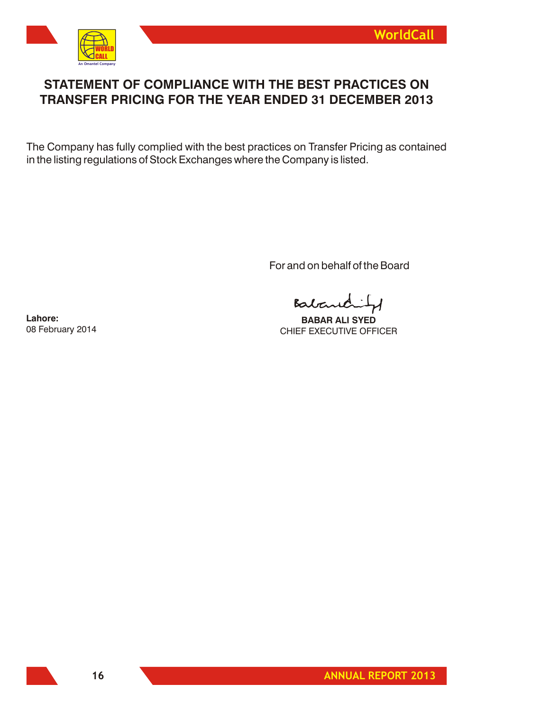

## **STATEMENT OF COMPLIANCE WITH THE BEST PRACTICES ON TRANSFER PRICING FOR THE YEAR ENDED 31 DECEMBER 2013**

The Company has fully complied with the best practices on Transfer Pricing as contained in the listing regulations of Stock Exchanges where the Company is listed.

For and on behalf of the Board

Baban  $\overline{\mathcal{H}}$ 

**BABAR ALI SYED** CHIEF EXECUTIVE OFFICER

**Lahore:** 08 February 2014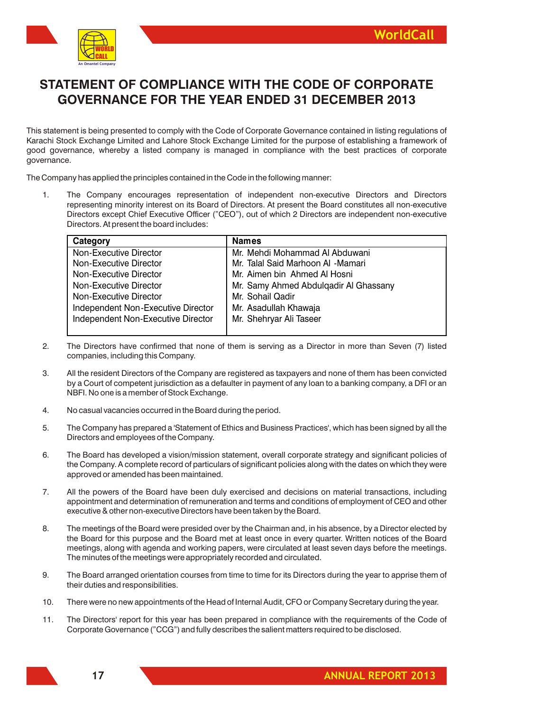

## **STATEMENT OF COMPLIANCE WITH THE CODE OF CORPORATE GOVERNANCE FOR THE YEAR ENDED 31 DECEMBER 2013**

This statement is being presented to comply with the Code of Corporate Governance contained in listing regulations of Karachi Stock Exchange Limited and Lahore Stock Exchange Limited for the purpose of establishing a framework of good governance, whereby a listed company is managed in compliance with the best practices of corporate governance.

The Company has applied the principles contained in the Code in the following manner:

1. The Company encourages representation of independent non-executive Directors and Directors representing minority interest on its Board of Directors. At present the Board constitutes all non-executive Directors except Chief Executive Officer ("CEO"), out of which 2 Directors are independent non-executive Directors. At present the board includes:

| Category                           | <b>Names</b>                          |
|------------------------------------|---------------------------------------|
| Non-Executive Director             | Mr. Mehdi Mohammad Al Abduwani        |
| Non-Executive Director             | Mr. Talal Said Marhoon Al -Mamari     |
| Non-Executive Director             | Mr. Aimen bin Ahmed Al Hosni          |
| Non-Executive Director             | Mr. Samy Ahmed Abdulgadir Al Ghassany |
| Non-Executive Director             | Mr. Sohail Qadir                      |
| Independent Non-Executive Director | Mr. Asadullah Khawaja                 |
| Independent Non-Executive Director | Mr. Shehryar Ali Taseer               |
|                                    |                                       |

- 2. The Directors have confirmed that none of them is serving as a Director in more than Seven (7) listed companies, including this Company.
- 3. All the resident Directors of the Company are registered as taxpayers and none of them has been convicted by a Court of competent jurisdiction as a defaulter in payment of any loan to a banking company, a DFI or an NBFI. No one is a member of Stock Exchange.
- 4. No casual vacancies occurred in the Board during the period.
- 5. The Company has prepared a 'Statement of Ethics and Business Practices', which has been signed by all the Directors and employees of the Company.
- 6. The Board has developed a vision/mission statement, overall corporate strategy and significant policies of the Company. A complete record of particulars of significant policies along with the dates on which they were approved or amended has been maintained.
- 7. All the powers of the Board have been duly exercised and decisions on material transactions, including appointment and determination of remuneration and terms and conditions of employment of CEO and other executive & other non-executive Directors have been taken by the Board.
- 8. The meetings of the Board were presided over by the Chairman and, in his absence, by a Director elected by the Board for this purpose and the Board met at least once in every quarter. Written notices of the Board meetings, along with agenda and working papers, were circulated at least seven days before the meetings. The minutes of the meetings were appropriately recorded and circulated.
- 9. The Board arranged orientation courses from time to time for its Directors during the year to apprise them of their duties and responsibilities.
- 10. There were no new appointments of the Head of Internal Audit, CFO or Company Secretary during the year.
- 11. The Directors' report for this year has been prepared in compliance with the requirements of the Code of Corporate Governance ("CCG") and fully describes the salient matters required to be disclosed.

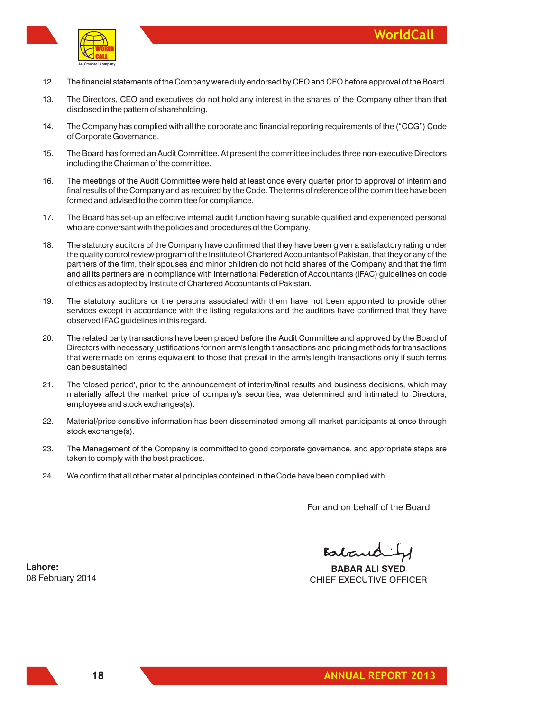

- 12. The financial statements of the Company were duly endorsed by CEO and CFO before approval of the Board.
- 13. The Directors, CEO and executives do not hold any interest in the shares of the Company other than that disclosed in the pattern of shareholding.
- 14. The Company has complied with all the corporate and financial reporting requirements of the ("CCG") Code of Corporate Governance.
- 15. The Board has formed an Audit Committee. At present the committee includes three non-executive Directors including the Chairman of the committee.
- 16. The meetings of the Audit Committee were held at least once every quarter prior to approval of interim and final results of the Company and as required by the Code. The terms of reference of the committee have been formed and advised to the committee for compliance.
- 17. The Board has set-up an effective internal audit function having suitable qualified and experienced personal who are conversant with the policies and procedures of the Company.
- 18. The statutory auditors of the Company have confirmed that they have been given a satisfactory rating under the quality control review program of the Institute of Chartered Accountants of Pakistan, that they or any of the partners of the firm, their spouses and minor children do not hold shares of the Company and that the firm and all its partners are in compliance with International Federation of Accountants (IFAC) guidelines on code of ethics as adopted by Institute of Chartered Accountants of Pakistan.
- 19. The statutory auditors or the persons associated with them have not been appointed to provide other services except in accordance with the listing regulations and the auditors have confirmed that they have observed IFAC guidelines in this regard.
- 20. The related party transactions have been placed before the Audit Committee and approved by the Board of Directors with necessary justifications for non arm's length transactions and pricing methods for transactions that were made on terms equivalent to those that prevail in the arm's length transactions only if such terms can be sustained.
- 21. The 'closed period', prior to the announcement of interim/final results and business decisions, which may materially affect the market price of company's securities, was determined and intimated to Directors, employees and stock exchanges(s).
- 22. Material/price sensitive information has been disseminated among all market participants at once through stock exchange(s).
- 23. The Management of the Company is committed to good corporate governance, and appropriate steps are taken to comply with the best practices.
- 24. We confirm that all other material principles contained in the Code have been complied with.

For and on behalf of the Board

**Lahore:** 08 February 2014

Babaridi

**BABAR ALI SYED** CHIEF EXECUTIVE OFFICER

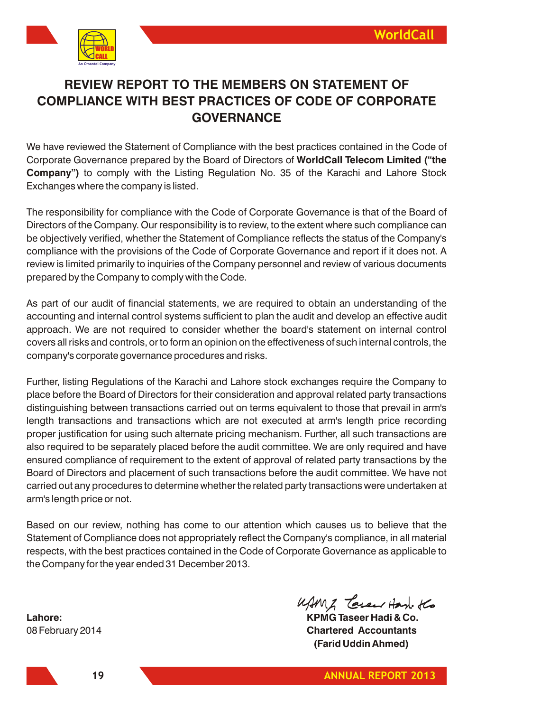

# **REVIEW REPORT TO THE MEMBERS ON STATEMENT OF COMPLIANCE WITH BEST PRACTICES OF CODE OF CORPORATE GOVERNANCE**

We have reviewed the Statement of Compliance with the best practices contained in the Code of Corporate Governance prepared by the Board of Directors of **WorldCall Telecom Limited ("the Company")** to comply with the Listing Regulation No. 35 of the Karachi and Lahore Stock Exchanges where the company is listed.

The responsibility for compliance with the Code of Corporate Governance is that of the Board of Directors of the Company. Our responsibility is to review, to the extent where such compliance can be objectively verified, whether the Statement of Compliance reflects the status of the Company's compliance with the provisions of the Code of Corporate Governance and report if it does not. A review is limited primarily to inquiries of the Company personnel and review of various documents prepared by the Company to comply with the Code.

As part of our audit of financial statements, we are required to obtain an understanding of the accounting and internal control systems sufficient to plan the audit and develop an effective audit approach. We are not required to consider whether the board's statement on internal control covers all risks and controls, or to form an opinion on the effectiveness of such internal controls, the company's corporate governance procedures and risks.

Further, listing Regulations of the Karachi and Lahore stock exchanges require the Company to place before the Board of Directors for their consideration and approval related party transactions distinguishing between transactions carried out on terms equivalent to those that prevail in arm's length transactions and transactions which are not executed at arm's length price recording proper justification for using such alternate pricing mechanism. Further, all such transactions are also required to be separately placed before the audit committee. We are only required and have ensured compliance of requirement to the extent of approval of related party transactions by the Board of Directors and placement of such transactions before the audit committee. We have not carried out any procedures to determine whether the related party transactions were undertaken at arm's length price or not.

Based on our review, nothing has come to our attention which causes us to believe that the Statement of Compliance does not appropriately reflect the Company's compliance, in all material respects, with the best practices contained in the Code of Corporate Governance as applicable to the Company for the year ended 31 December 2013.

UAMA taxer Hard. Ko

**Lahore: KPMG Taseer Hadi & Co.** 08 February 2014 **Chartered Accountants (Farid Uddin Ahmed)** 

**19**

**ANNUAL REPORT 2013**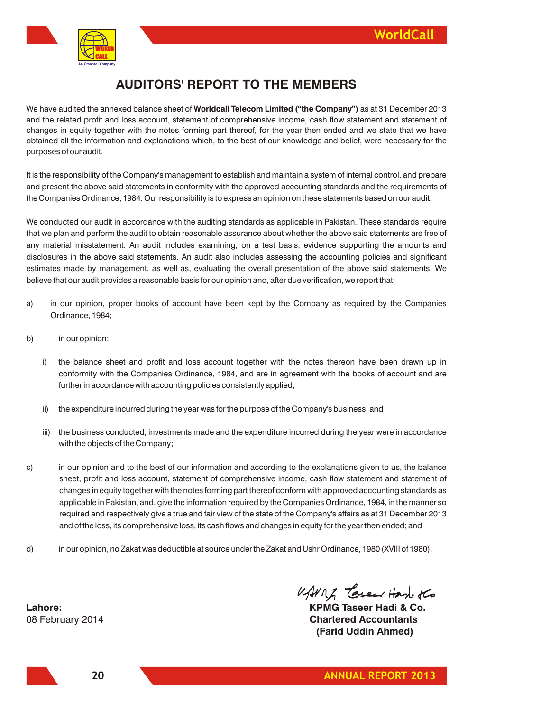

# **AUDITORS' REPORT TO THE MEMBERS**

We have audited the annexed balance sheet of **Worldcall Telecom Limited ("the Company")** as at 31 December 2013 and the related profit and loss account, statement of comprehensive income, cash flow statement and statement of changes in equity together with the notes forming part thereof, for the year then ended and we state that we have obtained all the information and explanations which, to the best of our knowledge and belief, were necessary for the purposes of our audit.

It is the responsibility of the Company's management to establish and maintain a system of internal control, and prepare and present the above said statements in conformity with the approved accounting standards and the requirements of the Companies Ordinance, 1984. Our responsibility is to express an opinion on these statements based on our audit.

We conducted our audit in accordance with the auditing standards as applicable in Pakistan. These standards require that we plan and perform the audit to obtain reasonable assurance about whether the above said statements are free of any material misstatement. An audit includes examining, on a test basis, evidence supporting the amounts and disclosures in the above said statements. An audit also includes assessing the accounting policies and significant estimates made by management, as well as, evaluating the overall presentation of the above said statements. We believe that our audit provides a reasonable basis for our opinion and, after due verification, we report that:

- a) in our opinion, proper books of account have been kept by the Company as required by the Companies Ordinance, 1984;
- b) in our opinion:
	- i) the balance sheet and profit and loss account together with the notes thereon have been drawn up in conformity with the Companies Ordinance, 1984, and are in agreement with the books of account and are further in accordance with accounting policies consistently applied;
	- ii) the expenditure incurred during the year was for the purpose of the Company's business; and
	- iii) the business conducted, investments made and the expenditure incurred during the year were in accordance with the objects of the Company;
- c) in our opinion and to the best of our information and according to the explanations given to us, the balance sheet, profit and loss account, statement of comprehensive income, cash flow statement and statement of changes in equity together with the notes forming part thereof conform with approved accounting standards as applicable in Pakistan, and, give the information required by the Companies Ordinance, 1984, in the manner so required and respectively give a true and fair view of the state of the Company's affairs as at 31 December 2013 and of the loss, its comprehensive loss, its cash flows and changes in equity for the year then ended; and
- d) in our opinion, no Zakat was deductible at source under the Zakat and Ushr Ordinance, 1980 (XVIII of 1980).

USMZ Taren Hard. Ko

**Lahore: KPMG Taseer Hadi & Co.** 08 February 2014 **Chartered Accountants (Farid Uddin Ahmed)**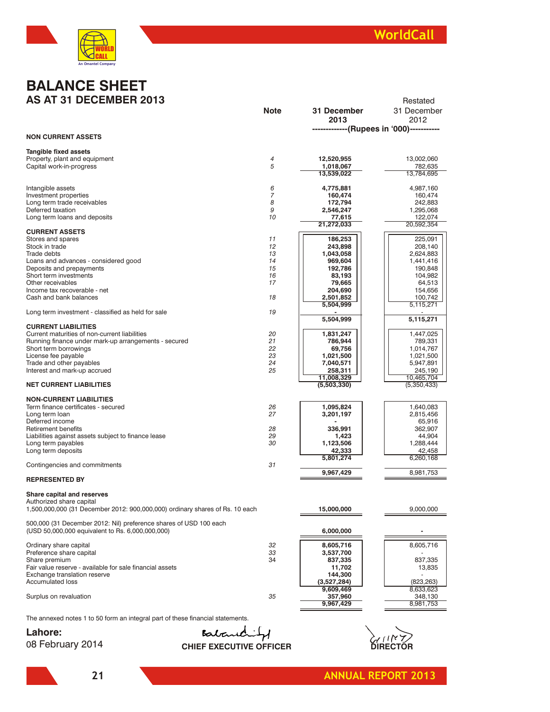

Restated

## **BALANCE SHEET AS AT 31 DECEMBER 2013**

|                                                                                | <b>Note</b>    | 31 December<br>2013                      | 31 December<br>2012       |
|--------------------------------------------------------------------------------|----------------|------------------------------------------|---------------------------|
|                                                                                |                | -------------(Rupees in '000)----------- |                           |
| <b>NON CURRENT ASSETS</b>                                                      |                |                                          |                           |
| <b>Tangible fixed assets</b>                                                   |                |                                          |                           |
| Property, plant and equipment                                                  | $\overline{4}$ | 12,520,955                               | 13,002,060                |
| Capital work-in-progress                                                       | 5              | 1,018,067                                | 782,635                   |
|                                                                                |                | 13,539,022                               | 13,784,695                |
| Intangible assets                                                              | 6              | 4,775,881                                | 4,987,160                 |
| Investment properties                                                          | 7              | 160,474                                  | 160,474                   |
| Long term trade receivables                                                    | 8              | 172,794                                  | 242,883                   |
| Deferred taxation                                                              | 9              | 2,546,247                                | 1,295,068                 |
| Long term loans and deposits                                                   | 10             | 77,615                                   | 122,074                   |
|                                                                                |                | 21,272,033                               | 20,592,354                |
| <b>CURRENT ASSETS</b><br>Stores and spares                                     | 11             | 186,253                                  | 225,091                   |
| Stock in trade                                                                 | 12             | 243,898                                  | 208,140                   |
| Trade debts                                                                    | 13             | 1,043,058                                | 2,624,883                 |
| Loans and advances - considered good                                           | 14             | 969,604                                  | 1,441,416                 |
| Deposits and prepayments                                                       | 15             | 192,786                                  | 190,848                   |
| Short term investments                                                         | 16             | 83,193                                   | 104,982                   |
| Other receivables                                                              | 17             | 79,665                                   | 64,513                    |
| Income tax recoverable - net                                                   |                | 204,690                                  | 154,656                   |
| Cash and bank balances                                                         | 18             | 2,501,852                                | 100,742                   |
|                                                                                |                | 5,504,999                                | 5,115,271                 |
| Long term investment - classified as held for sale                             | 19             | 5,504,999                                | 5,115,271                 |
| <b>CURRENT LIABILITIES</b>                                                     |                |                                          |                           |
| Current maturities of non-current liabilities                                  | 20             | 1,831,247                                | 1,447,025                 |
| Running finance under mark-up arrangements - secured                           | 21             | 786,944                                  | 789,331                   |
| Short term borrowings                                                          | 22             | 69,756                                   | 1,014,767                 |
| License fee payable                                                            | 23             | 1,021,500                                | 1,021,500                 |
| Trade and other payables                                                       | 24             | 7,040,571                                | 5,947,891                 |
| Interest and mark-up accrued                                                   | 25             | 258,311<br>11,008,329                    | 245,190                   |
| <b>NET CURRENT LIABILITIES</b>                                                 |                | (5,503,330)                              | 10,465,704<br>(5,350,433) |
|                                                                                |                |                                          |                           |
| <b>NON-CURRENT LIABILITIES</b>                                                 |                |                                          |                           |
| Term finance certificates - secured                                            | 26             | 1,095,824                                | 1,640,083                 |
| Long term loan<br>Deferred income                                              | 27             | 3,201,197                                | 2,815,456                 |
| <b>Retirement benefits</b>                                                     | 28             | 336,991                                  | 65,916<br>362,907         |
| Liabilities against assets subject to finance lease                            | 29             | 1,423                                    | 44,904                    |
| Long term payables                                                             | 30             | 1,123,506                                | 1,288,444                 |
| Long term deposits                                                             |                | 42,333                                   | 42,458                    |
|                                                                                |                | 5,801,274                                | 6,260,168                 |
| Contingencies and commitments                                                  | 31             | 9,967,429                                | 8,981,753                 |
| <b>REPRESENTED BY</b>                                                          |                |                                          |                           |
| <b>Share capital and reserves</b>                                              |                |                                          |                           |
| Authorized share capital                                                       |                |                                          |                           |
| 1,500,000,000 (31 December 2012: 900,000,000) ordinary shares of Rs. 10 each   |                | 15,000,000                               | 9,000,000                 |
|                                                                                |                |                                          |                           |
| 500,000 (31 December 2012: Nil) preference shares of USD 100 each              |                |                                          |                           |
| (USD 50,000,000 equivalent to Rs. 6,000,000,000)                               |                | 6,000,000                                |                           |
| Ordinary share capital                                                         | 32             | 8,605,716                                | 8,605,716                 |
| Preference share capital                                                       | 33             | 3,537,700                                |                           |
| Share premium                                                                  | 34             | 837,335                                  | 837,335                   |
| Fair value reserve - available for sale financial assets                       |                | 11,702                                   | 13,835                    |
| Exchange translation reserve                                                   |                | 144,300                                  |                           |
| <b>Accumulated loss</b>                                                        |                | (3,527,284)                              | (823, 263)                |
|                                                                                |                | 9,609,469                                | 8.633.623                 |
| Surplus on revaluation                                                         | 35             | 357,960                                  | 348,130                   |
|                                                                                |                | 9,967,429                                | 8,981,753                 |
| The annexed notes 1 to 50 form an integral part of these financial statements. |                |                                          |                           |

**Lahore:** 08 February 2014

**CHIEF EXECUTIVE OFFICER** 

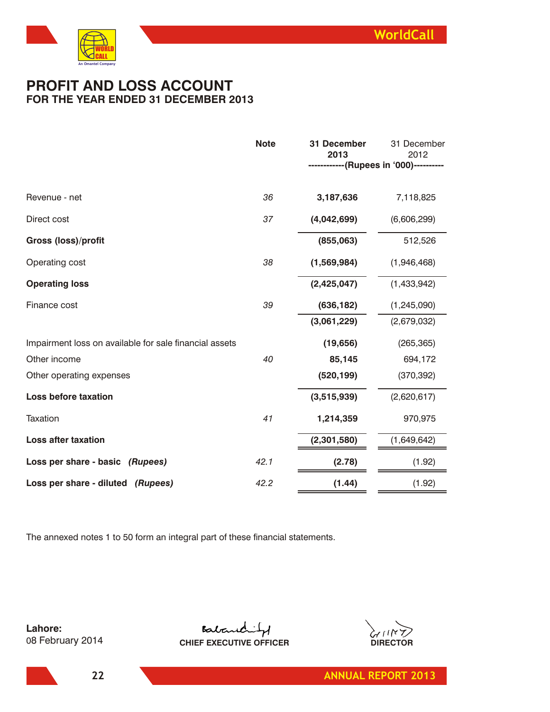

### **PROFIT AND LOSS ACCOUNT FOR THE YEAR ENDED 31 DECEMBER 2013**

|                                                        | <b>Note</b> | 31 December<br>2013 | 31 December<br>2012                    |
|--------------------------------------------------------|-------------|---------------------|----------------------------------------|
|                                                        |             |                     | ------------(Rupees in '000)---------- |
| Revenue - net                                          | 36          | 3,187,636           | 7,118,825                              |
| Direct cost                                            | 37          | (4,042,699)         | (6,606,299)                            |
| Gross (loss)/profit                                    |             | (855,063)           | 512,526                                |
| Operating cost                                         | 38          | (1,569,984)         | (1,946,468)                            |
| <b>Operating loss</b>                                  |             | (2,425,047)         | (1,433,942)                            |
| Finance cost                                           | 39          | (636, 182)          | (1, 245, 090)                          |
|                                                        |             | (3,061,229)         | (2,679,032)                            |
| Impairment loss on available for sale financial assets |             | (19, 656)           | (265, 365)                             |
| Other income                                           | 40          | 85,145              | 694,172                                |
| Other operating expenses                               |             | (520, 199)          | (370, 392)                             |
| Loss before taxation                                   |             | (3,515,939)         | (2,620,617)                            |
| <b>Taxation</b>                                        | 41          | 1,214,359           | 970,975                                |
| <b>Loss after taxation</b>                             |             | (2,301,580)         | (1,649,642)                            |
| Loss per share - basic (Rupees)                        | 42.1        | (2.78)              | (1.92)                                 |
| Loss per share - diluted (Rupees)                      | 42.2        | (1.44)              | (1.92)                                 |

The annexed notes 1 to 50 form an integral part of these financial statements.

**Lahore:** 08 February 2014

**CHIEF EXECUTIVE OFFICER DIRECTOR** 



**22**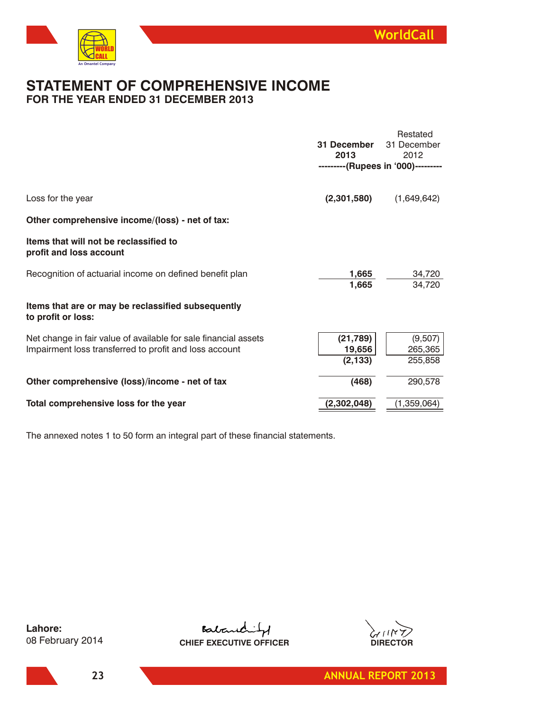

### **STATEMENT OF COMPREHENSIVE INCOME FOR THE YEAR ENDED 31 DECEMBER 2013**

|                                                                                                                           | 31 December<br>2013<br>---------(Rupees in '000)--------- | Restated<br>31 December<br>2012 |
|---------------------------------------------------------------------------------------------------------------------------|-----------------------------------------------------------|---------------------------------|
| Loss for the year                                                                                                         | (2,301,580)                                               | (1,649,642)                     |
| Other comprehensive income/(loss) - net of tax:                                                                           |                                                           |                                 |
| Items that will not be reclassified to<br>profit and loss account                                                         |                                                           |                                 |
| Recognition of actuarial income on defined benefit plan                                                                   | 1,665<br>1,665                                            | 34,720<br>34,720                |
| Items that are or may be reclassified subsequently<br>to profit or loss:                                                  |                                                           |                                 |
| Net change in fair value of available for sale financial assets<br>Impairment loss transferred to profit and loss account | (21, 789)<br>19,656<br>(2, 133)                           | (9,507)<br>265,365<br>255,858   |
| Other comprehensive (loss)/income - net of tax                                                                            | (468)                                                     | 290,578                         |
| Total comprehensive loss for the year                                                                                     | (2,302,048)                                               | (1,359,064)                     |

The annexed notes 1 to 50 form an integral part of these financial statements.

**Lahore:** 08 February 2014

**CHIEF EXECUTIVE OFFICER DIRECTOR** 

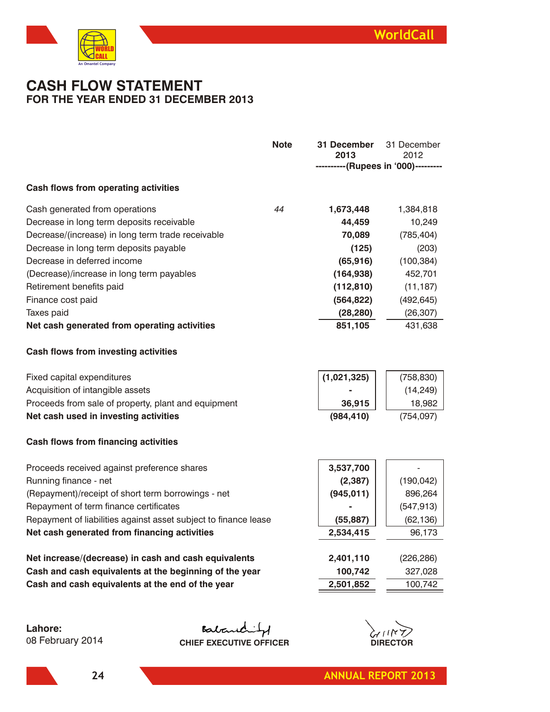

## **CASH FLOW STATEMENT FOR THE YEAR ENDED 31 DECEMBER 2013**

|                                                                 | <b>Note</b> | 31 December<br>2013                 | 31 December<br>2012 |
|-----------------------------------------------------------------|-------------|-------------------------------------|---------------------|
|                                                                 |             | ----------(Rupees in '000)--------- |                     |
| Cash flows from operating activities                            |             |                                     |                     |
| Cash generated from operations                                  | 44          | 1,673,448                           | 1,384,818           |
| Decrease in long term deposits receivable                       |             | 44,459                              | 10,249              |
| Decrease/(increase) in long term trade receivable               |             | 70,089                              | (785, 404)          |
| Decrease in long term deposits payable                          |             | (125)                               | (203)               |
| Decrease in deferred income                                     |             | (65, 916)                           | (100, 384)          |
| (Decrease)/increase in long term payables                       |             | (164, 938)                          | 452,701             |
| Retirement benefits paid                                        |             | (112, 810)                          | (11, 187)           |
| Finance cost paid                                               |             | (564, 822)                          | (492, 645)          |
| Taxes paid                                                      |             | (28, 280)                           | (26, 307)           |
| Net cash generated from operating activities                    |             | 851,105                             | 431,638             |
| Cash flows from investing activities                            |             |                                     |                     |
| Fixed capital expenditures                                      |             | (1,021,325)                         | (758, 830)          |
| Acquisition of intangible assets                                |             |                                     | (14, 249)           |
| Proceeds from sale of property, plant and equipment             |             | 36,915                              | 18,982              |
| Net cash used in investing activities                           |             | (984, 410)                          | (754, 097)          |
| <b>Cash flows from financing activities</b>                     |             |                                     |                     |
| Proceeds received against preference shares                     |             | 3,537,700                           |                     |
| Running finance - net                                           |             | (2, 387)                            | (190, 042)          |
| (Repayment)/receipt of short term borrowings - net              |             | (945, 011)                          | 896,264             |
| Repayment of term finance certificates                          |             |                                     | (547, 913)          |
| Repayment of liabilities against asset subject to finance lease |             | (55, 887)                           | (62, 136)           |
| Net cash generated from financing activities                    |             | 2,534,415                           | 96,173              |
|                                                                 |             |                                     |                     |
| Net increase/(decrease) in cash and cash equivalents            |             | 2,401,110                           | (226, 286)          |
| Cash and cash equivalents at the beginning of the year          |             | 100,742                             | 327,028             |
| Cash and cash equivalents at the end of the year                |             | 2,501,852                           | 100,742             |
|                                                                 |             |                                     |                     |

**Lahore:** 08 February 2014

**CHIEF EXECUTIVE OFFICER** DIRECTOR

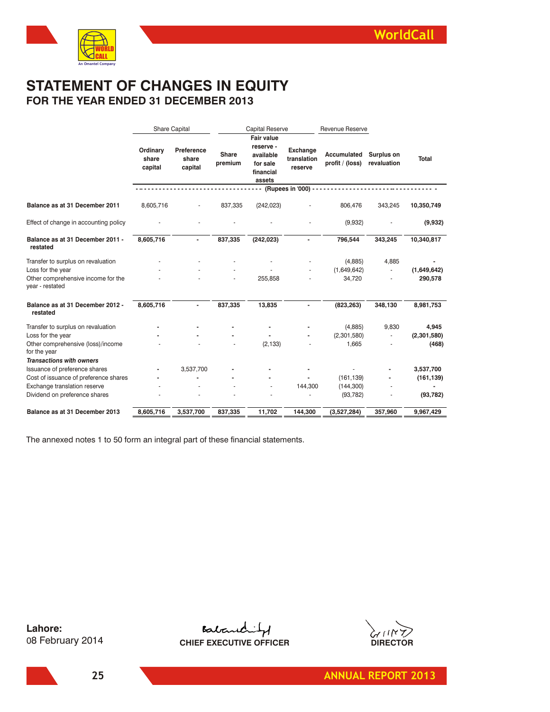

## **STATEMENT OF CHANGES IN EQUITY FOR THE YEAR ENDED 31 DECEMBER 2013**

|                                                       | <b>Share Capital</b>         |                                |                         | <b>Capital Reserve</b>                                                         |                                           | Revenue Reserve                            |                           |              |
|-------------------------------------------------------|------------------------------|--------------------------------|-------------------------|--------------------------------------------------------------------------------|-------------------------------------------|--------------------------------------------|---------------------------|--------------|
|                                                       | Ordinary<br>share<br>capital | Preference<br>share<br>capital | <b>Share</b><br>premium | <b>Fair value</b><br>reserve -<br>available<br>for sale<br>financial<br>assets | <b>Exchange</b><br>translation<br>reserve | Accumulated<br>profit / (loss)             | Surplus on<br>revaluation | <b>Total</b> |
|                                                       |                              |                                |                         |                                                                                |                                           | (Rupees in '000) - - - - - - - - - - - - - |                           |              |
| Balance as at 31 December 2011                        | 8,605,716                    |                                | 837,335                 | (242, 023)                                                                     |                                           | 806.476                                    | 343,245                   | 10,350,749   |
| Effect of change in accounting policy                 |                              |                                |                         |                                                                                |                                           | (9,932)                                    |                           | (9,932)      |
| Balance as at 31 December 2011 -<br>restated          | 8,605,716                    | $\overline{\phantom{a}}$       | 837,335                 | (242, 023)                                                                     |                                           | 796,544                                    | 343,245                   | 10,340,817   |
| Transfer to surplus on revaluation                    |                              |                                |                         |                                                                                |                                           | (4,885)                                    | 4,885                     |              |
| Loss for the year                                     |                              |                                |                         |                                                                                |                                           | (1,649,642)                                |                           | (1,649,642)  |
| Other comprehensive income for the<br>year - restated |                              |                                |                         | 255,858                                                                        |                                           | 34,720                                     |                           | 290,578      |
| Balance as at 31 December 2012 -<br>restated          | 8,605,716                    |                                | 837,335                 | 13,835                                                                         |                                           | (823, 263)                                 | 348,130                   | 8,981,753    |
| Transfer to surplus on revaluation                    |                              |                                |                         |                                                                                |                                           | (4,885)                                    | 9,830                     | 4,945        |
| Loss for the year                                     |                              |                                |                         |                                                                                |                                           | (2,301,580)                                |                           | (2,301,580)  |
| Other comprehensive (loss)/income<br>for the year     |                              |                                |                         | (2, 133)                                                                       |                                           | 1,665                                      |                           | (468)        |
| <b>Transactions with owners</b>                       |                              |                                |                         |                                                                                |                                           |                                            |                           |              |
| Issuance of preference shares                         |                              | 3,537,700                      |                         |                                                                                |                                           |                                            |                           | 3,537,700    |
| Cost of issuance of preference shares                 |                              |                                |                         |                                                                                |                                           | (161, 139)                                 |                           | (161, 139)   |
| Exchange translation reserve                          |                              |                                |                         |                                                                                | 144,300                                   | (144, 300)                                 |                           |              |
| Dividend on preference shares                         |                              |                                |                         |                                                                                |                                           | (93, 782)                                  |                           | (93, 782)    |
| Balance as at 31 December 2013                        | 8,605,716                    | 3,537,700                      | 837,335                 | 11,702                                                                         | 144,300                                   | (3,527,284)                                | 357,960                   | 9,967,429    |

The annexed notes 1 to 50 form an integral part of these financial statements.

**Lahore:** 08 February 2014

**CHIEF EXECUTIVE OFFICER** DIRECTOR



**25**

**ANNUAL REPORT 2013**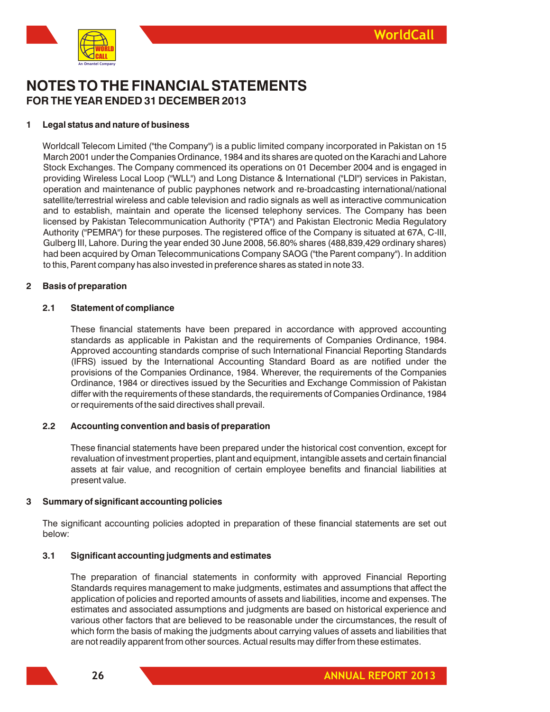

## **NOTES TO THE FINANCIAL STATEMENTS FOR THE YEAR ENDED 31 DECEMBER 2013**

#### **1 Legal status and nature of business**

Worldcall Telecom Limited ("the Company") is a public limited company incorporated in Pakistan on 15 March 2001 under the Companies Ordinance, 1984 and its shares are quoted on the Karachi and Lahore Stock Exchanges. The Company commenced its operations on 01 December 2004 and is engaged in providing Wireless Local Loop ("WLL") and Long Distance & International ("LDI") services in Pakistan, operation and maintenance of public payphones network and re-broadcasting international/national satellite/terrestrial wireless and cable television and radio signals as well as interactive communication and to establish, maintain and operate the licensed telephony services. The Company has been licensed by Pakistan Telecommunication Authority ("PTA") and Pakistan Electronic Media Regulatory Authority ("PEMRA") for these purposes. The registered office of the Company is situated at 67A, C-III, Gulberg III, Lahore. During the year ended 30 June 2008, 56.80% shares (488,839,429 ordinary shares) had been acquired by Oman Telecommunications Company SAOG ("the Parent company"). In addition to this, Parent company has also invested in preference shares as stated in note 33.

#### **2 Basis of preparation**

#### **2.1 Statement of compliance**

These financial statements have been prepared in accordance with approved accounting standards as applicable in Pakistan and the requirements of Companies Ordinance, 1984. Approved accounting standards comprise of such International Financial Reporting Standards (IFRS) issued by the International Accounting Standard Board as are notified under the provisions of the Companies Ordinance, 1984. Wherever, the requirements of the Companies Ordinance, 1984 or directives issued by the Securities and Exchange Commission of Pakistan differ with the requirements of these standards, the requirements of Companies Ordinance, 1984 or requirements of the said directives shall prevail.

#### **2.2 Accounting convention and basis of preparation**

These financial statements have been prepared under the historical cost convention, except for revaluation of investment properties, plant and equipment, intangible assets and certain financial assets at fair value, and recognition of certain employee benefits and financial liabilities at present value.

#### **3 Summary of significant accounting policies**

The significant accounting policies adopted in preparation of these financial statements are set out below:

#### **3.1 Significant accounting judgments and estimates**

The preparation of financial statements in conformity with approved Financial Reporting Standards requires management to make judgments, estimates and assumptions that affect the application of policies and reported amounts of assets and liabilities, income and expenses. The estimates and associated assumptions and judgments are based on historical experience and various other factors that are believed to be reasonable under the circumstances, the result of which form the basis of making the judgments about carrying values of assets and liabilities that are not readily apparent from other sources. Actual results may differ from these estimates.

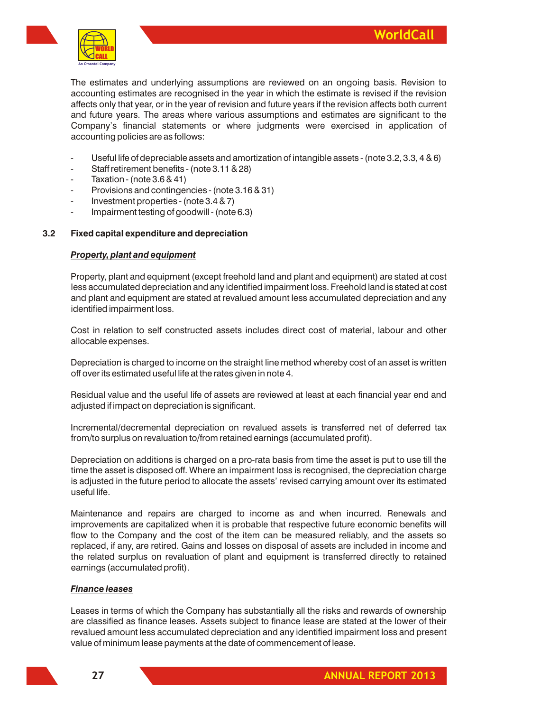

The estimates and underlying assumptions are reviewed on an ongoing basis. Revision to accounting estimates are recognised in the year in which the estimate is revised if the revision affects only that year, or in the year of revision and future years if the revision affects both current and future years. The areas where various assumptions and estimates are significant to the Company's financial statements or where judgments were exercised in application of accounting policies are as follows:

- Useful life of depreciable assets and amortization of intangible assets (note 3.2, 3.3, 4 & 6)
- Staff retirement benefits (note 3.11 & 28)
- Taxation (note  $3.6841$ )
- Provisions and contingencies (note 3.16 & 31)
- Investment properties (note 3.4 & 7)
- Impairment testing of goodwill (note 6.3)

#### **3.2 Fixed capital expenditure and depreciation**

#### *Property, plant and equipment*

Property, plant and equipment (except freehold land and plant and equipment) are stated at cost less accumulated depreciation and any identified impairment loss. Freehold land is stated at cost and plant and equipment are stated at revalued amount less accumulated depreciation and any identified impairment loss.

Cost in relation to self constructed assets includes direct cost of material, labour and other allocable expenses.

Depreciation is charged to income on the straight line method whereby cost of an asset is written off over its estimated useful life at the rates given in note 4.

Residual value and the useful life of assets are reviewed at least at each financial year end and adjusted if impact on depreciation is significant.

Incremental/decremental depreciation on revalued assets is transferred net of deferred tax from/to surplus on revaluation to/from retained earnings (accumulated profit).

Depreciation on additions is charged on a pro-rata basis from time the asset is put to use till the time the asset is disposed off. Where an impairment loss is recognised, the depreciation charge is adjusted in the future period to allocate the assets' revised carrying amount over its estimated useful life.

Maintenance and repairs are charged to income as and when incurred. Renewals and improvements are capitalized when it is probable that respective future economic benefits will flow to the Company and the cost of the item can be measured reliably, and the assets so replaced, if any, are retired. Gains and losses on disposal of assets are included in income and the related surplus on revaluation of plant and equipment is transferred directly to retained earnings (accumulated profit).

#### *Finance leases*

Leases in terms of which the Company has substantially all the risks and rewards of ownership are classified as finance leases. Assets subject to finance lease are stated at the lower of their revalued amount less accumulated depreciation and any identified impairment loss and present value of minimum lease payments at the date of commencement of lease.

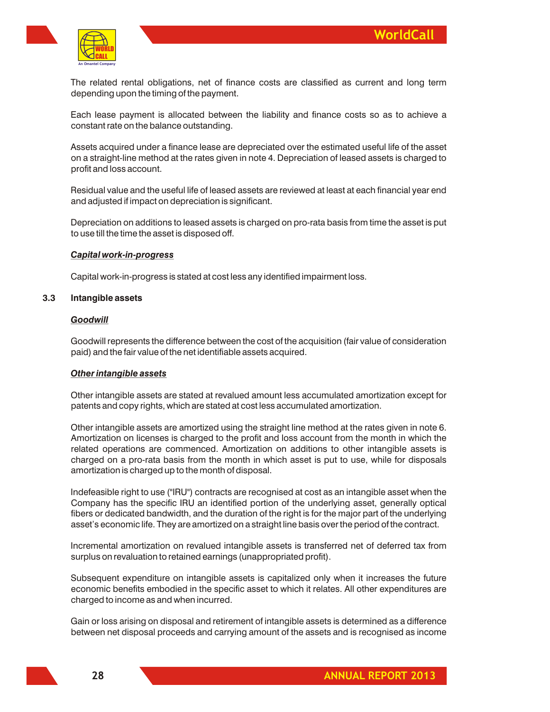

The related rental obligations, net of finance costs are classified as current and long term depending upon the timing of the payment.

Each lease payment is allocated between the liability and finance costs so as to achieve a constant rate on the balance outstanding.

Assets acquired under a finance lease are depreciated over the estimated useful life of the asset on a straight-line method at the rates given in note 4. Depreciation of leased assets is charged to profit and loss account.

Residual value and the useful life of leased assets are reviewed at least at each financial year end and adjusted if impact on depreciation is significant.

Depreciation on additions to leased assets is charged on pro-rata basis from time the asset is put to use till the time the asset is disposed off.

#### *Capital work-in-progress*

Capital work-in-progress is stated at cost less any identified impairment loss.

#### **3.3 Intangible assets**

#### *Goodwill*

Goodwill represents the difference between the cost of the acquisition (fair value of consideration paid) and the fair value of the net identifiable assets acquired.

#### *Other intangible assets*

Other intangible assets are stated at revalued amount less accumulated amortization except for patents and copy rights, which are stated at cost less accumulated amortization.

Other intangible assets are amortized using the straight line method at the rates given in note 6. Amortization on licenses is charged to the profit and loss account from the month in which the related operations are commenced. Amortization on additions to other intangible assets is charged on a pro-rata basis from the month in which asset is put to use, while for disposals amortization is charged up to the month of disposal.

Indefeasible right to use ("IRU") contracts are recognised at cost as an intangible asset when the Company has the specific IRU an identified portion of the underlying asset, generally optical fibers or dedicated bandwidth, and the duration of the right is for the major part of the underlying asset's economic life. They are amortized on a straight line basis over the period of the contract.

Incremental amortization on revalued intangible assets is transferred net of deferred tax from surplus on revaluation to retained earnings (unappropriated profit).

Subsequent expenditure on intangible assets is capitalized only when it increases the future economic benefits embodied in the specific asset to which it relates. All other expenditures are charged to income as and when incurred.

Gain or loss arising on disposal and retirement of intangible assets is determined as a difference between net disposal proceeds and carrying amount of the assets and is recognised as income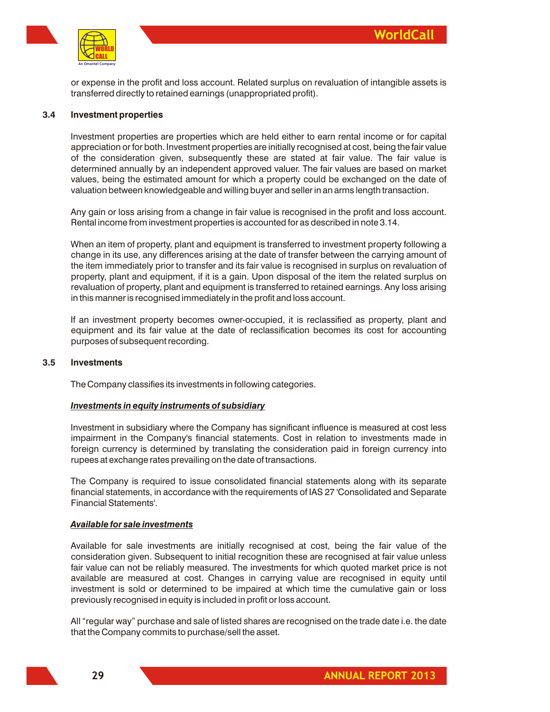

or expense in the profit and loss account. Related surplus on revaluation of intangible assets is transferred directly to retained earnings (unappropriated profit).

#### **3.4 Investment properties**

Investment properties are properties which are held either to earn rental income or for capital appreciation or for both. Investment properties are initially recognised at cost, being the fair value of the consideration given, subsequently these are stated at fair value. The fair value is determined annually by an independent approved valuer. The fair values are based on market values, being the estimated amount for which a property could be exchanged on the date of valuation between knowledgeable and willing buyer and seller in an arms length transaction.

Any gain or loss arising from a change in fair value is recognised in the profit and loss account. Rental income from investment properties is accounted for as described in note 3.14.

When an item of property, plant and equipment is transferred to investment property following a change in its use, any differences arising at the date of transfer between the carrying amount of the item immediately prior to transfer and its fair value is recognised in surplus on revaluation of property, plant and equipment, if it is a gain. Upon disposal of the item the related surplus on revaluation of property, plant and equipment is transferred to retained earnings. Any loss arising in this manner is recognised immediately in the profit and loss account.

If an investment property becomes owner-occupied, it is reclassified as property, plant and equipment and its fair value at the date of reclassification becomes its cost for accounting purposes of subsequent recording.

#### **3.5 Investments**

The Company classifies its investments in following categories.

#### *Investments in equity instruments of subsidiary*

Investment in subsidiary where the Company has significant influence is measured at cost less impairment in the Company's financial statements. Cost in relation to investments made in foreign currency is determined by translating the consideration paid in foreign currency into rupees at exchange rates prevailing on the date of transactions.

The Company is required to issue consolidated financial statements along with its separate financial statements, in accordance with the requirements of IAS 27 'Consolidated and Separate Financial Statements'.

#### *Available for sale investments*

Available for sale investments are initially recognised at cost, being the fair value of the consideration given. Subsequent to initial recognition these are recognised at fair value unless fair value can not be reliably measured. The investments for which quoted market price is not available are measured at cost. Changes in carrying value are recognised in equity until investment is sold or determined to be impaired at which time the cumulative gain or loss previously recognised in equity is included in profit or loss account.

All "regular way" purchase and sale of listed shares are recognised on the trade date i.e. the date that the Company commits to purchase/sell the asset.

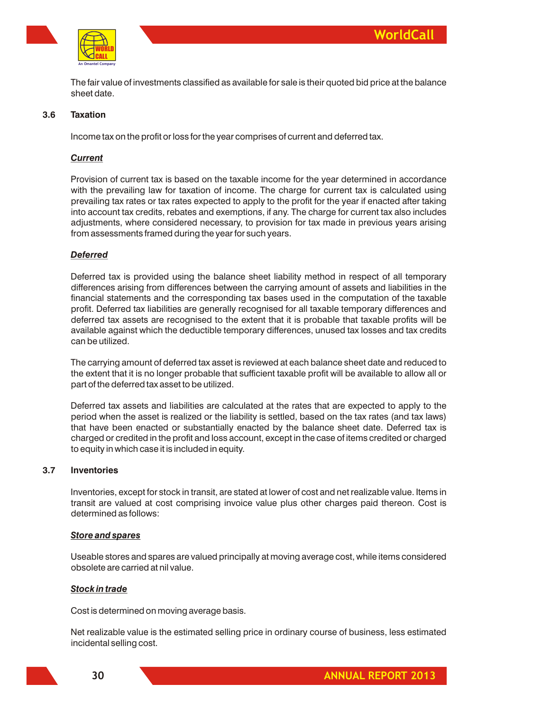

The fair value of investments classified as available for sale is their quoted bid price at the balance sheet date.

#### **3.6 Taxation**

Income tax on the profit or loss for the year comprises of current and deferred tax.

#### *Current*

Provision of current tax is based on the taxable income for the year determined in accordance with the prevailing law for taxation of income. The charge for current tax is calculated using prevailing tax rates or tax rates expected to apply to the profit for the year if enacted after taking into account tax credits, rebates and exemptions, if any. The charge for current tax also includes adjustments, where considered necessary, to provision for tax made in previous years arising from assessments framed during the year for such years.

#### *Deferred*

Deferred tax is provided using the balance sheet liability method in respect of all temporary differences arising from differences between the carrying amount of assets and liabilities in the financial statements and the corresponding tax bases used in the computation of the taxable profit. Deferred tax liabilities are generally recognised for all taxable temporary differences and deferred tax assets are recognised to the extent that it is probable that taxable profits will be available against which the deductible temporary differences, unused tax losses and tax credits can be utilized.

The carrying amount of deferred tax asset is reviewed at each balance sheet date and reduced to the extent that it is no longer probable that sufficient taxable profit will be available to allow all or part of the deferred tax asset to be utilized.

Deferred tax assets and liabilities are calculated at the rates that are expected to apply to the period when the asset is realized or the liability is settled, based on the tax rates (and tax laws) that have been enacted or substantially enacted by the balance sheet date. Deferred tax is charged or credited in the profit and loss account, except in the case of items credited or charged to equity in which case it is included in equity.

#### **3.7 Inventories**

Inventories, except for stock in transit, are stated at lower of cost and net realizable value. Items in transit are valued at cost comprising invoice value plus other charges paid thereon. Cost is determined as follows:

#### *Store and spares*

Useable stores and spares are valued principally at moving average cost, while items considered obsolete are carried at nil value.

#### *Stock in trade*

Cost is determined on moving average basis.

Net realizable value is the estimated selling price in ordinary course of business, less estimated incidental selling cost.

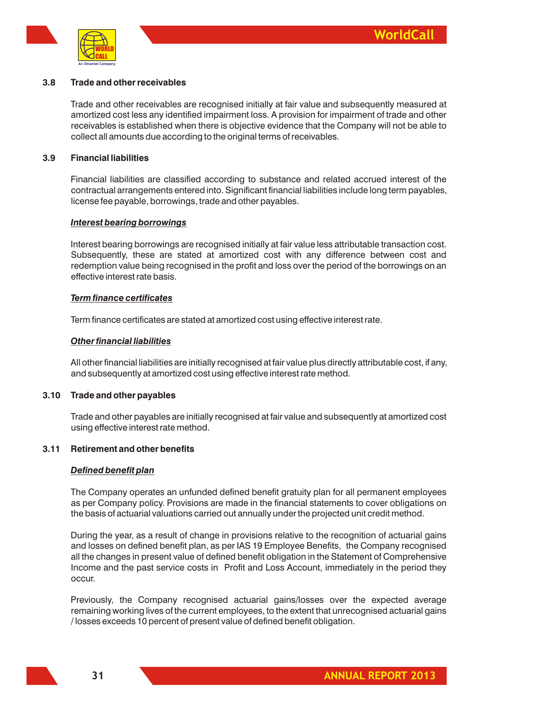

#### **3.8 Trade and other receivables**

Trade and other receivables are recognised initially at fair value and subsequently measured at amortized cost less any identified impairment loss. A provision for impairment of trade and other receivables is established when there is objective evidence that the Company will not be able to collect all amounts due according to the original terms of receivables.

#### **3.9 Financial liabilities**

Financial liabilities are classified according to substance and related accrued interest of the contractual arrangements entered into. Significant financial liabilities include long term payables, license fee payable, borrowings, trade and other payables.

#### *Interest bearing borrowings*

Interest bearing borrowings are recognised initially at fair value less attributable transaction cost. Subsequently, these are stated at amortized cost with any difference between cost and redemption value being recognised in the profit and loss over the period of the borrowings on an effective interest rate basis.

#### *Term finance certificates*

Term finance certificates are stated at amortized cost using effective interest rate.

#### *Other financial liabilities*

All other financial liabilities are initially recognised at fair value plus directly attributable cost, if any, and subsequently at amortized cost using effective interest rate method.

#### **3.10 Trade and other payables**

Trade and other payables are initially recognised at fair value and subsequently at amortized cost using effective interest rate method.

#### **3.11 Retirement and other benefits**

#### *Defined benefit plan*

The Company operates an unfunded defined benefit gratuity plan for all permanent employees as per Company policy. Provisions are made in the financial statements to cover obligations on the basis of actuarial valuations carried out annually under the projected unit credit method.

During the year, as a result of change in provisions relative to the recognition of actuarial gains and losses on defined benefit plan, as per IAS 19 Employee Benefits, the Company recognised all the changes in present value of defined benefit obligation in the Statement of Comprehensive Income and the past service costs in Profit and Loss Account, immediately in the period they occur.

Previously, the Company recognised actuarial gains/losses over the expected average remaining working lives of the current employees, to the extent that unrecognised actuarial gains / losses exceeds 10 percent of present value of defined benefit obligation.

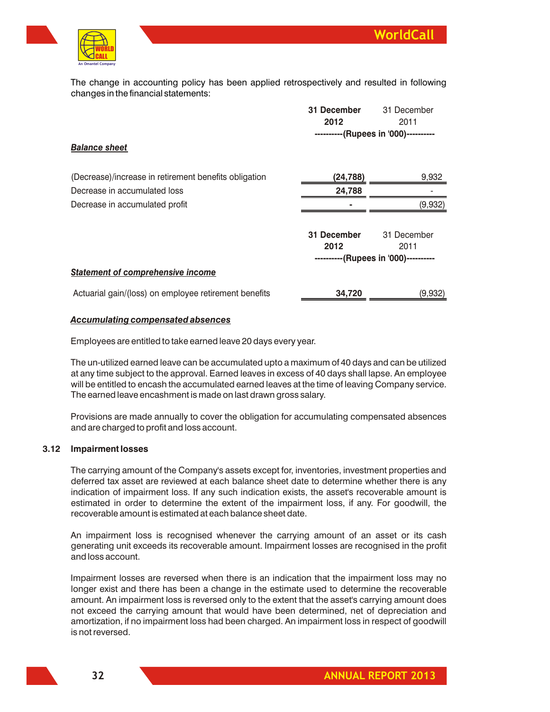

The change in accounting policy has been applied retrospectively and resulted in following changes in the financial statements:

|                                                       | 31 December<br>2012 | 31 December<br>2011                  |
|-------------------------------------------------------|---------------------|--------------------------------------|
| <b>Balance sheet</b>                                  |                     | ----------(Rupees in '000)---------- |
| (Decrease)/increase in retirement benefits obligation | (24,788)            | 9,932                                |
| Decrease in accumulated loss                          | 24,788              |                                      |
| Decrease in accumulated profit                        |                     | (9,932)                              |
|                                                       | 31 December<br>2012 | 31 December<br>2011                  |
| <b>Statement of comprehensive income</b>              |                     | ----------(Rupees in '000)---------- |
| Actuarial gain/(loss) on employee retirement benefits | 34,720              | (9,932)                              |

#### *Accumulating compensated absences*

Employees are entitled to take earned leave 20 days every year.

The un-utilized earned leave can be accumulated upto a maximum of 40 days and can be utilized at any time subject to the approval. Earned leaves in excess of 40 days shall lapse. An employee will be entitled to encash the accumulated earned leaves at the time of leaving Company service. The earned leave encashment is made on last drawn gross salary.

Provisions are made annually to cover the obligation for accumulating compensated absences and are charged to profit and loss account.

#### **3.12 Impairment losses**

The carrying amount of the Company's assets except for, inventories, investment properties and deferred tax asset are reviewed at each balance sheet date to determine whether there is any indication of impairment loss. If any such indication exists, the asset's recoverable amount is estimated in order to determine the extent of the impairment loss, if any. For goodwill, the recoverable amount is estimated at each balance sheet date.

An impairment loss is recognised whenever the carrying amount of an asset or its cash generating unit exceeds its recoverable amount. Impairment losses are recognised in the profit and loss account.

Impairment losses are reversed when there is an indication that the impairment loss may no longer exist and there has been a change in the estimate used to determine the recoverable amount. An impairment loss is reversed only to the extent that the asset's carrying amount does not exceed the carrying amount that would have been determined, net of depreciation and amortization, if no impairment loss had been charged. An impairment loss in respect of goodwill is not reversed.

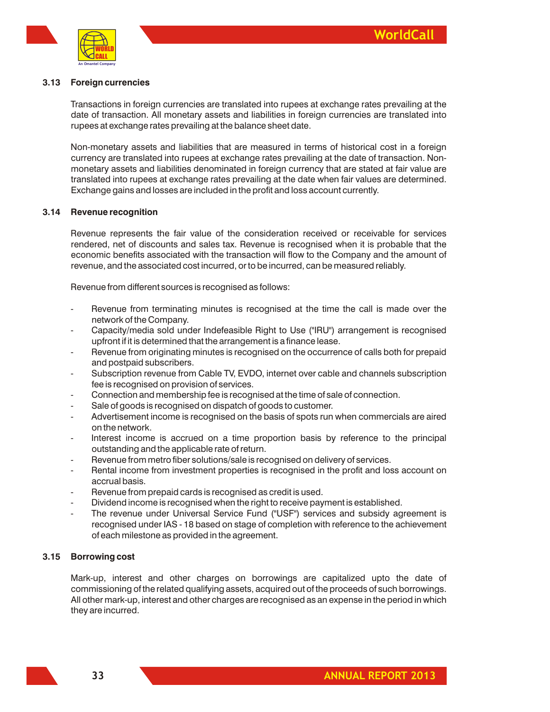

#### **3.13 Foreign currencies**

Transactions in foreign currencies are translated into rupees at exchange rates prevailing at the date of transaction. All monetary assets and liabilities in foreign currencies are translated into rupees at exchange rates prevailing at the balance sheet date.

Non-monetary assets and liabilities that are measured in terms of historical cost in a foreign currency are translated into rupees at exchange rates prevailing at the date of transaction. Nonmonetary assets and liabilities denominated in foreign currency that are stated at fair value are translated into rupees at exchange rates prevailing at the date when fair values are determined. Exchange gains and losses are included in the profit and loss account currently.

#### **3.14 Revenue recognition**

Revenue represents the fair value of the consideration received or receivable for services rendered, net of discounts and sales tax. Revenue is recognised when it is probable that the economic benefits associated with the transaction will flow to the Company and the amount of revenue, and the associated cost incurred, or to be incurred, can be measured reliably.

Revenue from different sources is recognised as follows:

- Revenue from terminating minutes is recognised at the time the call is made over the network of the Company.
- Capacity/media sold under Indefeasible Right to Use ("IRU") arrangement is recognised upfront if it is determined that the arrangement is a finance lease.
- Revenue from originating minutes is recognised on the occurrence of calls both for prepaid and postpaid subscribers.
- Subscription revenue from Cable TV, EVDO, internet over cable and channels subscription fee is recognised on provision of services.
- Connection and membership fee is recognised at the time of sale of connection.
- Sale of goods is recognised on dispatch of goods to customer.
- Advertisement income is recognised on the basis of spots run when commercials are aired on the network.
- Interest income is accrued on a time proportion basis by reference to the principal outstanding and the applicable rate of return.
- Revenue from metro fiber solutions/sale is recognised on delivery of services.
- Rental income from investment properties is recognised in the profit and loss account on accrual basis.
- Revenue from prepaid cards is recognised as credit is used.
- Dividend income is recognised when the right to receive payment is established.
- The revenue under Universal Service Fund ("USF") services and subsidy agreement is recognised under IAS - 18 based on stage of completion with reference to the achievement of each milestone as provided in the agreement.

#### **3.15 Borrowing cost**

Mark-up, interest and other charges on borrowings are capitalized upto the date of commissioning of the related qualifying assets, acquired out of the proceeds of such borrowings. All other mark-up, interest and other charges are recognised as an expense in the period in which they are incurred.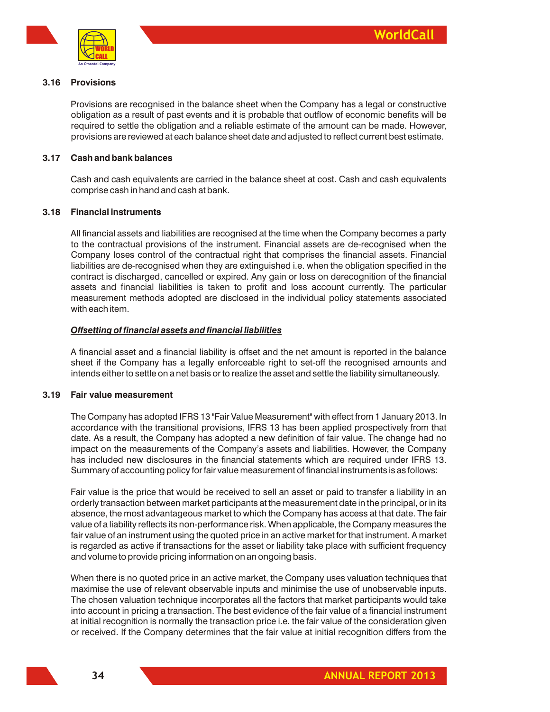

#### **3.16 Provisions**

Provisions are recognised in the balance sheet when the Company has a legal or constructive obligation as a result of past events and it is probable that outflow of economic benefits will be required to settle the obligation and a reliable estimate of the amount can be made. However, provisions are reviewed at each balance sheet date and adjusted to reflect current best estimate.

#### **3.17 Cash and bank balances**

Cash and cash equivalents are carried in the balance sheet at cost. Cash and cash equivalents comprise cash in hand and cash at bank.

#### **3.18 Financial instruments**

All financial assets and liabilities are recognised at the time when the Company becomes a party to the contractual provisions of the instrument. Financial assets are de-recognised when the Company loses control of the contractual right that comprises the financial assets. Financial liabilities are de-recognised when they are extinguished i.e. when the obligation specified in the contract is discharged, cancelled or expired. Any gain or loss on derecognition of the financial assets and financial liabilities is taken to profit and loss account currently. The particular measurement methods adopted are disclosed in the individual policy statements associated with each item.

#### *Offsetting of financial assets and financial liabilities*

A financial asset and a financial liability is offset and the net amount is reported in the balance sheet if the Company has a legally enforceable right to set-off the recognised amounts and intends either to settle on a net basis or to realize the asset and settle the liability simultaneously.

#### **3.19 Fair value measurement**

The Company has adopted IFRS 13 "Fair Value Measurement" with effect from 1 January 2013. In accordance with the transitional provisions, IFRS 13 has been applied prospectively from that date. As a result, the Company has adopted a new definition of fair value. The change had no impact on the measurements of the Company's assets and liabilities. However, the Company has included new disclosures in the financial statements which are required under IFRS 13. Summary of accounting policy for fair value measurement of financial instruments is as follows:

Fair value is the price that would be received to sell an asset or paid to transfer a liability in an orderly transaction between market participants at the measurement date in the principal, or in its absence, the most advantageous market to which the Company has access at that date. The fair value of a liability reflects its non-performance risk. When applicable, the Company measures the fair value of an instrument using the quoted price in an active market for that instrument. A market is regarded as active if transactions for the asset or liability take place with sufficient frequency and volume to provide pricing information on an ongoing basis.

When there is no quoted price in an active market, the Company uses valuation techniques that maximise the use of relevant observable inputs and minimise the use of unobservable inputs. The chosen valuation technique incorporates all the factors that market participants would take into account in pricing a transaction. The best evidence of the fair value of a financial instrument at initial recognition is normally the transaction price i.e. the fair value of the consideration given or received. If the Company determines that the fair value at initial recognition differs from the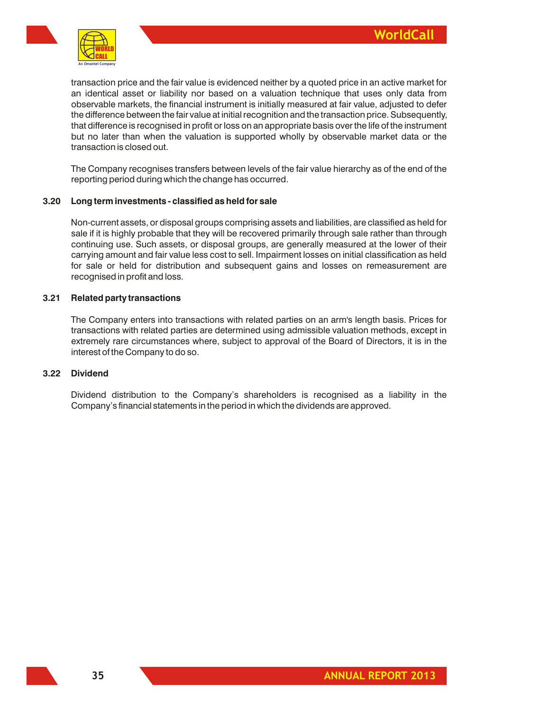

transaction price and the fair value is evidenced neither by a quoted price in an active market for an identical asset or liability nor based on a valuation technique that uses only data from observable markets, the financial instrument is initially measured at fair value, adjusted to defer the difference between the fair value at initial recognition and the transaction price. Subsequently, that difference is recognised in profit or loss on an appropriate basis over the life of the instrument but no later than when the valuation is supported wholly by observable market data or the transaction is closed out.

The Company recognises transfers between levels of the fair value hierarchy as of the end of the reporting period during which the change has occurred.

#### **3.20 Long term investments - classified as held for sale**

Non-current assets, or disposal groups comprising assets and liabilities, are classified as held for sale if it is highly probable that they will be recovered primarily through sale rather than through continuing use. Such assets, or disposal groups, are generally measured at the lower of their carrying amount and fair value less cost to sell. Impairment losses on initial classification as held for sale or held for distribution and subsequent gains and losses on remeasurement are recognised in profit and loss.

#### **3.21 Related party transactions**

The Company enters into transactions with related parties on an arm's length basis. Prices for transactions with related parties are determined using admissible valuation methods, except in extremely rare circumstances where, subject to approval of the Board of Directors, it is in the interest of the Company to do so.

#### **3.22 Dividend**

Dividend distribution to the Company's shareholders is recognised as a liability in the Company's financial statements in the period in which the dividends are approved.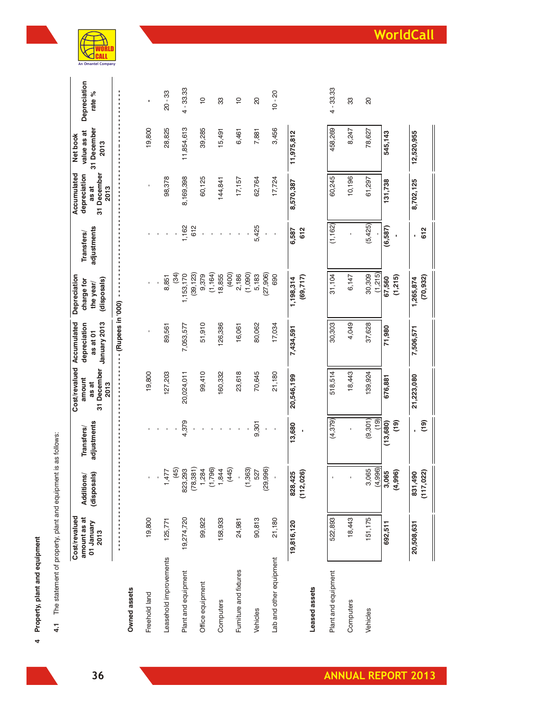# 4 Property, plant and equipment **Property, plant and equipment**

The statement of property, plant and equipment is as follows: **4.1** The statement of property, plant and equipment is as follows:  $4.1$ 

**Cost/revalued amount as at 01 January 2013**

**Additions/ (disposals)**

**-**

**Transfers/ adjustments**

Cost/revalued Accumulated<br>amount depreciation

amount

**depreciation as at 01 January 2013**

**Depreciation charge for the year/ (disposals)**

st/revalued Additions/ Transfers/ Cost/revalued-Accumulated-Depreciation<br>nount-as-at Additions/ Transfers/ amount depreciation charge-for Transfers/ depreciation value-as-at Depreciati<br>1-January (disposals) adjustments as-

2013

**Transfers/ adjustments**

**Accumulated depreciation as at 31 December 2013**

**Net book value as at 31 December 2013**

**Depreciation rate %**

| Freehold land           | 19,800     |                                           |        | 19,800     |           |                                 |              |           | 19,800    |             |
|-------------------------|------------|-------------------------------------------|--------|------------|-----------|---------------------------------|--------------|-----------|-----------|-------------|
| Leasehold improvements  | 125,771    | 1,47                                      |        | 127,203    | 89,561    | 8,851                           |              | 98,378    | 28,825    | $20 - 33$   |
| Plant and equipment     | 19,274,720 | $\left(45\right)$<br>(78, 381)<br>823,293 | 4,379  | 20,024,011 | 7,053,577 | (39, 123)<br>,153,170           | 612<br>1,162 | 8,169,398 | 1,854,613 | $4 - 33.33$ |
| Office equipment        | 99,922     | (1,796)<br>1,284                          |        | 99,410     | 51,910    | 9,379<br>(1,164)<br>18,855      |              | 60,125    | 39,285    | ₽           |
| Computers               | 58,933     | (445)<br>1,844                            |        | 160,332    | 126,386   |                                 |              | 144,841   | 15,491    | 33          |
| Furniture and fixtures  | 24,981     | (1,363)                                   |        | 23,618     | 16,061    | $(400)$<br>$2,186$<br>$(1,090)$ |              | 17,157    | 6,461     |             |
| Vehicles                | 90,813     | (29, 996)<br>527                          | 9,301  | 70,645     | 80,062    | (27,906)<br>5,183               | 5,425        | 62,764    | 7,881     | 8           |
| Lab and other equipment | 21,180     |                                           |        | 21,180     | 17,034    | 690                             |              | 17,724    | 3,456     | $10 - 20$   |
| I coord coorde          | 19,816,120 | 2,026)<br>828,425<br>Ë                    | 13,680 | 20,546,199 | 7,434,591 | (69, 717)<br>1,198,314          | 6,587<br>612 | 8,570,387 | 1,975,812 |             |

# **Leased assets**

| Plant and equipment | 522,893    |                         | (4, 379)                                                         | 518,514    | 30,303    | 31,104                 | (1, 162) | 60,245    | 458,269    | $4 - 33.33$ |
|---------------------|------------|-------------------------|------------------------------------------------------------------|------------|-----------|------------------------|----------|-----------|------------|-------------|
| Computers           | 18,443     |                         |                                                                  | 18,443     | 4,049     | 6,147                  |          | 10,196    | 8,247      | 33          |
| ehicles             | 51,175     | (4,996)<br>3,065        | (19)<br>(9, 301)                                                 | 139,924    | 37,628    | (1,215)<br>30,309      | (5, 425) | 61,297    | 78,627     | 8           |
|                     | 692,511    | (4,996)<br>3,065        | $\left( \begin{matrix} 0 \\ 1 \end{matrix} \right)$<br>(13, 680) | 676,881    | 71,980    | (1,215)<br>67,560      | (6,587)  | 131,738   | 545,143    |             |
|                     | 20,508,631 | 17,022)<br>831,490<br>Ε | $\binom{6}{1}$                                                   | 21,223,080 | 7,506,571 | (70, 932)<br>1,265,874 | 612      | 8,702,125 | 12,520,955 |             |
|                     |            |                         |                                                                  |            |           |                        |          |           |            |             |



 $\mathsf{I}$ 

Ш

 $\mathbf{II}$ 

 $\parallel$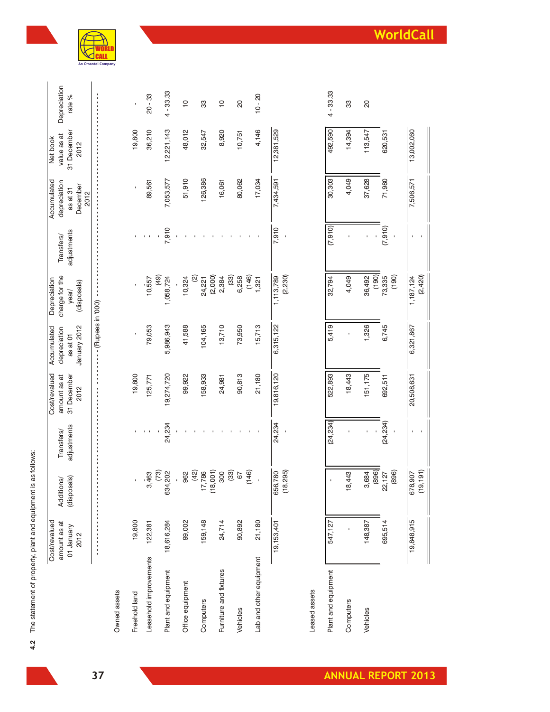|                                          |             |                           | Cost/revalued Accumulated Depreciation |             | Accumulated     | Net book                 |              |
|------------------------------------------|-------------|---------------------------|----------------------------------------|-------------|-----------------|--------------------------|--------------|
| Transfers/<br>amount as at Additions/    |             | amount as at depreciation | charge for the                         | Transfers/  |                 | depreciation value as at | Depreciation |
| adjustments<br>(disposals)<br>01 January | 31 December | as at 01                  | year/                                  | adjustments | as at 31        | 31 December              | rate %       |
| 2012                                     | 2012        | January 2012              | (disposals)                            |             | <b>Jecember</b> | 2012                     |              |
|                                          |             |                           |                                        |             | <b>2012</b>     |                          |              |

| Owned assets            |              |                                   |        |            |           |                                           |       |           |            |               |
|-------------------------|--------------|-----------------------------------|--------|------------|-----------|-------------------------------------------|-------|-----------|------------|---------------|
| Freehold land           | 19,800       |                                   |        | 19,800     |           |                                           |       |           | 19,800     |               |
| Leasehold improvements  | 122,381      | (73)<br>3,463                     |        | 125,771    | 79,053    | 10,557                                    |       | 89,561    | 36,210     | $20 - 33$     |
| Plant and equipment     | 18,616,284   | 634,202                           | 24,234 | 19,274,720 | 5,986,943 | $\left( \frac{6}{2} \right)$<br>1,058,724 | 7,910 | 7,053,577 | 12,221,143 | $4 - 33.33$   |
| Office equipment        | 99,002       |                                   |        | 99,922     | 41,588    | 10,324                                    |       | 51,910    | 48,012     | $\frac{1}{2}$ |
| Computers               | 159,148      | 962<br>(42)<br>17,786<br>(18,001) |        | 158,933    | 104,165   | 24,221                                    |       | 126,386   | 32,547     | 33            |
| Furniture and fixtures  | 24,714       | 300<br>(33)                       |        | 24,981     | 13,710    | 2,384<br>(2,000)                          |       | 16,061    | 8,920      | ₽             |
| Vehicles                | 90,892       | 67                                |        | 90,813     | 73,950    | $\binom{33}{2}$<br>6,258                  |       | 80,062    | 10,751     | 8             |
| Lab and other equipment | 21,180       | (146)                             |        | 21,180     | 15,713    | (146)<br>$\frac{32}{3}$                   |       | 17,034    | 4,146      | $10 - 20$     |
|                         | 19, 153, 401 | 18,295<br>656,780                 | 24,234 | 19,816,120 | 6,315,122 | (2, 230)<br>1,113,789                     | 7,910 | 7,434,591 | 12,381,529 |               |

Leased assets

| Plant and equipment | 547,127    |                      | (24, 234) | 522,893    | 5,419     | 32,794                | (7, 910) | 30,303    | 492,590    | $4 - 33.33$ |
|---------------------|------------|----------------------|-----------|------------|-----------|-----------------------|----------|-----------|------------|-------------|
| <b>Computers</b>    |            | 18,443               |           | 18,443     |           | 4,049                 |          | 4,049     | 14,394     | 33          |
| <b>/ehicles</b>     | 48,387     | (896)<br>3,684       |           | 51,175     | 1,326     | 36,492<br>(190)       |          | 37,628    | 113,547    | 8           |
|                     | 695,514    | (896)<br>22,127      | (24, 234) | 692,511    | 6,745     | 73,335<br>(190)       | (7,910)  | 71,980    | 620,531    |             |
|                     | 19,848,915 | (19, 191)<br>678,907 |           | 20,508,631 | 6,321,867 | (2, 420)<br>1,187,124 |          | 7,506,571 | 13,002,060 |             |

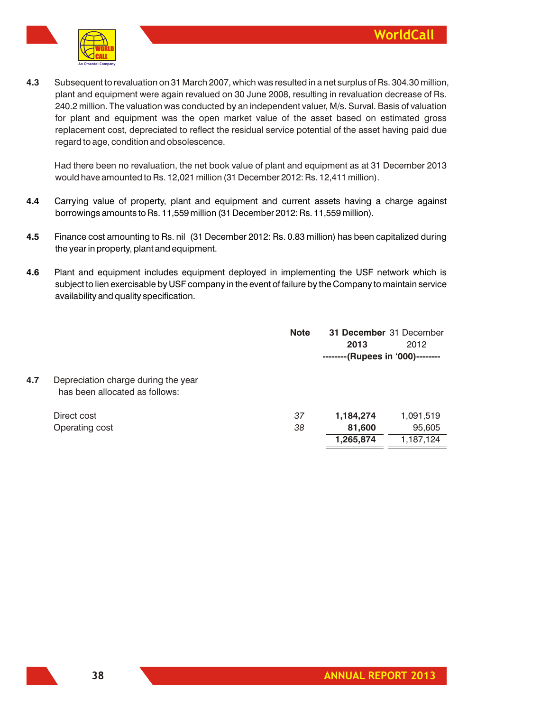

**4.3** Subsequent to revaluation on 31 March 2007, which was resulted in a net surplus of Rs. 304.30 million, plant and equipment were again revalued on 30 June 2008, resulting in revaluation decrease of Rs. 240.2 million. The valuation was conducted by an independent valuer, M/s. Surval. Basis of valuation for plant and equipment was the open market value of the asset based on estimated gross replacement cost, depreciated to reflect the residual service potential of the asset having paid due regard to age, condition and obsolescence.

Had there been no revaluation, the net book value of plant and equipment as at 31 December 2013 would have amounted to Rs. 12,021 million (31 December 2012: Rs. 12,411 million).

- **4.4** Carrying value of property, plant and equipment and current assets having a charge against borrowings amounts to Rs. 11,559 million (31 December 2012: Rs. 11,559 million).
- **4.5** Finance cost amounting to Rs. nil (31 December 2012: Rs. 0.83 million) has been capitalized during the year in property, plant and equipment.
- **4.6** Plant and equipment includes equipment deployed in implementing the USF network which is subject to lien exercisable by USF company in the event of failure by the Company to maintain service availability and quality specification.

|     |                                                                       | <b>Note</b> | 31 December 31 December          |           |
|-----|-----------------------------------------------------------------------|-------------|----------------------------------|-----------|
|     |                                                                       |             | 2013                             | 2012      |
|     |                                                                       |             | --------(Rupees in '000)-------- |           |
| 4.7 | Depreciation charge during the year<br>has been allocated as follows: |             |                                  |           |
|     | Direct cost                                                           | 37          | 1,184,274                        | 1,091,519 |
|     | Operating cost                                                        | 38          | 81,600                           | 95,605    |
|     |                                                                       |             | 1,265,874                        | 1,187,124 |
|     |                                                                       |             |                                  |           |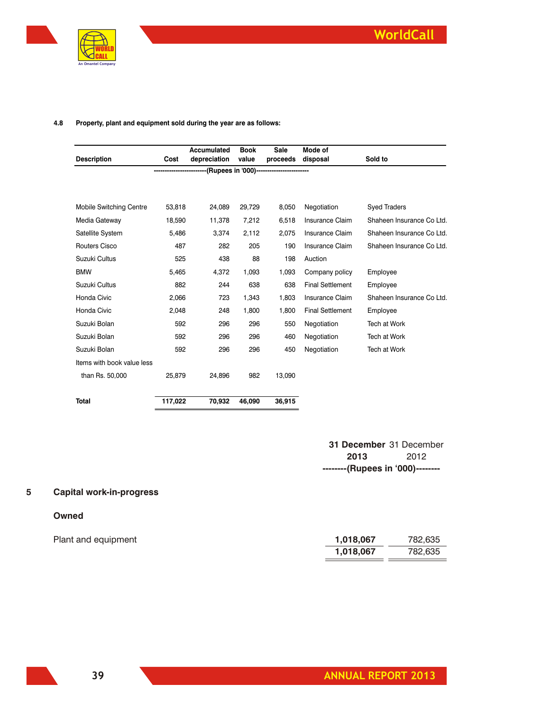

#### **4.8 Property, plant and equipment sold during the year are as follows:**

|         | Accumulated      | <b>Book</b>      | Sale            | Mode of                 |                                                                                                           |
|---------|------------------|------------------|-----------------|-------------------------|-----------------------------------------------------------------------------------------------------------|
| Cost    | depreciation     | value            | proceeds        | disposal                | Sold to                                                                                                   |
|         |                  |                  |                 |                         |                                                                                                           |
|         |                  |                  |                 |                         |                                                                                                           |
|         |                  |                  |                 |                         | <b>Syed Traders</b>                                                                                       |
|         |                  |                  |                 |                         |                                                                                                           |
|         |                  |                  |                 |                         | Shaheen Insurance Co Ltd.                                                                                 |
| 5,486   | 3,374            | 2.112            | 2.075           | <b>Insurance Claim</b>  | Shaheen Insurance Co Ltd.                                                                                 |
| 487     | 282              | 205              | 190             | <b>Insurance Claim</b>  | Shaheen Insurance Co Ltd.                                                                                 |
| 525     | 438              | 88               | 198             | Auction                 |                                                                                                           |
| 5,465   | 4,372            | 1,093            | 1,093           | Company policy          | Employee                                                                                                  |
| 882     | 244              | 638              | 638             | <b>Final Settlement</b> | Employee                                                                                                  |
| 2,066   | 723              | 1,343            | 1,803           | <b>Insurance Claim</b>  | Shaheen Insurance Co Ltd.                                                                                 |
| 2,048   | 248              | 1,800            | 1,800           | <b>Final Settlement</b> | Employee                                                                                                  |
| 592     | 296              | 296              | 550             | Negotiation             | Tech at Work                                                                                              |
| 592     | 296              | 296              | 460             | Negotiation             | Tech at Work                                                                                              |
| 592     | 296              | 296              | 450             | Negotiation             | Tech at Work                                                                                              |
|         |                  |                  |                 |                         |                                                                                                           |
| 25,879  | 24,896           | 982              | 13,090          |                         |                                                                                                           |
|         |                  |                  |                 |                         |                                                                                                           |
| 117,022 | 70,932           | 46,090           | 36,915          |                         |                                                                                                           |
|         | 53,818<br>18,590 | 24.089<br>11,378 | 29,729<br>7,212 | 8,050<br>6,518          | ------------------------(Rupees in '000)------------------------<br>Negotiation<br><b>Insurance Claim</b> |

| 31 December 31 December          |      |
|----------------------------------|------|
| 2013                             | 2012 |
| --------(Rupees in '000)-------- |      |

# **5 Capital work-in-progress**

### **Owned**

| Plant and equipment | 1.018.067 | 782,635 |
|---------------------|-----------|---------|
|                     | 1.018.067 | 782.635 |
|                     |           |         |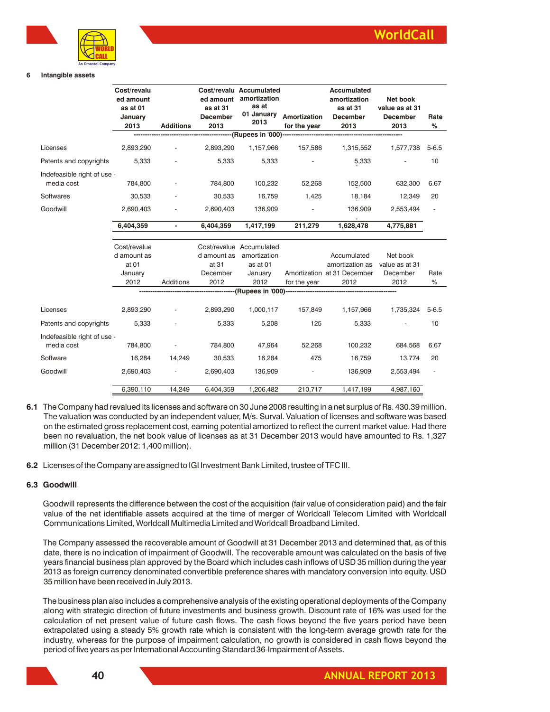

#### **6 Intangible assets**

|                                           | Cost/revalu<br>ed amount<br>as at 01<br>January<br>2013 | <b>Additions</b> | ed amount<br>as at 31<br>December<br>2013 | Cost/revalu Accumulated<br>amortization<br>as at<br>01 January<br>2013 | Amortization<br>for the year | Accumulated<br>amortization<br>as at 31<br><b>December</b><br>2013 | Net book<br>value as at 31<br>December<br>2013 | Rate<br>$\%$             |
|-------------------------------------------|---------------------------------------------------------|------------------|-------------------------------------------|------------------------------------------------------------------------|------------------------------|--------------------------------------------------------------------|------------------------------------------------|--------------------------|
|                                           |                                                         |                  |                                           |                                                                        |                              |                                                                    |                                                |                          |
| Licenses                                  | 2,893,290                                               |                  | 2,893,290                                 | 1,157,966                                                              | 157,586                      | 1,315,552                                                          | 1,577,738                                      | $5 - 6.5$                |
| Patents and copyrights                    | 5,333                                                   |                  | 5,333                                     | 5,333                                                                  |                              | 5,333                                                              |                                                | 10                       |
| Indefeasible right of use -               |                                                         |                  |                                           |                                                                        |                              |                                                                    |                                                |                          |
| media cost                                | 784,800                                                 |                  | 784,800                                   | 100,232                                                                | 52,268                       | 152,500                                                            | 632,300                                        | 6.67                     |
| Softwares                                 | 30,533                                                  |                  | 30,533                                    | 16,759                                                                 | 1,425                        | 18,184                                                             | 12,349                                         | 20                       |
| Goodwill                                  | 2,690,403                                               |                  | 2,690,403                                 | 136,909                                                                |                              | 136,909                                                            | 2,553,494                                      | $\overline{\phantom{a}}$ |
|                                           | 6,404,359                                               |                  | 6,404,359                                 | 1,417,199                                                              | 211,279                      | 1,628,478                                                          | 4,775,881                                      |                          |
|                                           |                                                         |                  |                                           |                                                                        |                              |                                                                    |                                                |                          |
|                                           | Cost/revalue                                            |                  |                                           | Cost/revalue Accumulated                                               |                              |                                                                    |                                                |                          |
|                                           | d amount as                                             |                  |                                           | d amount as amortization                                               |                              | Accumulated                                                        | Net book                                       |                          |
|                                           | at 01                                                   |                  | at 31                                     | as at 01                                                               |                              | amortization as                                                    | value as at 31                                 |                          |
|                                           | January<br>2012                                         | Additions        | December                                  | January<br>2012                                                        |                              | Amortization at 31 December                                        | December                                       | Rate<br>%                |
|                                           |                                                         |                  | 2012                                      |                                                                        | for the year                 | 2012                                                               | 2012                                           |                          |
|                                           |                                                         |                  |                                           |                                                                        |                              |                                                                    |                                                |                          |
| Licenses                                  | 2,893,290                                               |                  | 2,893,290                                 | 1,000,117                                                              | 157,849                      | 1,157,966                                                          | 1,735,324                                      | $5 - 6.5$                |
| Patents and copyrights                    | 5,333                                                   |                  | 5,333                                     | 5,208                                                                  | 125                          | 5,333                                                              |                                                | 10                       |
| Indefeasible right of use -<br>media cost | 784,800                                                 |                  | 784,800                                   | 47,964                                                                 | 52,268                       | 100,232                                                            | 684,568                                        | 6.67                     |
| Software                                  | 16,284                                                  | 14,249           | 30,533                                    | 16,284                                                                 | 475                          | 16,759                                                             | 13,774                                         | 20                       |
| Goodwill                                  | 2,690,403                                               |                  | 2,690,403                                 | 136,909                                                                | $\omega$                     | 136,909                                                            | 2,553,494                                      | $\overline{\phantom{a}}$ |
|                                           | 6,390,110                                               | 14,249           | 6,404,359                                 | 1,206,482                                                              | 210,717                      | 1,417,199                                                          | 4,987,160                                      |                          |

- **6.1** The Company had revalued its licenses and software on 30 June 2008 resulting in a net surplus of Rs. 430.39 million. The valuation was conducted by an independent valuer, M/s. Surval. Valuation of licenses and software was based on the estimated gross replacement cost, earning potential amortized to reflect the current market value. Had there been no revaluation, the net book value of licenses as at 31 December 2013 would have amounted to Rs. 1,327 million (31 December 2012: 1,400 million).
- **6.2** Licenses of the Company are assigned to IGI Investment Bank Limited, trustee of TFC III.

#### **6.3 Goodwill**

Goodwill represents the difference between the cost of the acquisition (fair value of consideration paid) and the fair value of the net identifiable assets acquired at the time of merger of Worldcall Telecom Limited with Worldcall Communications Limited, Worldcall Multimedia Limited and Worldcall Broadband Limited.

The Company assessed the recoverable amount of Goodwill at 31 December 2013 and determined that, as of this date, there is no indication of impairment of Goodwill. The recoverable amount was calculated on the basis of five years financial business plan approved by the Board which includes cash inflows of USD 35 million during the year 2013 as foreign currency denominated convertible preference shares with mandatory conversion into equity. USD 35 million have been received in July 2013.

The business plan also includes a comprehensive analysis of the existing operational deployments of the Company along with strategic direction of future investments and business growth. Discount rate of 16% was used for the calculation of net present value of future cash flows. The cash flows beyond the five years period have been extrapolated using a steady 5% growth rate which is consistent with the long-term average growth rate for the industry, whereas for the purpose of impairment calculation, no growth is considered in cash flows beyond the period of five years as perInternational Accounting Standard 36-Impairment of Assets.

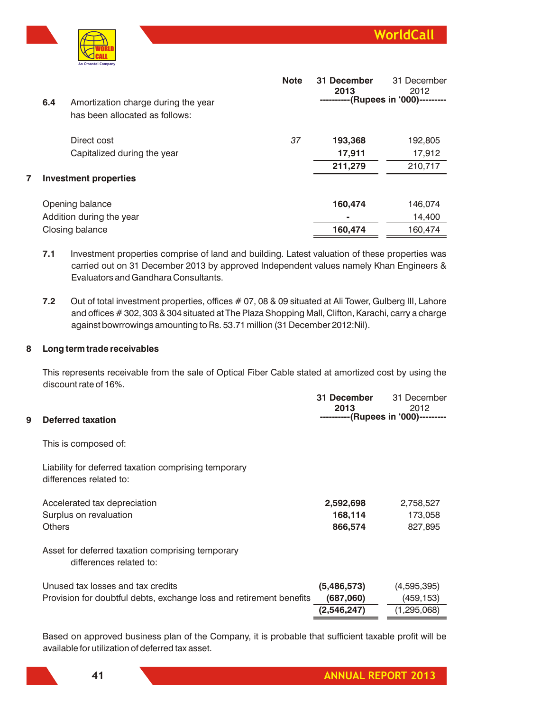31 December

**Note 31 December**



|   | 6.4 | Amortization charge during the year<br>has been allocated as follows: | <b>NOTE</b> | 31 December<br>2013 | 31 December<br>2012<br>(Rupees in '000)- |
|---|-----|-----------------------------------------------------------------------|-------------|---------------------|------------------------------------------|
|   |     | Direct cost                                                           | 37          | 193,368             | 192,805                                  |
|   |     | Capitalized during the year                                           |             | 17.911              | 17,912                                   |
|   |     |                                                                       |             | 211,279             | 210,717                                  |
| 7 |     | <b>Investment properties</b>                                          |             |                     |                                          |
|   |     | Opening balance                                                       |             | 160,474             | 146,074                                  |
|   |     | Addition during the year                                              |             |                     | 14,400                                   |
|   |     | Closing balance                                                       |             | 160,474             | 160,474                                  |
|   |     |                                                                       |             |                     |                                          |

- **7.1** Investment properties comprise of land and building. Latest valuation of these properties was carried out on 31 December 2013 by approved Independent values namely Khan Engineers & Evaluators and Gandhara Consultants.
- 7.2 Out of total investment properties, offices # 07, 08 & 09 situated at Ali Tower, Gulberg III, Lahore and offices # 302, 303 & 304 situated at The Plaza Shopping Mall, Clifton, Karachi, carry a charge against bowrrowings amounting to Rs. 53.71 million (31 December 2012:Nil).

#### **8 Long term trade receivables**

This represents receivable from the sale of Optical Fiber Cable stated at amortized cost by using the discount rate of 16%.

| 9 | Deferred taxation                                                               | 31 December<br>2013<br>----------(Rupees in '000)----- | 31 December<br>2012 |
|---|---------------------------------------------------------------------------------|--------------------------------------------------------|---------------------|
|   | This is composed of:                                                            |                                                        |                     |
|   | Liability for deferred taxation comprising temporary<br>differences related to: |                                                        |                     |
|   | Accelerated tax depreciation                                                    | 2,592,698                                              | 2,758,527           |
|   | Surplus on revaluation                                                          | 168,114                                                | 173,058             |
|   | <b>Others</b>                                                                   | 866,574                                                | 827,895             |
|   | Asset for deferred taxation comprising temporary<br>differences related to:     |                                                        |                     |
|   | Unused tax losses and tax credits                                               | (5,486,573)                                            | (4,595,395)         |
|   | Provision for doubtful debts, exchange loss and retirement benefits             | (687,060)                                              | (459,153)           |
|   |                                                                                 | (2,546,247)                                            | (1, 295, 068)       |
|   |                                                                                 |                                                        |                     |

Based on approved business plan of the Company, it is probable that sufficient taxable profit will be available for utilization of deferred tax asset.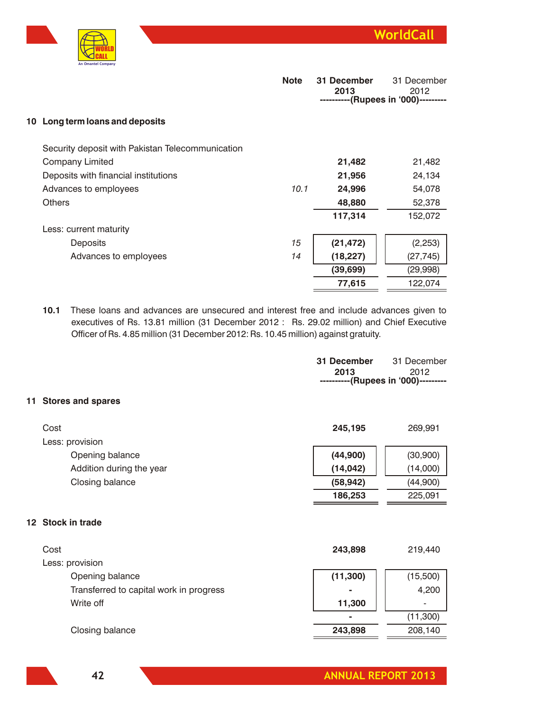



|                                                  | <b>Note</b> | 31 December<br>2013 | 31 December<br>2012<br>--(Rupees in '000)--------- |
|--------------------------------------------------|-------------|---------------------|----------------------------------------------------|
| 10 Long term loans and deposits                  |             |                     |                                                    |
| Security deposit with Pakistan Telecommunication |             |                     |                                                    |
| <b>Company Limited</b>                           |             | 21,482              | 21,482                                             |
| Deposits with financial institutions             |             | 21,956              | 24,134                                             |
| Advances to employees                            | 10.1        | 24,996              | 54,078                                             |
| <b>Others</b>                                    |             | 48,880              | 52,378                                             |
|                                                  |             | 117,314             | 152,072                                            |
| Less: current maturity                           |             |                     |                                                    |
| <b>Deposits</b>                                  | 15          | (21, 472)           | (2, 253)                                           |
| Advances to employees                            | 14          | (18, 227)           | (27, 745)                                          |
|                                                  |             | (39, 699)           | (29, 998)                                          |
|                                                  |             | 77,615              | 122,074                                            |

**10.1** These loans and advances are unsecured and interest free and include advances given to executives of Rs. 13.81 million (31 December 2012 : Rs. 29.02 million) and Chief Executive Officer of Rs. 4.85 million (31 December 2012: Rs. 10.45 million) against gratuity.

|    |                                         | 31 December<br>2013 | 31 December<br>2012<br>----------(Rupees in '000)--------- |
|----|-----------------------------------------|---------------------|------------------------------------------------------------|
| 11 | <b>Stores and spares</b>                |                     |                                                            |
|    | Cost                                    | 245,195             | 269,991                                                    |
|    | Less: provision                         |                     |                                                            |
|    | Opening balance                         | (44,900)            | (30,900)                                                   |
|    | Addition during the year                | (14, 042)           | (14,000)                                                   |
|    | Closing balance                         | (58, 942)           | (44,900)                                                   |
|    |                                         | 186,253             | 225,091                                                    |
|    | 12 Stock in trade                       |                     |                                                            |
|    | Cost                                    | 243,898             | 219,440                                                    |
|    | Less: provision                         |                     |                                                            |
|    | Opening balance                         | (11, 300)           | (15,500)                                                   |
|    | Transferred to capital work in progress |                     | 4,200                                                      |
|    | Write off                               | 11,300              |                                                            |
|    |                                         |                     | (11,300)                                                   |
|    | Closing balance                         | 243,898             | 208,140                                                    |
|    |                                         |                     |                                                            |

**12 Stock in trade**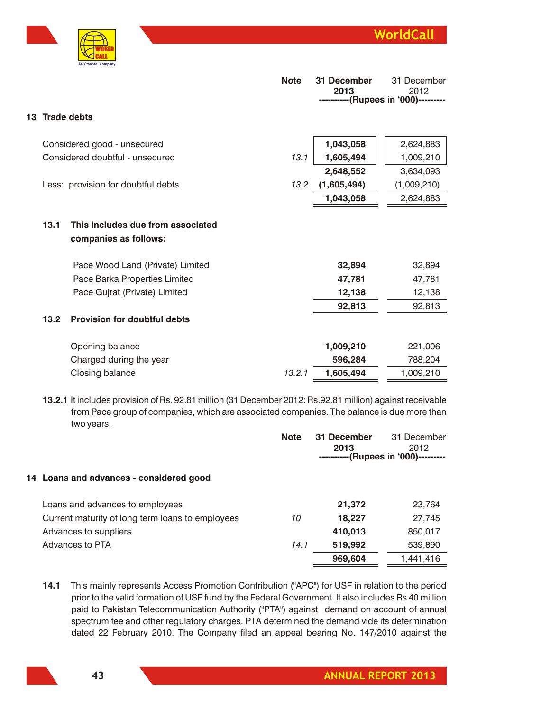

|    |      |                                     | <b>Note</b> | 31 December<br>2013 | 31 December<br>2012                 |
|----|------|-------------------------------------|-------------|---------------------|-------------------------------------|
|    |      |                                     |             |                     | ----------(Rupees in '000)--------- |
| 13 |      | <b>Trade debts</b>                  |             |                     |                                     |
|    |      | Considered good - unsecured         |             | 1,043,058           | 2,624,883                           |
|    |      | Considered doubtful - unsecured     | 13.1        | 1,605,494           | 1,009,210                           |
|    |      |                                     |             | 2,648,552           | 3,634,093                           |
|    |      | Less: provision for doubtful debts  | 13.2        | (1,605,494)         | (1,009,210)                         |
|    |      |                                     |             | 1,043,058           | 2,624,883                           |
|    |      |                                     |             |                     |                                     |
|    | 13.1 | This includes due from associated   |             |                     |                                     |
|    |      | companies as follows:               |             |                     |                                     |
|    |      | Pace Wood Land (Private) Limited    |             | 32,894              | 32,894                              |
|    |      | Pace Barka Properties Limited       |             | 47,781              | 47,781                              |
|    |      | Pace Gujrat (Private) Limited       |             | 12,138              | 12,138                              |
|    |      |                                     |             | 92,813              | 92,813                              |
|    | 13.2 | <b>Provision for doubtful debts</b> |             |                     |                                     |
|    |      | Opening balance                     |             | 1,009,210           | 221,006                             |
|    |      | Charged during the year             |             | 596,284             | 788,204                             |
|    |      | Closing balance                     | 13.2.1      | 1,605,494           | 1,009,210                           |
|    |      |                                     |             |                     |                                     |

**13.2.1** It includes provision of Rs. 92.81 million (31 December 2012: Rs.92.81 million) against receivable from Pace group of companies, which are associated companies. The balance is due more than two years.

|                                                  | <b>Note</b> | 31 December<br>2013 | 31 December<br>2012<br>-(Rupees in '000)----- |
|--------------------------------------------------|-------------|---------------------|-----------------------------------------------|
| 14 Loans and advances - considered good          |             |                     |                                               |
| Loans and advances to employees                  |             | 21,372              | 23,764                                        |
| Current maturity of long term loans to employees | 10          | 18,227              | 27,745                                        |
| Advances to suppliers                            |             | 410,013             | 850,017                                       |
| Advances to PTA                                  | 14.1        | 519,992             | 539,890                                       |
|                                                  |             | 969,604             | 1,441,416                                     |
|                                                  |             |                     |                                               |

**14.1** This mainly represents Access Promotion Contribution ("APC") for USF in relation to the period prior to the valid formation of USF fund by the Federal Government. It also includes Rs 40 million paid to Pakistan Telecommunication Authority ("PTA") against demand on account of annual spectrum fee and other regulatory charges. PTA determined the demand vide its determination dated 22 February 2010. The Company filed an appeal bearing No. 147/2010 against the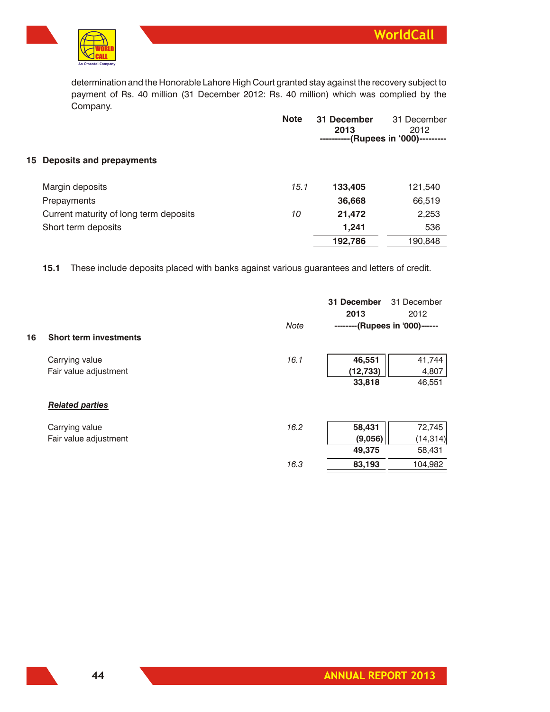

determination and the Honorable Lahore High Court granted stay against the recovery subject to payment of Rs. 40 million (31 December 2012: Rs. 40 million) which was complied by the Company.

|                                        | <b>Note</b> | 31 December<br>2013 | 31 December<br>2012<br>--(Rupees in '000)----- |
|----------------------------------------|-------------|---------------------|------------------------------------------------|
| 15 Deposits and prepayments            |             |                     |                                                |
| Margin deposits                        | 15.1        | 133,405             | 121,540                                        |
| Prepayments                            |             | 36,668              | 66,519                                         |
| Current maturity of long term deposits | 10          | 21,472              | 2,253                                          |
| Short term deposits                    |             | 1,241               | 536                                            |
|                                        |             | 192,786             | 190,848                                        |
|                                        |             |                     |                                                |

**15.1** These include deposits placed with banks against various guarantees and letters of credit.

|    |                               |             | 31 December<br>2013 | 31 December<br>2012      |
|----|-------------------------------|-------------|---------------------|--------------------------|
|    |                               | <b>Note</b> |                     | --(Rupees in '000)------ |
| 16 | <b>Short term investments</b> |             |                     |                          |
|    | Carrying value                | 16.1        | 46,551              | 41,744                   |
|    | Fair value adjustment         |             | (12, 733)           | 4,807                    |
|    |                               |             | 33,818              | 46,551                   |
|    | <b>Related parties</b>        |             |                     |                          |
|    | Carrying value                | 16.2        | 58,431              | 72,745                   |
|    | Fair value adjustment         |             | (9,056)             | (14, 314)                |
|    |                               |             | 49,375              | 58,431                   |
|    |                               | 16.3        | 83,193              | 104,982                  |
|    |                               |             |                     |                          |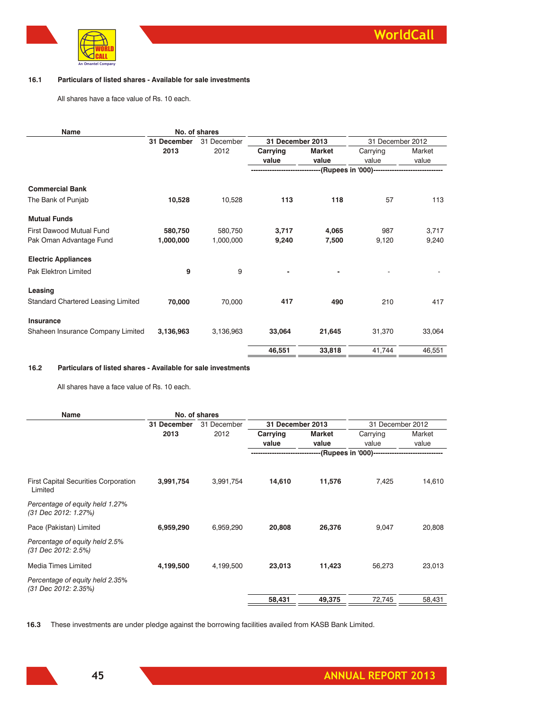

#### **16.1 Particulars of listed shares - Available for sale investments**

All shares have a face value of Rs. 10 each.

| Name                               | No. of shares |             |                  |               |                                       |        |
|------------------------------------|---------------|-------------|------------------|---------------|---------------------------------------|--------|
|                                    | 31 December   | 31 December | 31 December 2013 |               | 31 December 2012                      |        |
|                                    | 2013          | 2012        | Carrying         | <b>Market</b> | Carrying                              | Market |
|                                    |               |             | value            | value         | value                                 | value  |
|                                    |               |             |                  |               | --(Rupees in '000)------------------- |        |
| <b>Commercial Bank</b>             |               |             |                  |               |                                       |        |
| The Bank of Punjab                 | 10,528        | 10,528      | 113              | 118           | 57                                    | 113    |
| <b>Mutual Funds</b>                |               |             |                  |               |                                       |        |
| First Dawood Mutual Fund           | 580,750       | 580,750     | 3,717            | 4,065         | 987                                   | 3,717  |
| Pak Oman Advantage Fund            | 1,000,000     | 1,000,000   | 9,240            | 7,500         | 9,120                                 | 9,240  |
| <b>Electric Appliances</b>         |               |             |                  |               |                                       |        |
| <b>Pak Elektron Limited</b>        | 9             | 9           |                  |               |                                       |        |
| Leasing                            |               |             |                  |               |                                       |        |
| Standard Chartered Leasing Limited | 70,000        | 70,000      | 417              | 490           | 210                                   | 417    |
| Insurance                          |               |             |                  |               |                                       |        |
| Shaheen Insurance Company Limited  | 3,136,963     | 3,136,963   | 33,064           | 21,645        | 31,370                                | 33,064 |
|                                    |               |             | 46,551           | 33,818        |                                       | 46,551 |
|                                    |               |             |                  |               | 41,744                                |        |

#### **16.2 Particulars of listed shares - Available for sale investments**

All shares have a face value of Rs. 10 each.

| Name                                                    | No. of shares |             |                  |               |                              |        |
|---------------------------------------------------------|---------------|-------------|------------------|---------------|------------------------------|--------|
|                                                         | 31 December   | 31 December | 31 December 2013 |               | 31 December 2012             |        |
|                                                         | 2013          | 2012        | Carrying         | <b>Market</b> | Carrying                     | Market |
|                                                         |               |             | value            | value         | value                        | value  |
|                                                         |               |             |                  |               | ---(Rupees in '000)--------- |        |
| <b>First Capital Securities Corporation</b><br>Limited  | 3,991,754     | 3,991,754   | 14,610           | 11,576        | 7,425                        | 14,610 |
| Percentage of equity held 1.27%<br>(31 Dec 2012: 1.27%) |               |             |                  |               |                              |        |
| Pace (Pakistan) Limited                                 | 6,959,290     | 6,959,290   | 20,808           | 26,376        | 9,047                        | 20,808 |
| Percentage of equity held 2.5%<br>(31 Dec 2012: 2.5%)   |               |             |                  |               |                              |        |
| Media Times Limited                                     | 4,199,500     | 4,199,500   | 23,013           | 11,423        | 56,273                       | 23,013 |
| Percentage of equity held 2.35%<br>(31 Dec 2012: 2.35%) |               |             |                  |               |                              |        |
|                                                         |               |             | 58,431           | 49,375        | 72,745                       | 58,431 |

**16.3** These investments are under pledge against the borrowing facilities availed from KASB Bank Limited.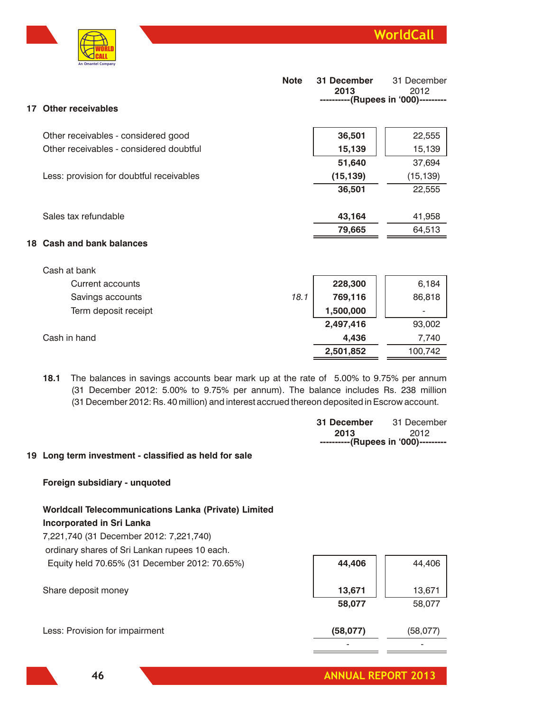

| 17 | <b>Other receivables</b>                 | <b>Note</b> | 31 December<br>2013 | 31 December<br>2012<br>----------(Rupees in '000)--------- |
|----|------------------------------------------|-------------|---------------------|------------------------------------------------------------|
|    | Other receivables - considered good      |             | 36,501              | 22,555                                                     |
|    | Other receivables - considered doubtful  |             | 15,139              | 15,139                                                     |
|    |                                          |             | 51,640              | 37,694                                                     |
|    | Less: provision for doubtful receivables |             | (15, 139)           | (15, 139)                                                  |
|    |                                          |             | 36,501              | 22,555                                                     |
|    | Sales tax refundable                     |             | 43,164              | 41,958                                                     |
|    |                                          |             | 79,665              | 64,513                                                     |
| 18 | <b>Cash and bank balances</b>            |             |                     |                                                            |
|    | Cash at bank                             |             |                     |                                                            |
|    | Current accounts                         |             | 228,300             | 6,184                                                      |
|    | Savings accounts                         | $101$       | <b>760 116</b>      | $96919$                                                    |

| 18.1 | 769,116   | 86,818  |
|------|-----------|---------|
|      | 1,500,000 | -       |
|      | 2,497,416 | 93,002  |
|      | 4.436     | 7,740   |
|      | 2,501,852 | 100,742 |
|      |           |         |

**18.1** The balances in savings accounts bear mark up at the rate of 5.00% to 9.75% per annum (31 December 2012: 5.00% to 9.75% per annum). The balance includes Rs. 238 million (31 December 2012: Rs. 40 million) and interest accrued thereon deposited in Escrow account.

| 31 December 31 December<br>2013 | 2012 |
|---------------------------------|------|

# **19 Long term investment - classified as held for sale**

#### **Foreign subsidiary - unquoted**

# **Worldcall Telecommunications Lanka (Private) Limited Incorporated in Sri Lanka**

7,221,740 (31 December 2012: 7,221,740) ordinary shares of Sri Lankan rupees 10 each.

| Equity held 70.65% (31 December 2012: 70.65%) | 44,406   | 44,406   |
|-----------------------------------------------|----------|----------|
| Share deposit money                           | 13,671   | 13,671   |
|                                               | 58,077   | 58,077   |
| Less: Provision for impairment                | (58,077) | (58,077) |
|                                               |          |          |

Г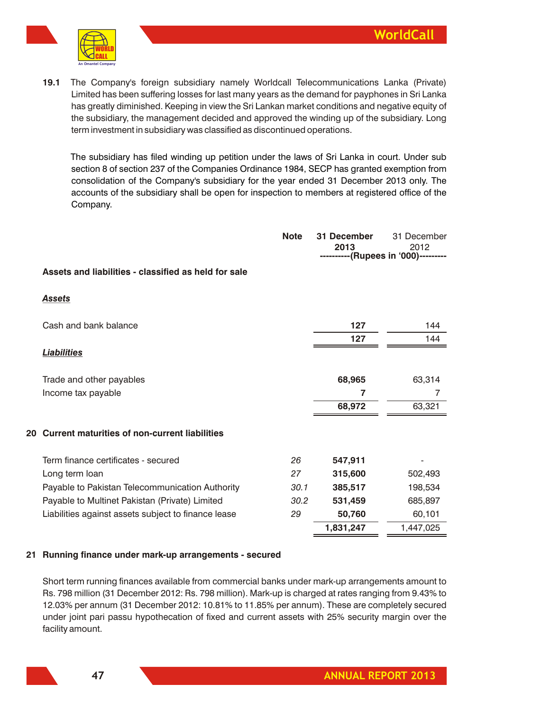

**19.1** The Company's foreign subsidiary namely Worldcall Telecommunications Lanka (Private) Limited has been suffering losses for last many years as the demand for payphones in Sri Lanka has greatly diminished. Keeping in view the Sri Lankan market conditions and negative equity of the subsidiary, the management decided and approved the winding up of the subsidiary. Long term investment in subsidiary was classified as discontinued operations.

The subsidiary has filed winding up petition under the laws of Sri Lanka in court. Under sub section 8 of section 237 of the Companies Ordinance 1984, SECP has granted exemption from consolidation of the Company's subsidiary for the year ended 31 December 2013 only. The accounts of the subsidiary shall be open for inspection to members at registered office of the Company.

|                                                            | <b>Note</b> | 31 December<br>2013 | 31 December<br>2012<br>----------(Rupees in '000)--------- |
|------------------------------------------------------------|-------------|---------------------|------------------------------------------------------------|
| Assets and liabilities - classified as held for sale       |             |                     |                                                            |
| <b>Assets</b>                                              |             |                     |                                                            |
| Cash and bank balance                                      |             | 127                 | 144                                                        |
| <b>Liabilities</b>                                         |             | 127                 | 144                                                        |
| Trade and other payables                                   |             | 68,965              | 63,314                                                     |
| Income tax payable                                         |             | 7                   | 7                                                          |
|                                                            |             | 68,972              | 63,321                                                     |
| <b>Current maturities of non-current liabilities</b><br>20 |             |                     |                                                            |
| Term finance certificates - secured                        | 26          | 547,911             |                                                            |
| Long term loan                                             | 27          | 315,600             | 502,493                                                    |
| Payable to Pakistan Telecommunication Authority            | 30.1        | 385,517             | 198,534                                                    |
| Payable to Multinet Pakistan (Private) Limited             | 30.2        | 531,459             | 685,897                                                    |
| Liabilities against assets subject to finance lease        | 29          | 50,760              | 60,101                                                     |
|                                                            |             | 1,831,247           | 1,447,025                                                  |
|                                                            |             |                     |                                                            |

#### **21 Running finance under mark-up arrangements - secured**

Short term running finances available from commercial banks under mark-up arrangements amount to Rs. 798 million (31 December 2012: Rs. 798 million). Mark-up is charged at rates ranging from 9.43% to 12.03% per annum (31 December 2012: 10.81% to 11.85% per annum). These are completely secured under joint pari passu hypothecation of fixed and current assets with 25% security margin over the facility amount.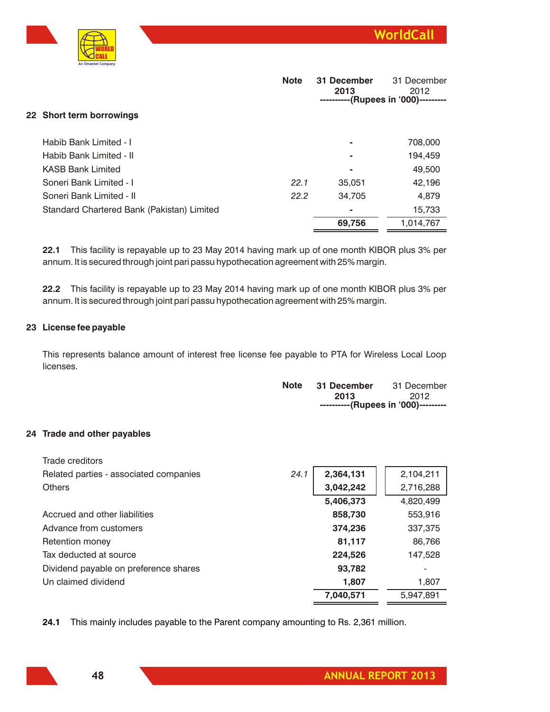

|                                            | <b>Note</b> | 31 December<br>2013 | 31 December<br>2012<br>-(Rupees in '000)--------- |
|--------------------------------------------|-------------|---------------------|---------------------------------------------------|
| 22 Short term borrowings                   |             |                     |                                                   |
| Habib Bank Limited - I                     |             |                     | 708,000                                           |
| Habib Bank Limited - II                    |             |                     | 194,459                                           |
| <b>KASB Bank Limited</b>                   |             | ۰                   | 49,500                                            |
| Soneri Bank Limited - I                    | 22.1        | 35.051              | 42,196                                            |
| Soneri Bank Limited - II                   | 22.2        | 34.705              | 4,879                                             |
| Standard Chartered Bank (Pakistan) Limited |             |                     | 15,733                                            |
|                                            |             | 69,756              | 1,014,767                                         |
|                                            |             |                     |                                                   |

**22.1** This facility is repayable up to 23 May 2014 having mark up of one month KIBOR plus 3% per annum. It is secured through joint pari passu hypothecation agreement with 25% margin.

**22.2** This facility is repayable up to 23 May 2014 having mark up of one month KIBOR plus 3% per annum. It is secured through joint pari passu hypothecation agreement with 25% margin.

### **23 License fee payable**

This represents balance amount of interest free license fee payable to PTA for Wireless Local Loop licenses.

|  | Note 31 December                    | 31 December |
|--|-------------------------------------|-------------|
|  | 2013                                | 2012        |
|  | ----------(Rupees in '000)--------- |             |

#### **24 Trade and other payables**

| Trade creditors                        |      |           |           |
|----------------------------------------|------|-----------|-----------|
| Related parties - associated companies | 24.1 | 2,364,131 | 2,104,211 |
| <b>Others</b>                          |      | 3,042,242 | 2,716,288 |
|                                        |      | 5,406,373 | 4,820,499 |
| Accrued and other liabilities          |      | 858,730   | 553,916   |
| Advance from customers                 |      | 374,236   | 337,375   |
| Retention money                        |      | 81,117    | 86,766    |
| Tax deducted at source                 |      | 224,526   | 147,528   |
| Dividend payable on preference shares  |      | 93,782    |           |
| Un claimed dividend                    |      | 1,807     | 1,807     |
|                                        |      | 7,040,571 | 5,947,891 |
|                                        |      |           |           |

**24.1** This mainly includes payable to the Parent company amounting to Rs. 2,361 million.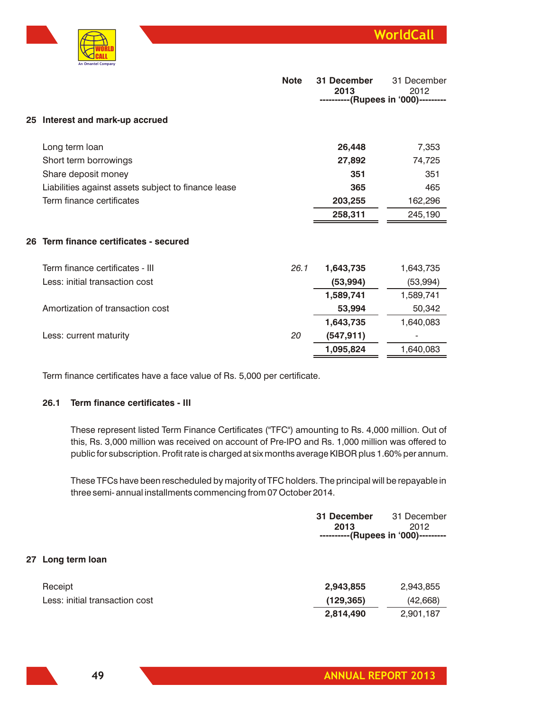



|                                                     | <b>Note</b> | 31 December<br>2013 | 31 December<br>2012<br>----------(Rupees in '000)--------- |
|-----------------------------------------------------|-------------|---------------------|------------------------------------------------------------|
| 25 Interest and mark-up accrued                     |             |                     |                                                            |
| Long term loan                                      |             | 26,448              | 7,353                                                      |
| Short term borrowings                               |             | 27,892              | 74,725                                                     |
| Share deposit money                                 |             | 351                 | 351                                                        |
| Liabilities against assets subject to finance lease |             | 365                 | 465                                                        |
| Term finance certificates                           |             | 203,255             | 162,296                                                    |
|                                                     |             | 258,311             | 245,190                                                    |
| 26 Term finance certificates - secured              |             |                     |                                                            |
| Term finance certificates - III                     | 26.1        | 1,643,735           | 1,643,735                                                  |
| Less: initial transaction cost                      |             | (53, 994)           | (53, 994)                                                  |
|                                                     |             | 1,589,741           | 1,589,741                                                  |
| Amortization of transaction cost                    |             | 53,994              | 50,342                                                     |
|                                                     |             | 1,643,735           | 1,640,083                                                  |
| Less: current maturity                              | 20          | (547, 911)          |                                                            |
|                                                     |             | 1,095,824           | 1,640,083                                                  |

Term finance certificates have a face value of Rs. 5,000 per certificate.

# **26.1 Term finance certificates - III**

These represent listed Term Finance Certificates ("TFC") amounting to Rs. 4,000 million. Out of this, Rs. 3,000 million was received on account of Pre-IPO and Rs. 1,000 million was offered to public for subscription. Profit rate is charged at six months average KIBOR plus 1.60% per annum.

These TFCs have been rescheduled by majority of TFC holders. The principal will be repayable in three semi- annual installments commencing from 07 October 2014.

| 2013<br>-------- | 31 December<br>2012<br>--(Rupees in '000)--------- |
|------------------|----------------------------------------------------|
|                  |                                                    |
| 2,943,855        | 2,943,855                                          |
| (129, 365)       | (42, 668)                                          |
| 2,814,490        | 2,901,187                                          |
|                  | 31 December                                        |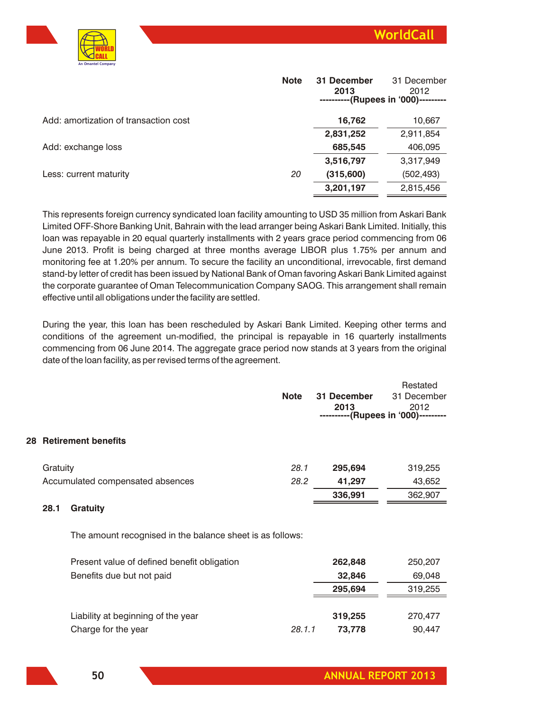

|                                       | <b>Note</b> | 31 December<br>2013 | 31 December<br>2012<br>-(Rupees in '000)--------- |
|---------------------------------------|-------------|---------------------|---------------------------------------------------|
| Add: amortization of transaction cost |             | 16,762              | 10,667                                            |
|                                       |             | 2,831,252           | 2,911,854                                         |
| Add: exchange loss                    |             | 685,545             | 406,095                                           |
|                                       |             | 3,516,797           | 3,317,949                                         |
| Less: current maturity                | 20          | (315, 600)          | (502, 493)                                        |
|                                       |             | 3,201,197           | 2,815,456                                         |

This represents foreign currency syndicated loan facility amounting to USD 35 million from Askari Bank Limited OFF-Shore Banking Unit, Bahrain with the lead arranger being Askari Bank Limited. Initially, this loan was repayable in 20 equal quarterly installments with 2 years grace period commencing from 06 June 2013. Profit is being charged at three months average LIBOR plus 1.75% per annum and monitoring fee at 1.20% per annum. To secure the facility an unconditional, irrevocable, first demand stand-by letter of credit has been issued by National Bank of Oman favoring Askari Bank Limited against the corporate guarantee of Oman Telecommunication Company SAOG. This arrangement shall remain effective until all obligations under the facility are settled.

During the year, this loan has been rescheduled by Askari Bank Limited. Keeping other terms and conditions of the agreement un-modified, the principal is repayable in 16 quarterly installments commencing from 06 June 2014. The aggregate grace period now stands at 3 years from the original date of the loan facility, as per revised terms of the agreement.

|    |          |                                                           |             |             | Restated                            |
|----|----------|-----------------------------------------------------------|-------------|-------------|-------------------------------------|
|    |          |                                                           | <b>Note</b> | 31 December | 31 December                         |
|    |          |                                                           |             | 2013        | 2012                                |
|    |          |                                                           |             |             | ----------(Rupees in '000)--------- |
|    |          |                                                           |             |             |                                     |
| 28 |          | <b>Retirement benefits</b>                                |             |             |                                     |
|    |          |                                                           |             |             |                                     |
|    | Gratuity |                                                           | 28.1        | 295,694     | 319,255                             |
|    |          | Accumulated compensated absences                          | 28.2        | 41,297      | 43,652                              |
|    |          |                                                           |             | 336,991     | 362,907                             |
|    | 28.1     | Gratuity                                                  |             |             |                                     |
|    |          |                                                           |             |             |                                     |
|    |          | The amount recognised in the balance sheet is as follows: |             |             |                                     |
|    |          |                                                           |             |             |                                     |
|    |          | Present value of defined benefit obligation               |             | 262,848     | 250,207                             |
|    |          | Benefits due but not paid                                 |             | 32,846      | 69,048                              |
|    |          |                                                           |             | 295,694     | 319,255                             |
|    |          |                                                           |             |             |                                     |
|    |          | Liability at beginning of the year                        |             | 319,255     | 270,477                             |
|    |          | Charge for the year                                       | 28.1.1      | 73,778      | 90,447                              |
|    |          |                                                           |             |             |                                     |

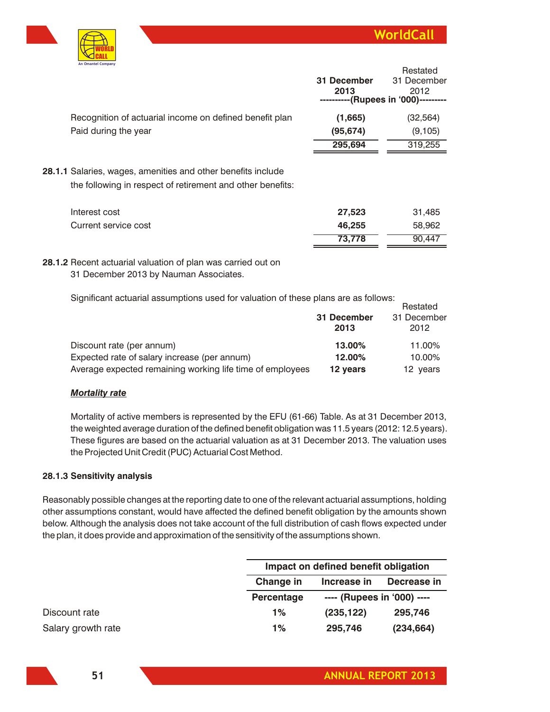

|                                                                                                                            |                                     | Restated    |
|----------------------------------------------------------------------------------------------------------------------------|-------------------------------------|-------------|
|                                                                                                                            | 31 December                         | 31 December |
|                                                                                                                            | 2013                                | 2012        |
|                                                                                                                            | ----------(Rupees in '000)--------- |             |
| Recognition of actuarial income on defined benefit plan                                                                    | (1,665)                             | (32, 564)   |
| Paid during the year                                                                                                       | (95, 674)                           | (9, 105)    |
|                                                                                                                            | 295,694                             | 319,255     |
| 28.1.1 Salaries, wages, amenities and other benefits include<br>the following in respect of retirement and other benefits: |                                     |             |
| Interest cost                                                                                                              | 27,523                              | 31,485      |
| Current service cost                                                                                                       | 46,255                              | 58,962      |
|                                                                                                                            | 73,778                              | 90,447      |
|                                                                                                                            |                                     |             |

**28.1.2** Recent actuarial valuation of plan was carried out on 31 December 2013 by Nauman Associates.

Significant actuarial assumptions used for valuation of these plans are as follows:

| Significant actuarial assumptions used for valuation of these plans are as follows: |             | Restated    |
|-------------------------------------------------------------------------------------|-------------|-------------|
|                                                                                     | 31 December | 31 December |
|                                                                                     | 2013        | 2012        |
| Discount rate (per annum)                                                           | 13.00%      | 11.00%      |
| Expected rate of salary increase (per annum)                                        | 12.00%      | 10.00%      |
| Average expected remaining working life time of employees                           | 12 years    | 12 years    |

# *Mortality rate*

Mortality of active members is represented by the EFU (61-66) Table. As at 31 December 2013, the weighted average duration of the defined benefit obligation was 11.5 years (2012: 12.5 years). These figures are based on the actuarial valuation as at 31 December 2013. The valuation uses the Projected Unit Credit (PUC) Actuarial Cost Method.

# **28.1.3 Sensitivity analysis**

Reasonably possible changes at the reporting date to one of the relevant actuarial assumptions, holding other assumptions constant, would have affected the defined benefit obligation by the amounts shown below. Although the analysis does not take account of the full distribution of cash flows expected under the plan, it does provide and approximation of the sensitivity of the assumptions shown.

|                    |            | Impact on defined benefit obligation |             |  |  |
|--------------------|------------|--------------------------------------|-------------|--|--|
|                    | Change in  | Increase in                          | Decrease in |  |  |
|                    | Percentage | ---- (Rupees in '000) ----           |             |  |  |
|                    | 1%         | (235, 122)                           | 295,746     |  |  |
| Salary growth rate | 1%         | 295,746                              | (234, 664)  |  |  |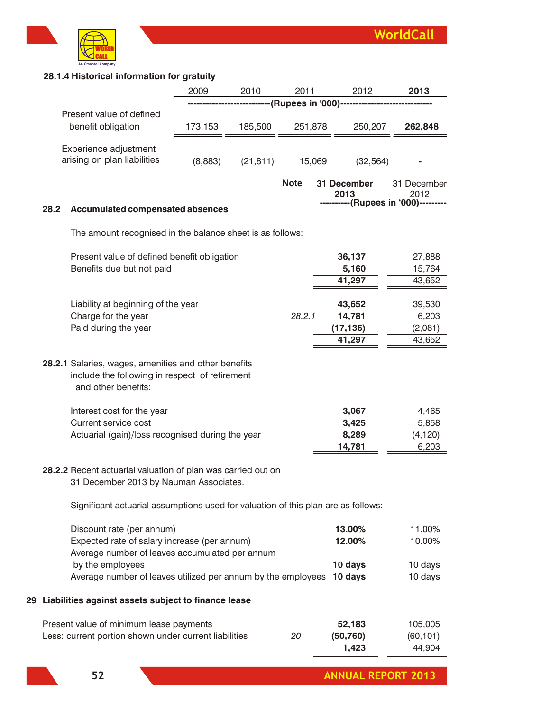

# **28.1.4 Historical information for gratuity**

|  |      |                                                                                                                                                                                                                                         | 2009    | 2010      | 2011        |                                        | 2012                        | 2013                                |
|--|------|-----------------------------------------------------------------------------------------------------------------------------------------------------------------------------------------------------------------------------------------|---------|-----------|-------------|----------------------------------------|-----------------------------|-------------------------------------|
|  |      |                                                                                                                                                                                                                                         |         |           |             | ---------(Rupees in '000)------------- |                             |                                     |
|  |      | Present value of defined                                                                                                                                                                                                                |         |           |             |                                        |                             |                                     |
|  |      | benefit obligation                                                                                                                                                                                                                      | 173,153 | 185,500   | 251,878     |                                        | 250,207                     | 262,848                             |
|  |      | Experience adjustment                                                                                                                                                                                                                   |         |           |             |                                        |                             |                                     |
|  |      | arising on plan liabilities                                                                                                                                                                                                             | (8,883) | (21, 811) |             | 15,069                                 | (32, 564)                   |                                     |
|  |      |                                                                                                                                                                                                                                         |         |           | <b>Note</b> |                                        | 31 December<br>2013         | 31 December<br>2012                 |
|  | 28.2 | <b>Accumulated compensated absences</b>                                                                                                                                                                                                 |         |           |             |                                        |                             | ----------(Rupees in '000)--------- |
|  |      | The amount recognised in the balance sheet is as follows:                                                                                                                                                                               |         |           |             |                                        |                             |                                     |
|  |      | Present value of defined benefit obligation                                                                                                                                                                                             |         |           |             |                                        | 36,137                      | 27,888                              |
|  |      | Benefits due but not paid                                                                                                                                                                                                               |         |           |             |                                        | 5,160                       | 15,764                              |
|  |      |                                                                                                                                                                                                                                         |         |           |             |                                        | 41,297                      | 43,652                              |
|  |      | Liability at beginning of the year                                                                                                                                                                                                      |         |           |             |                                        | 43,652                      | 39,530                              |
|  |      | Charge for the year                                                                                                                                                                                                                     |         |           | 28.2.1      |                                        | 14,781                      | 6,203                               |
|  |      | Paid during the year                                                                                                                                                                                                                    |         |           |             |                                        | (17, 136)                   | (2,081)                             |
|  |      |                                                                                                                                                                                                                                         |         |           |             |                                        | 41,297                      | 43,652                              |
|  |      | 28.2.1 Salaries, wages, amenities and other benefits<br>include the following in respect of retirement<br>and other benefits:<br>Interest cost for the year<br>Current service cost<br>Actuarial (gain)/loss recognised during the year |         |           |             |                                        | 3,067<br>3,425<br>8,289     | 4,465<br>5,858<br>(4, 120)          |
|  |      |                                                                                                                                                                                                                                         |         |           |             |                                        | 14,781                      | 6,203                               |
|  |      | 28.2.2 Recent actuarial valuation of plan was carried out on<br>31 December 2013 by Nauman Associates.                                                                                                                                  |         |           |             |                                        |                             |                                     |
|  |      | Significant actuarial assumptions used for valuation of this plan are as follows:                                                                                                                                                       |         |           |             |                                        |                             |                                     |
|  |      | Discount rate (per annum)<br>Expected rate of salary increase (per annum)<br>Average number of leaves accumulated per annum<br>by the employees                                                                                         |         |           |             |                                        | 13.00%<br>12.00%<br>10 days | 11.00%<br>10.00%<br>10 days         |
|  |      | Average number of leaves utilized per annum by the employees                                                                                                                                                                            |         |           |             |                                        | 10 days                     | 10 days                             |
|  |      | 29 Liabilities against assets subject to finance lease                                                                                                                                                                                  |         |           |             |                                        |                             |                                     |
|  |      | Present value of minimum lease payments                                                                                                                                                                                                 |         |           |             |                                        | 52,183                      | 105,005                             |
|  |      | Less: current portion shown under current liabilities                                                                                                                                                                                   |         |           | 20          |                                        | (50, 760)                   | (60, 101)                           |
|  |      |                                                                                                                                                                                                                                         |         |           |             |                                        | 1,423                       | 44,904                              |
|  |      |                                                                                                                                                                                                                                         |         |           |             |                                        |                             |                                     |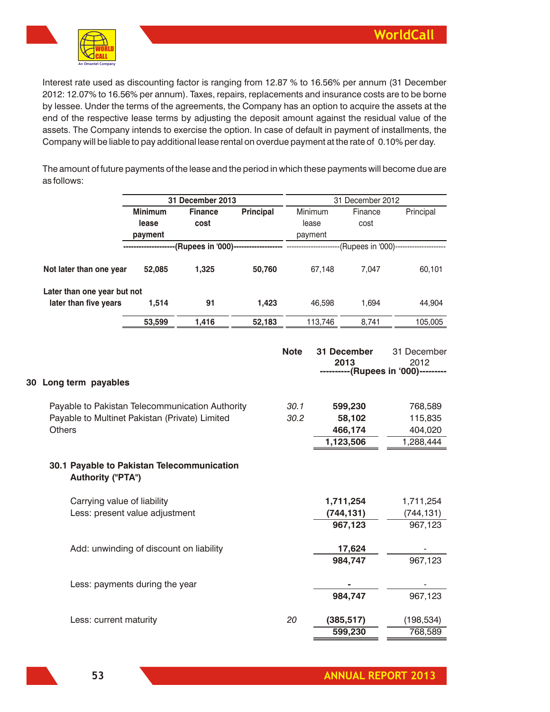

Interest rate used as discounting factor is ranging from 12.87 % to 16.56% per annum (31 December 2012: 12.07% to 16.56% per annum). Taxes, repairs, replacements and insurance costs are to be borne by lessee. Under the terms of the agreements, the Company has an option to acquire the assets at the end of the respective lease terms by adjusting the deposit amount against the residual value of the assets. The Company intends to exercise the option. In case of default in payment of installments, the Company will be liable to pay additional lease rental on overdue payment at the rate of 0.10% per day.

The amount of future payments of the lease and the period in which these payments will become due are as follows:

|                                                                        |                | 31 December 2013        |                  |             |         | 31 December 2012                   |                                     |
|------------------------------------------------------------------------|----------------|-------------------------|------------------|-------------|---------|------------------------------------|-------------------------------------|
|                                                                        | <b>Minimum</b> | <b>Finance</b>          | <b>Principal</b> |             | Minimum | Finance                            | Principal                           |
|                                                                        | lease          | cost                    |                  |             | lease   | cost                               |                                     |
|                                                                        | payment        |                         |                  |             | payment |                                    |                                     |
|                                                                        |                | ---(Rupees in '000)---- |                  |             |         | ------(Rupees in '000)------------ |                                     |
| Not later than one year                                                | 52,085         | 1,325                   | 50,760           |             | 67,148  | 7,047                              | 60,101                              |
| Later than one year but not                                            |                |                         |                  |             |         |                                    |                                     |
| later than five years                                                  | 1,514          | 91                      | 1,423            |             | 46,598  | 1,694                              | 44,904                              |
|                                                                        | 53,599         | 1,416                   | 52,183           |             | 113,746 | 8,741                              | 105,005                             |
|                                                                        |                |                         |                  | <b>Note</b> |         | 31 December<br>2013                | 31 December<br>2012                 |
|                                                                        |                |                         |                  |             |         |                                    | ----------(Rupees in '000)--------- |
| 30 Long term payables                                                  |                |                         |                  |             |         |                                    |                                     |
| Payable to Pakistan Telecommunication Authority                        |                |                         |                  | 30.1        |         | 599,230                            | 768,589                             |
| Payable to Multinet Pakistan (Private) Limited                         |                |                         |                  | 30.2        |         | 58,102                             | 115,835                             |
| <b>Others</b>                                                          |                |                         |                  |             |         | 466,174                            | 404,020                             |
|                                                                        |                |                         |                  |             |         | 1,123,506                          | 1,288,444                           |
| 30.1 Payable to Pakistan Telecommunication<br><b>Authority ("PTA")</b> |                |                         |                  |             |         |                                    |                                     |
| Carrying value of liability                                            |                |                         |                  |             |         | 1,711,254                          | 1,711,254                           |
| Less: present value adjustment                                         |                |                         |                  |             |         | (744, 131)                         | (744, 131)                          |
|                                                                        |                |                         |                  |             |         | 967,123                            | 967,123                             |
| Add: unwinding of discount on liability                                |                |                         |                  |             |         | 17,624                             |                                     |
|                                                                        |                |                         |                  |             |         | 984,747                            | 967,123                             |
| Less: payments during the year                                         |                |                         |                  |             |         |                                    |                                     |
|                                                                        |                |                         |                  |             |         | 984,747                            | 967,123                             |
| Less: current maturity                                                 |                |                         |                  | 20          |         | (385, 517)                         | (198, 534)                          |
|                                                                        |                |                         |                  |             |         | 599,230                            | 768,589                             |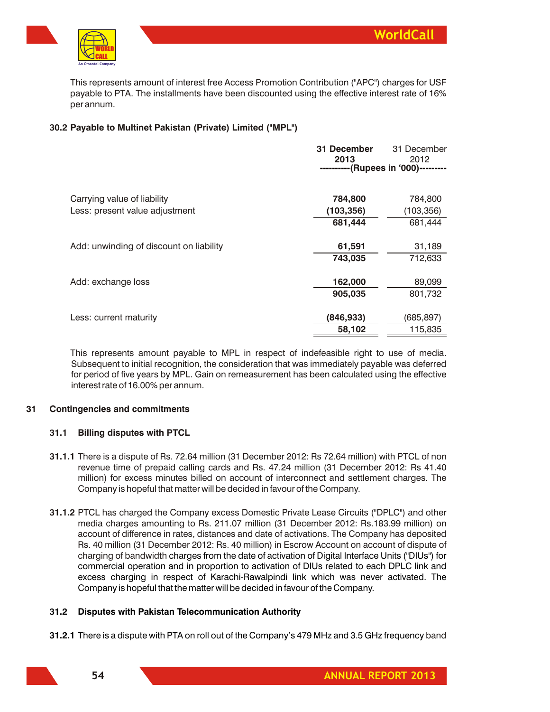

This represents amount of interest free Access Promotion Contribution ("APC") charges for USF payable to PTA. The installments have been discounted using the effective interest rate of 16% per annum.

# **30.2 Payable to Multinet Pakistan (Private) Limited ("MPL")**

|                                         | 31 December<br>2013 | 31 December<br>2012<br>-(Rupees in '000)--------- |
|-----------------------------------------|---------------------|---------------------------------------------------|
| Carrying value of liability             | 784,800             | 784,800                                           |
| Less: present value adjustment          | (103, 356)          | (103, 356)                                        |
|                                         | 681,444             | 681,444                                           |
| Add: unwinding of discount on liability | 61,591              | 31,189                                            |
|                                         | 743,035             | 712,633                                           |
| Add: exchange loss                      | 162,000             | 89,099                                            |
|                                         | 905,035             | 801,732                                           |
| Less: current maturity                  | (846, 933)          | (685,897)                                         |
|                                         | 58,102              | 115,835                                           |

This represents amount payable to MPL in respect of indefeasible right to use of media. Subsequent to initial recognition, the consideration that was immediately payable was deferred for period of five years by MPL. Gain on remeasurement has been calculated using the effective interest rate of 16.00% per annum.

# **31 Contingencies and commitments**

# **31.1 Billing disputes with PTCL**

- **31.1.1** There is a dispute of Rs. 72.64 million (31 December 2012: Rs 72.64 million) with PTCL of non revenue time of prepaid calling cards and Rs. 47.24 million (31 December 2012: Rs 41.40 million) for excess minutes billed on account of interconnect and settlement charges. The Company is hopeful that matter will be decided in favour of the Company.
- **31.1.2** PTCL has charged the Company excess Domestic Private Lease Circuits ("DPLC") and other media charges amounting to Rs. 211.07 million (31 December 2012: Rs.183.99 million) on account of difference in rates, distances and date of activations. The Company has deposited Rs. 40 million (31 December 2012: Rs. 40 million) in Escrow Account on account of dispute of charging of bandwidth charges from the date of activation of Digital Interface Units ("DIUs") for commercial operation and in proportion to activation of DIUs related to each DPLC link and excess charging in respect of Karachi-Rawalpindi link which was never activated. The Company is hopeful that the matter will be decided in favour of the Company.

# **31.2 Disputes with Pakistan Telecommunication Authority**

**31.2.1** There is a dispute with PTA on roll out of the Company's 479 MHz and 3.5 GHz frequency band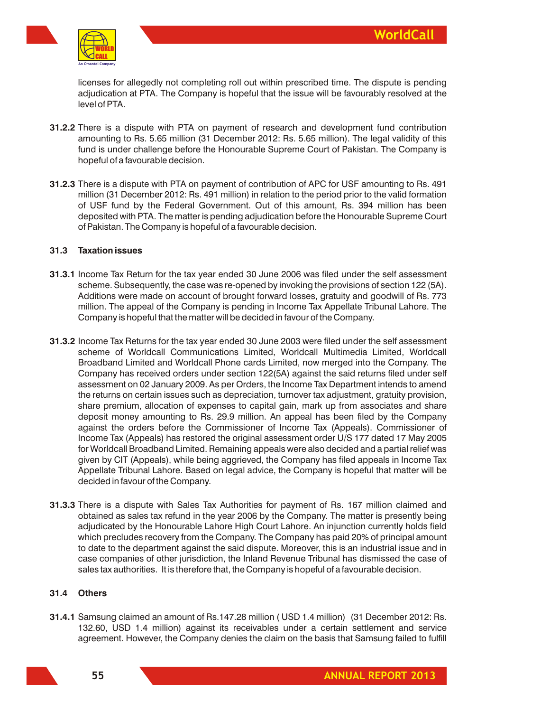

licenses for allegedly not completing roll out within prescribed time. The dispute is pending adjudication at PTA. The Company is hopeful that the issue will be favourably resolved at the level of PTA.

- **31.2.2** There is a dispute with PTA on payment of research and development fund contribution amounting to Rs. 5.65 million (31 December 2012: Rs. 5.65 million). The legal validity of this fund is under challenge before the Honourable Supreme Court of Pakistan. The Company is hopeful of a favourable decision.
- **31.2.3** There is a dispute with PTA on payment of contribution of APC for USF amounting to Rs. 491 million (31 December 2012: Rs. 491 million) in relation to the period prior to the valid formation of USF fund by the Federal Government. Out of this amount, Rs. 394 million has been deposited with PTA. The matter is pending adjudication before the Honourable Supreme Court of Pakistan. The Company is hopeful of a favourable decision.

### **31.3 Taxation issues**

- **31.3.1** Income Tax Return for the tax year ended 30 June 2006 was filed under the self assessment scheme. Subsequently, the case was re-opened by invoking the provisions of section 122 (5A). Additions were made on account of brought forward losses, gratuity and goodwill of Rs. 773 million. The appeal of the Company is pending in Income Tax Appellate Tribunal Lahore. The Company is hopeful that the matter will be decided in favour of the Company.
- **31.3.2** Income Tax Returns for the tax year ended 30 June 2003 were filed under the self assessment scheme of Worldcall Communications Limited, Worldcall Multimedia Limited, Worldcall Broadband Limited and Worldcall Phone cards Limited, now merged into the Company. The Company has received orders under section 122(5A) against the said returns filed under self assessment on 02 January 2009. As per Orders, the Income Tax Department intends to amend the returns on certain issues such as depreciation, turnover tax adjustment, gratuity provision, share premium, allocation of expenses to capital gain, mark up from associates and share deposit money amounting to Rs. 29.9 million. An appeal has been filed by the Company against the orders before the Commissioner of Income Tax (Appeals). Commissioner of Income Tax (Appeals) has restored the original assessment order U/S 177 dated 17 May 2005 for Worldcall Broadband Limited. Remaining appeals were also decided and a partial relief was given by CIT (Appeals), while being aggrieved, the Company has filed appeals in Income Tax Appellate Tribunal Lahore. Based on legal advice, the Company is hopeful that matter will be decided in favour of the Company.
- **31.3.3** There is a dispute with Sales Tax Authorities for payment of Rs. 167 million claimed and obtained as sales tax refund in the year 2006 by the Company. The matter is presently being adjudicated by the Honourable Lahore High Court Lahore. An injunction currently holds field which precludes recovery from the Company. The Company has paid 20% of principal amount to date to the department against the said dispute. Moreover, this is an industrial issue and in case companies of other jurisdiction, the Inland Revenue Tribunal has dismissed the case of sales tax authorities. It is therefore that, the Company is hopeful of a favourable decision.

# **31.4 Others**

**31.4.1** Samsung claimed an amount of Rs.147.28 million ( USD 1.4 million) (31 December 2012: Rs. 132.60, USD 1.4 million) against its receivables under a certain settlement and service agreement. However, the Company denies the claim on the basis that Samsung failed to fulfill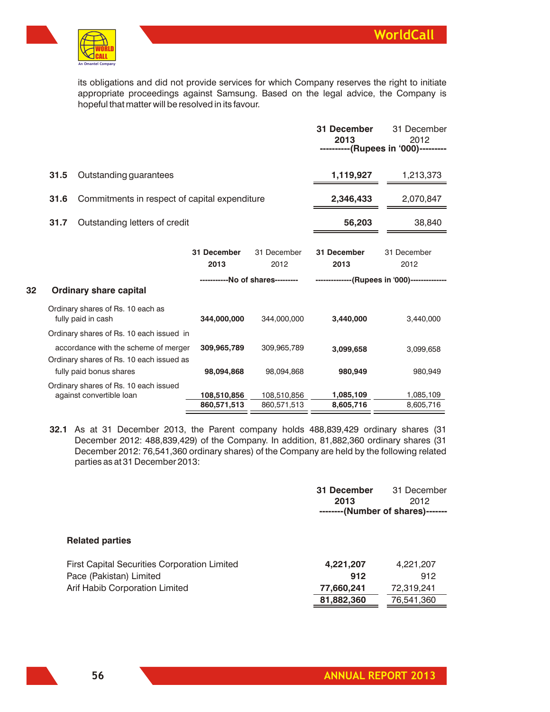

its obligations and did not provide services for which Company reserves the right to initiate appropriate proceedings against Samsung. Based on the legal advice, the Company is hopeful that matter will be resolved in its favour.

|    |      |                                                                                                                              |                            |                                                         | 31 December<br>2013    | 31 December<br>2012<br>----------(Rupees in '000)---------          |
|----|------|------------------------------------------------------------------------------------------------------------------------------|----------------------------|---------------------------------------------------------|------------------------|---------------------------------------------------------------------|
|    | 31.5 | Outstanding guarantees                                                                                                       |                            |                                                         | 1,119,927              | 1,213,373                                                           |
|    | 31.6 | Commitments in respect of capital expenditure                                                                                |                            |                                                         | 2,346,433              | 2,070,847                                                           |
|    | 31.7 | Outstanding letters of credit                                                                                                |                            |                                                         | 56,203                 | 38,840                                                              |
|    |      |                                                                                                                              | 31 December<br>2013        | 31 December<br>2012<br>-----------No of shares--------- | 31 December<br>2013    | 31 December<br>2012<br>--------------(Rupees in '000)-------------- |
| 32 |      | <b>Ordinary share capital</b>                                                                                                |                            |                                                         |                        |                                                                     |
|    |      | Ordinary shares of Rs. 10 each as<br>fully paid in cash                                                                      | 344.000.000                | 344.000.000                                             | 3,440,000              | 3.440.000                                                           |
|    |      | Ordinary shares of Rs. 10 each issued in<br>accordance with the scheme of merger<br>Ordinary shares of Rs. 10 each issued as | 309,965,789                | 309,965,789                                             | 3,099,658              | 3,099,658                                                           |
|    |      | fully paid bonus shares                                                                                                      | 98,094,868                 | 98,094,868                                              | 980,949                | 980,949                                                             |
|    |      | Ordinary shares of Rs. 10 each issued<br>against convertible loan                                                            | 108,510,856<br>860,571,513 | 108,510,856<br>860,571,513                              | 1,085,109<br>8,605,716 | 1,085,109<br>8,605,716                                              |
|    |      |                                                                                                                              |                            |                                                         |                        |                                                                     |

**32.1** As at 31 December 2013, the Parent company holds 488,839,429 ordinary shares (31 December 2012: 488,839,429) of the Company. In addition, 81,882,360 ordinary shares (31 December 2012: 76,541,360 ordinary shares) of the Company are held by the following related parties as at 31 December 2013:

| 31 December<br>2013<br>--------(Number of shares)-- | 31 December<br>2012      |
|-----------------------------------------------------|--------------------------|
|                                                     |                          |
| 4,221,207<br>912                                    | 4,221,207<br>912         |
| 77,660,241<br>81,882,360                            | 72,319,241<br>76,541,360 |
|                                                     |                          |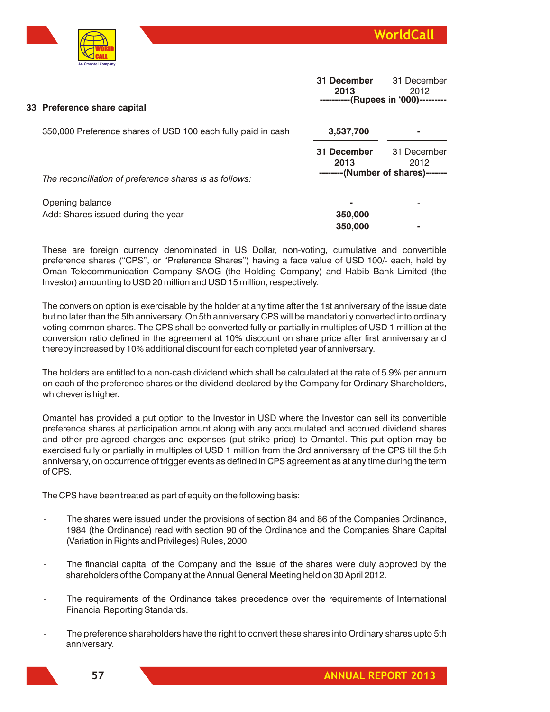



| 33 Preference share capital                                  | 31 December<br>2013<br>----------(Rupees in '000)--------- | 31 December<br>2012 |
|--------------------------------------------------------------|------------------------------------------------------------|---------------------|
| 350,000 Preference shares of USD 100 each fully paid in cash | 3,537,700                                                  |                     |
| The reconciliation of preference shares is as follows:       | 31 December<br>2013<br>--------(Number of shares)-------   | 31 December<br>2012 |
| Opening balance<br>Add: Shares issued during the year        | 350,000<br>350,000                                         |                     |

These are foreign currency denominated in US Dollar, non-voting, cumulative and convertible preference shares ("CPS", or "Preference Shares") having a face value of USD 100/- each, held by Oman Telecommunication Company SAOG (the Holding Company) and Habib Bank Limited (the Investor) amounting to USD 20 million and USD 15 million, respectively.

The conversion option is exercisable by the holder at any time after the 1st anniversary of the issue date but no later than the 5th anniversary. On 5th anniversary CPS will be mandatorily converted into ordinary voting common shares. The CPS shall be converted fully or partially in multiples of USD 1 million at the conversion ratio defined in the agreement at 10% discount on share price after first anniversary and thereby increased by 10% additional discount for each completed year of anniversary.

The holders are entitled to a non-cash dividend which shall be calculated at the rate of 5.9% per annum on each of the preference shares or the dividend declared by the Company for Ordinary Shareholders, whichever is higher.

Omantel has provided a put option to the Investor in USD where the Investor can sell its convertible preference shares at participation amount along with any accumulated and accrued dividend shares and other pre-agreed charges and expenses (put strike price) to Omantel. This put option may be exercised fully or partially in multiples of USD 1 million from the 3rd anniversary of the CPS till the 5th anniversary, on occurrence of trigger events as defined in CPS agreement as at any time during the term of CPS.

The CPS have been treated as part of equity on the following basis:

- The shares were issued under the provisions of section 84 and 86 of the Companies Ordinance, 1984 (the Ordinance) read with section 90 of the Ordinance and the Companies Share Capital (Variation in Rights and Privileges) Rules, 2000.
- The financial capital of the Company and the issue of the shares were duly approved by the shareholders of the Company at the Annual General Meeting held on 30 April 2012.
- The requirements of the Ordinance takes precedence over the requirements of International Financial Reporting Standards.
- The preference shareholders have the right to convert these shares into Ordinary shares upto 5th anniversary.

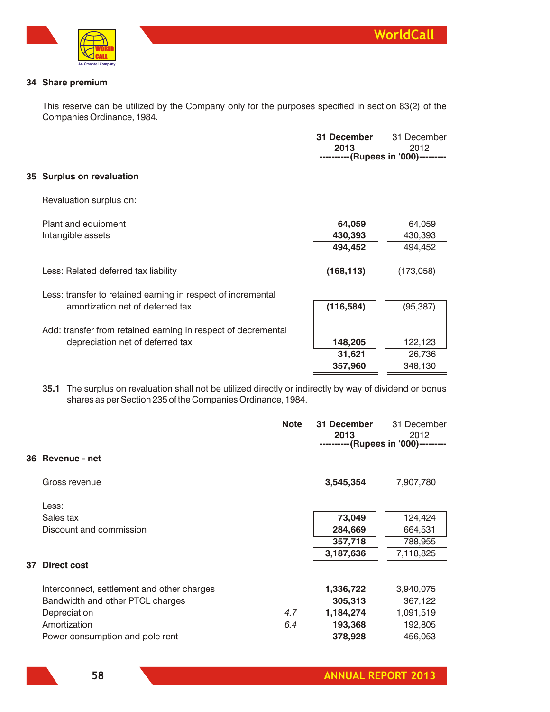

# **34 Share premium**

This reserve can be utilized by the Company only for the purposes specified in section 83(2) of the Companies Ordinance, 1984.

|    |                                                               | 31 December<br>2013<br>-------- | 31 December<br>2012<br>--(Rupees in '000)--- |
|----|---------------------------------------------------------------|---------------------------------|----------------------------------------------|
| 35 | <b>Surplus on revaluation</b>                                 |                                 |                                              |
|    | Revaluation surplus on:                                       |                                 |                                              |
|    | Plant and equipment                                           | 64,059                          | 64,059                                       |
|    | Intangible assets                                             | 430,393                         | 430,393                                      |
|    |                                                               | 494,452                         | 494,452                                      |
|    | Less: Related deferred tax liability                          | (168, 113)                      | (173,058)                                    |
|    | Less: transfer to retained earning in respect of incremental  |                                 |                                              |
|    | amortization net of deferred tax                              | (116, 584)                      | (95, 387)                                    |
|    | Add: transfer from retained earning in respect of decremental |                                 |                                              |
|    | depreciation net of deferred tax                              | 148,205                         | 122,123                                      |
|    |                                                               | 31,621                          | 26,736                                       |
|    |                                                               | 357,960                         | 348,130                                      |
|    |                                                               |                                 |                                              |

**35.1** The surplus on revaluation shall not be utilized directly or indirectly by way of dividend or bonus shares as per Section 235 of the Companies Ordinance, 1984.

|    |                                            | <b>Note</b> | 31 December<br>2013 | 31 December<br>2012<br>--(Rupees in '000)--------- |
|----|--------------------------------------------|-------------|---------------------|----------------------------------------------------|
|    | 36 Revenue - net                           |             |                     |                                                    |
|    | Gross revenue                              |             | 3,545,354           | 7,907,780                                          |
|    | Less:                                      |             |                     |                                                    |
|    | Sales tax                                  |             | 73,049              | 124,424                                            |
|    | Discount and commission                    |             | 284,669             | 664,531                                            |
|    |                                            |             | 357,718             | 788,955                                            |
|    |                                            |             | 3,187,636           | 7,118,825                                          |
| 37 | Direct cost                                |             |                     |                                                    |
|    | Interconnect, settlement and other charges |             | 1,336,722           | 3,940,075                                          |
|    | Bandwidth and other PTCL charges           |             | 305,313             | 367,122                                            |
|    | Depreciation                               | 4.7         | 1,184,274           | 1,091,519                                          |
|    | Amortization                               | 6.4         | 193,368             | 192,805                                            |
|    | Power consumption and pole rent            |             | 378,928             | 456,053                                            |
|    |                                            |             |                     |                                                    |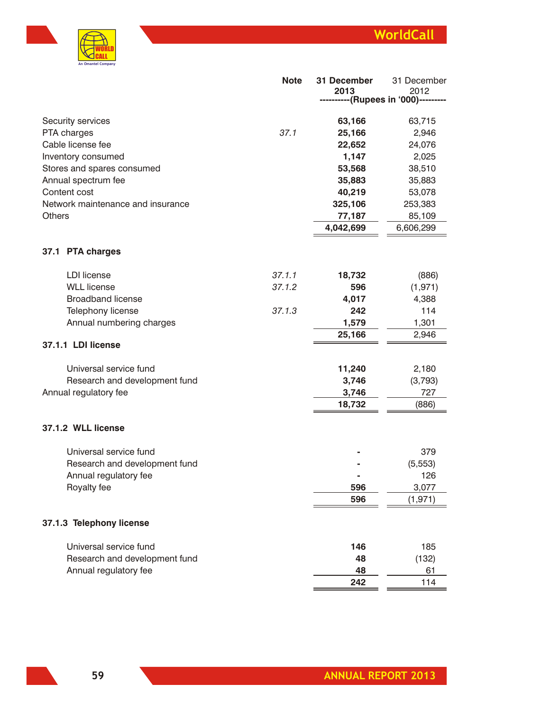

|               |                                   | <b>Note</b> | 31 December | 31 December                         |
|---------------|-----------------------------------|-------------|-------------|-------------------------------------|
|               |                                   |             | 2013        | 2012                                |
|               |                                   |             |             | ----------(Rupees in '000)--------- |
|               | Security services                 |             | 63,166      | 63,715                              |
|               | PTA charges                       | 37.1        | 25,166      | 2,946                               |
|               | Cable license fee                 |             | 22,652      | 24,076                              |
|               | Inventory consumed                |             | 1,147       | 2,025                               |
|               | Stores and spares consumed        |             | 53,568      | 38,510                              |
|               | Annual spectrum fee               |             | 35,883      | 35,883                              |
|               | Content cost                      |             | 40,219      | 53,078                              |
|               | Network maintenance and insurance |             | 325,106     | 253,383                             |
| <b>Others</b> |                                   |             | 77,187      | 85,109                              |
|               |                                   |             | 4,042,699   | 6,606,299                           |
|               | 37.1 PTA charges                  |             |             |                                     |
|               | <b>LDI</b> license                | 37.1.1      | 18,732      | (886)                               |
|               | <b>WLL</b> license                | 37.1.2      | 596         | (1, 971)                            |
|               | <b>Broadband license</b>          |             | 4,017       | 4,388                               |
|               | Telephony license                 | 37.1.3      | 242         | 114                                 |
|               | Annual numbering charges          |             | 1,579       | 1,301                               |
|               |                                   |             | 25,166      | 2,946                               |
|               | 37.1.1 LDI license                |             |             |                                     |
|               | Universal service fund            |             | 11,240      | 2,180                               |
|               | Research and development fund     |             | 3,746       | (3,793)                             |
|               | Annual regulatory fee             |             | 3,746       | 727                                 |
|               |                                   |             | 18,732      | (886)                               |
|               | 37.1.2 WLL license                |             |             |                                     |
|               | Universal service fund            |             |             | 379                                 |
|               | Research and development fund     |             |             | (5, 553)                            |
|               | Annual regulatory fee             |             |             | 126                                 |
|               | Royalty fee                       |             | 596         | 3,077                               |
|               |                                   |             | 596         | (1, 971)                            |
|               | 37.1.3 Telephony license          |             |             |                                     |
|               | Universal service fund            |             | 146         | 185                                 |
|               | Research and development fund     |             | 48          | (132)                               |
|               | Annual regulatory fee             |             | 48          | 61                                  |
|               |                                   |             | 242         | 114                                 |
|               |                                   |             |             |                                     |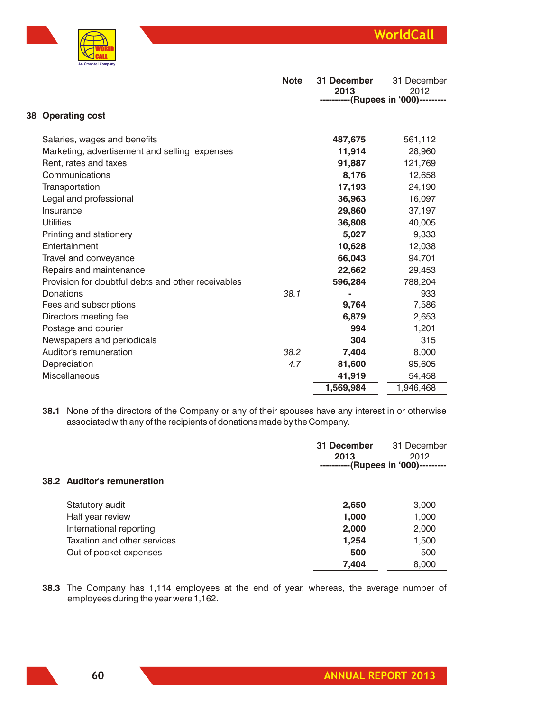

|    |                                                    | <b>Note</b> | 31 December<br>2013 | 31 December<br>2012                 |
|----|----------------------------------------------------|-------------|---------------------|-------------------------------------|
| 38 | <b>Operating cost</b>                              |             |                     | ----------(Rupees in '000)--------- |
|    | Salaries, wages and benefits                       |             | 487,675             | 561,112                             |
|    | Marketing, advertisement and selling expenses      |             | 11,914              | 28,960                              |
|    | Rent. rates and taxes                              |             | 91,887              | 121,769                             |
|    | Communications                                     |             | 8,176               | 12,658                              |
|    | Transportation                                     |             | 17,193              | 24,190                              |
|    | Legal and professional                             |             | 36,963              | 16,097                              |
|    | Insurance                                          |             | 29,860              | 37,197                              |
|    | <b>Utilities</b>                                   |             | 36,808              | 40,005                              |
|    | Printing and stationery                            |             | 5,027               | 9,333                               |
|    | Entertainment                                      |             | 10,628              | 12,038                              |
|    | Travel and conveyance                              |             | 66,043              | 94,701                              |
|    | Repairs and maintenance                            |             | 22,662              | 29,453                              |
|    | Provision for doubtful debts and other receivables |             | 596,284             | 788,204                             |
|    | Donations                                          | 38.1        |                     | 933                                 |
|    | Fees and subscriptions                             |             | 9,764               | 7,586                               |
|    | Directors meeting fee                              |             | 6,879               | 2,653                               |
|    | Postage and courier                                |             | 994                 | 1,201                               |
|    | Newspapers and periodicals                         |             | 304                 | 315                                 |
|    | Auditor's remuneration                             | 38.2        | 7,404               | 8,000                               |
|    | Depreciation                                       | 4.7         | 81,600              | 95,605                              |
|    | Miscellaneous                                      |             | 41,919              | 54,458                              |
|    |                                                    |             | 1,569,984           | 1,946,468                           |
|    |                                                    |             |                     |                                     |

**38.1** None of the directors of the Company or any of their spouses have any interest in or otherwise associated with any of the recipients of donations made by the Company.

|                             | 31 December<br>2013<br>$\begin{aligned} \mathcal{L}_{\mathcal{A}}(\mathcal{A}) = \mathcal{L}_{\mathcal{A}}(\mathcal{A}) = \mathcal{L}_{\mathcal{A}}(\mathcal{A}) \end{aligned}$ | 31 December<br>2012<br>--(Rupees in '000)--------- |
|-----------------------------|---------------------------------------------------------------------------------------------------------------------------------------------------------------------------------|----------------------------------------------------|
| 38.2 Auditor's remuneration |                                                                                                                                                                                 |                                                    |
| Statutory audit             | 2,650                                                                                                                                                                           | 3,000                                              |
| Half year review            | 1,000                                                                                                                                                                           | 1,000                                              |
| International reporting     | 2,000                                                                                                                                                                           | 2,000                                              |
| Taxation and other services | 1,254                                                                                                                                                                           | 1,500                                              |
| Out of pocket expenses      | 500                                                                                                                                                                             | 500                                                |
|                             | 7,404                                                                                                                                                                           | 8,000                                              |
|                             |                                                                                                                                                                                 |                                                    |

**38.3** The Company has 1,114 employees at the end of year, whereas, the average number of employees during the year were 1,162.

**60**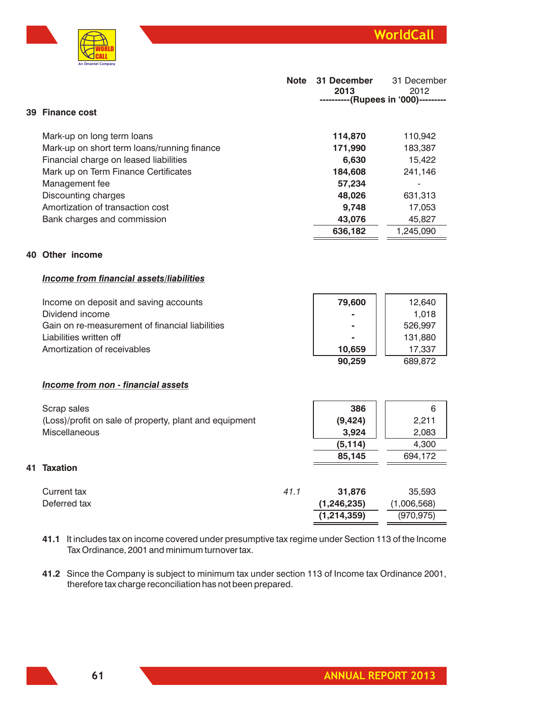

|    |                                             | <b>Note</b> | 31 December<br>2013 | 31 December<br>2012<br>--(Rupees in '000)---- |
|----|---------------------------------------------|-------------|---------------------|-----------------------------------------------|
| 39 | <b>Finance cost</b>                         |             |                     |                                               |
|    | Mark-up on long term loans                  |             | 114,870             | 110,942                                       |
|    | Mark-up on short term loans/running finance |             | 171,990             | 183,387                                       |
|    | Financial charge on leased liabilities      |             | 6,630               | 15,422                                        |
|    | Mark up on Term Finance Certificates        |             | 184,608             | 241,146                                       |
|    | Management fee                              |             | 57,234              |                                               |
|    | Discounting charges                         |             | 48,026              | 631,313                                       |
|    | Amortization of transaction cost            |             | 9,748               | 17,053                                        |
|    | Bank charges and commission                 |             | 43,076              | 45,827                                        |
|    |                                             |             | 636,182             | 1,245,090                                     |
| 40 | Other income                                |             |                     |                                               |

#### *Income from financial assets/liabilities*

| Income on deposit and saving accounts           | 79,600         | 12,640  |
|-------------------------------------------------|----------------|---------|
| Dividend income                                 | ٠              | 1.018   |
| Gain on re-measurement of financial liabilities | $\blacksquare$ | 526,997 |
| Liabilities written off                         |                | 131,880 |
| Amortization of receivables                     | 10.659         | 17.337  |
|                                                 | 90,259         | 689,872 |

#### *Income from non - financial assets*

**41 Taxation**

| Scrap sales<br>(Loss)/profit on sale of property, plant and equipment<br><b>Miscellaneous</b> |      | 386<br>(9, 424)<br>3,924 | 6<br>2,211<br>2,083 |
|-----------------------------------------------------------------------------------------------|------|--------------------------|---------------------|
|                                                                                               |      | (5, 114)                 | 4,300               |
|                                                                                               |      | 85,145                   | 694,172             |
| <b>Taxation</b>                                                                               |      |                          |                     |
| Current tax                                                                                   | 41.1 | 31,876                   | 35,593              |
| Deferred tax                                                                                  |      | (1, 246, 235)            | (1,006,568)         |
|                                                                                               |      | (1, 214, 359)            | (970,975)           |

- **41.1** It includes tax on income covered under presumptive tax regime under Section 113 of the Income Tax Ordinance, 2001 and minimum turnover tax.
- **41.2** Since the Company is subject to minimum tax under section 113 of Income tax Ordinance 2001, therefore tax charge reconciliation has not been prepared.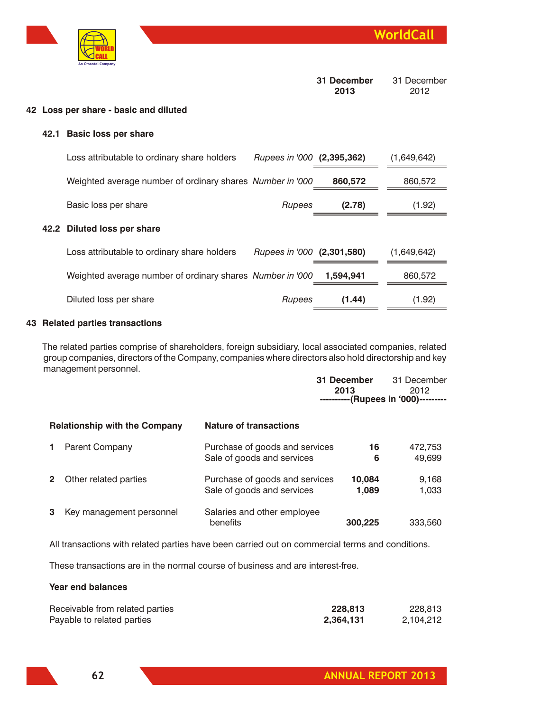



|      |                                                           |                            | 31 December<br>2013 | 31 December<br>2012 |
|------|-----------------------------------------------------------|----------------------------|---------------------|---------------------|
|      | 42 Loss per share - basic and diluted                     |                            |                     |                     |
| 42.1 | <b>Basic loss per share</b>                               |                            |                     |                     |
|      | Loss attributable to ordinary share holders               | Rupees in '000 (2,395,362) |                     | (1,649,642)         |
|      | Weighted average number of ordinary shares Number in '000 |                            | 860,572             | 860,572             |
|      | Basic loss per share                                      | Rupees                     | (2.78)              | (1.92)              |
|      | 42.2 Diluted loss per share                               |                            |                     |                     |
|      | Loss attributable to ordinary share holders               | Rupees in '000 (2,301,580) |                     | (1,649,642)         |
|      | Weighted average number of ordinary shares Number in '000 |                            | 1,594,941           | 860,572             |
|      | Diluted loss per share                                    | Rupees                     | (1.44)              | (1.92)              |
|      |                                                           |                            |                     |                     |

# **43 Related parties transactions**

The related parties comprise of shareholders, foreign subsidiary, local associated companies, related group companies, directors of the Company, companies where directors also hold directorship and key management personnel.

|   |                                      |                                                              | 31 December<br>2013 | 31 December<br>2012<br>-(Rupees in '000)--------- |
|---|--------------------------------------|--------------------------------------------------------------|---------------------|---------------------------------------------------|
|   | <b>Relationship with the Company</b> | <b>Nature of transactions</b>                                |                     |                                                   |
|   | <b>Parent Company</b>                | Purchase of goods and services<br>Sale of goods and services | 16<br>6             | 472,753<br>49.699                                 |
|   | Other related parties                | Purchase of goods and services<br>Sale of goods and services | 10,084<br>1,089     | 9,168<br>1,033                                    |
| 3 | Key management personnel             | Salaries and other employee<br>benefits                      | 300,225             | 333,560                                           |

All transactions with related parties have been carried out on commercial terms and conditions.

These transactions are in the normal course of business and are interest-free.

#### **Year end balances**

| Receivable from related parties | 228.813   | 228.813   |
|---------------------------------|-----------|-----------|
| Payable to related parties      | 2,364,131 | 2,104,212 |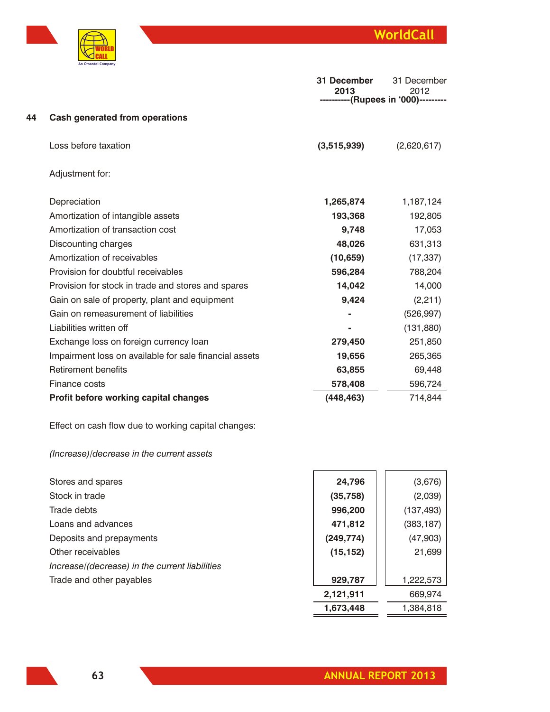

|    |                                                        | 31 December<br>2013 | 31 December<br>2012<br>----------(Rupees in '000)--------- |
|----|--------------------------------------------------------|---------------------|------------------------------------------------------------|
| 44 | <b>Cash generated from operations</b>                  |                     |                                                            |
|    | Loss before taxation                                   | (3,515,939)         | (2,620,617)                                                |
|    | Adjustment for:                                        |                     |                                                            |
|    | Depreciation                                           | 1,265,874           | 1,187,124                                                  |
|    | Amortization of intangible assets                      | 193,368             | 192,805                                                    |
|    | Amortization of transaction cost                       | 9,748               | 17,053                                                     |
|    | Discounting charges                                    | 48,026              | 631,313                                                    |
|    | Amortization of receivables                            | (10, 659)           | (17, 337)                                                  |
|    | Provision for doubtful receivables                     | 596,284             | 788,204                                                    |
|    | Provision for stock in trade and stores and spares     | 14,042              | 14,000                                                     |
|    | Gain on sale of property, plant and equipment          | 9,424               | (2,211)                                                    |
|    | Gain on remeasurement of liabilities                   |                     | (526, 997)                                                 |
|    | Liabilities written off                                |                     | (131, 880)                                                 |
|    | Exchange loss on foreign currency loan                 | 279,450             | 251,850                                                    |
|    | Impairment loss on available for sale financial assets | 19,656              | 265,365                                                    |
|    | <b>Retirement benefits</b>                             | 63,855              | 69,448                                                     |
|    | Finance costs                                          | 578,408             | 596,724                                                    |
|    | Profit before working capital changes                  | (448, 463)          | 714,844                                                    |
|    |                                                        |                     |                                                            |

Effect on cash flow due to working capital changes:

# *(Increase)/decrease in the current assets*

| Stores and spares                              | 24,796     | (3,676)    |
|------------------------------------------------|------------|------------|
| Stock in trade                                 | (35, 758)  | (2,039)    |
| Trade debts                                    | 996,200    | (137, 493) |
| Loans and advances                             | 471,812    | (383, 187) |
| Deposits and prepayments                       | (249, 774) | (47, 903)  |
| Other receivables                              | (15, 152)  | 21,699     |
| Increase/(decrease) in the current liabilities |            |            |
| Trade and other payables                       | 929,787    | 1,222,573  |
|                                                | 2,121,911  | 669,974    |
|                                                | 1,673,448  | 1,384,818  |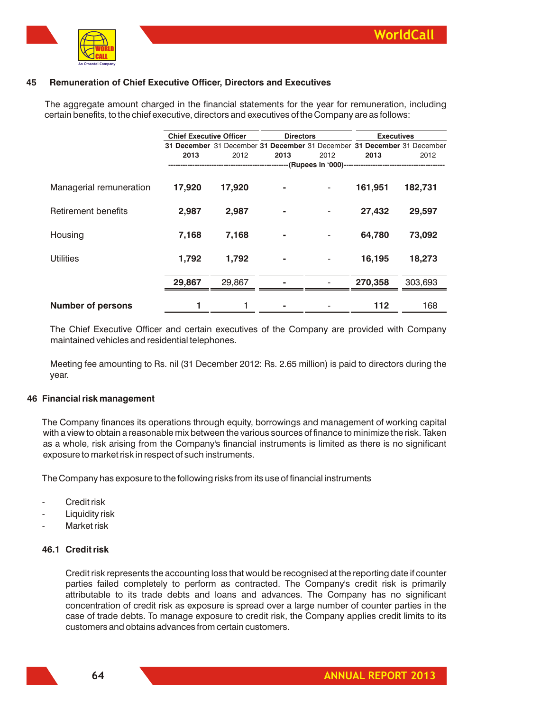

# **45 Remuneration of Chief Executive Officer, Directors and Executives**

The aggregate amount charged in the financial statements for the year for remuneration, including certain benefits, to the chief executive, directors and executives of the Company are as follows:

|                            | <b>Chief Executive Officer</b> |        |                                                                         | <b>Directors</b> |                                               | <b>Executives</b> |  |
|----------------------------|--------------------------------|--------|-------------------------------------------------------------------------|------------------|-----------------------------------------------|-------------------|--|
|                            |                                |        | 31 December 31 December 31 December 31 December 31 December 31 December |                  |                                               |                   |  |
|                            | 2013                           | 2012   | 2013                                                                    | 2012             | 2013                                          | 2012              |  |
|                            |                                |        |                                                                         |                  | -----(Rupees in '000)------------------------ |                   |  |
| Managerial remuneration    | 17,920                         | 17,920 |                                                                         |                  | 161,951                                       | 182,731           |  |
| <b>Retirement benefits</b> | 2,987                          | 2,987  |                                                                         |                  | 27,432                                        | 29,597            |  |
| Housing                    | 7,168                          | 7,168  |                                                                         |                  | 64,780                                        | 73,092            |  |
| <b>Utilities</b>           | 1,792                          | 1,792  | ٠                                                                       |                  | 16,195                                        | 18,273            |  |
|                            | 29,867                         | 29,867 |                                                                         |                  | 270,358                                       | 303,693           |  |
| <b>Number of persons</b>   |                                |        |                                                                         |                  | 112                                           | 168               |  |

The Chief Executive Officer and certain executives of the Company are provided with Company maintained vehicles and residential telephones.

Meeting fee amounting to Rs. nil (31 December 2012: Rs. 2.65 million) is paid to directors during the year.

#### **46 Financial risk management**

The Company finances its operations through equity, borrowings and management of working capital with a view to obtain a reasonable mix between the various sources of finance to minimize the risk. Taken as a whole, risk arising from the Company's financial instruments is limited as there is no significant exposure to market risk in respect of such instruments.

The Company has exposure to the following risks from its use of financial instruments

- Credit risk
- Liquidity risk
- Market risk

### **46.1 Credit risk**

Credit risk represents the accounting loss that would be recognised at the reporting date if counter parties failed completely to perform as contracted. The Company's credit risk is primarily attributable to its trade debts and loans and advances. The Company has no significant concentration of credit risk as exposure is spread over a large number of counter parties in the case of trade debts. To manage exposure to credit risk, the Company applies credit limits to its customers and obtains advances from certain customers.

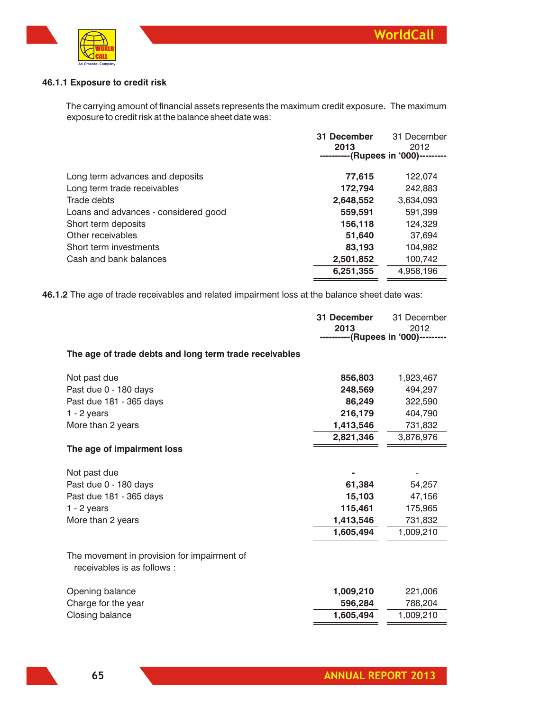

# **46.1.1 Exposure to credit risk**

The carrying amount of financial assets represents the maximum credit exposure. The maximum exposure to credit risk at the balance sheet date was:

|                                      | 31 December | 31 December                 |
|--------------------------------------|-------------|-----------------------------|
|                                      | 2013        | 2012<br>-(Rupees in '000)-- |
|                                      |             |                             |
| Long term advances and deposits      | 77,615      | 122,074                     |
| Long term trade receivables          | 172,794     | 242.883                     |
| Trade debts                          | 2,648,552   | 3.634.093                   |
| Loans and advances - considered good | 559,591     | 591,399                     |
| Short term deposits                  | 156,118     | 124,329                     |
| Other receivables                    | 51.640      | 37.694                      |
| Short term investments               | 83,193      | 104,982                     |
| Cash and bank balances               | 2,501,852   | 100,742                     |
|                                      | 6,251,355   | 4,958,196                   |

**46.1.2** The age of trade receivables and related impairment loss at the balance sheet date was:

|                                                                            | 31 December                         | 31 December |
|----------------------------------------------------------------------------|-------------------------------------|-------------|
|                                                                            | 2013                                | 2012        |
|                                                                            | ----------(Rupees in '000)--------- |             |
| The age of trade debts and long term trade receivables                     |                                     |             |
| Not past due                                                               | 856,803                             | 1,923,467   |
| Past due 0 - 180 days                                                      | 248,569                             | 494,297     |
| Past due 181 - 365 days                                                    | 86,249                              | 322,590     |
| $1 - 2$ years                                                              | 216,179                             | 404,790     |
| More than 2 years                                                          | 1,413,546                           | 731,832     |
|                                                                            | 2,821,346                           | 3,876,976   |
| The age of impairment loss                                                 |                                     |             |
| Not past due                                                               |                                     |             |
| Past due 0 - 180 days                                                      | 61,384                              | 54,257      |
| Past due 181 - 365 days                                                    | 15,103                              | 47,156      |
| $1 - 2$ years                                                              | 115,461                             | 175,965     |
| More than 2 years                                                          | 1,413,546                           | 731,832     |
|                                                                            | 1,605,494                           | 1,009,210   |
| The movement in provision for impairment of<br>receivables is as follows : |                                     |             |
| Opening balance                                                            | 1,009,210                           | 221,006     |
| Charge for the year                                                        | 596,284                             | 788,204     |
| Closing balance                                                            | 1,605,494                           | 1,009,210   |
|                                                                            |                                     |             |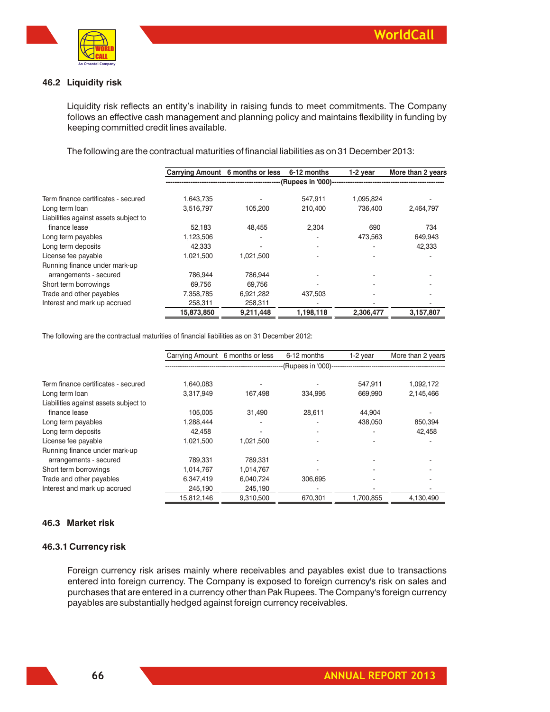

# **46.2 Liquidity risk**

Liquidity risk reflects an entity's inability in raising funds to meet commitments. The Company follows an effective cash management and planning policy and maintains flexibility in funding by keeping committed credit lines available.

The following are the contractual maturities of financial liabilities as on 31 December 2013:

|                                       |            | Carrying Amount 6 months or less | 6-12 months          | 1-2 year  | More than 2 years |
|---------------------------------------|------------|----------------------------------|----------------------|-----------|-------------------|
|                                       |            |                                  | -(Rupees in '000)--- |           |                   |
| Term finance certificates - secured   | 1,643,735  |                                  | 547,911              | 1,095,824 |                   |
| Long term loan                        | 3,516,797  | 105,200                          | 210.400              | 736.400   | 2,464,797         |
| Liabilities against assets subject to |            |                                  |                      |           |                   |
| finance lease                         | 52,183     | 48,455                           | 2,304                | 690       | 734               |
| Long term payables                    | 1,123,506  |                                  |                      | 473,563   | 649,943           |
| Long term deposits                    | 42.333     |                                  |                      |           | 42,333            |
| License fee payable                   | 1.021.500  | 1,021,500                        |                      |           |                   |
| Running finance under mark-up         |            |                                  |                      |           |                   |
| arrangements - secured                | 786,944    | 786,944                          |                      |           |                   |
| Short term borrowings                 | 69,756     | 69.756                           |                      |           |                   |
| Trade and other payables              | 7,358,785  | 6,921,282                        | 437,503              |           |                   |
| Interest and mark up accrued          | 258,311    | 258,311                          |                      |           |                   |
|                                       | 15,873,850 | 9,211,448                        | 1,198,118            | 2,306,477 | 3,157,807         |

The following are the contractual maturities of financial liabilities as on 31 December 2012:

|                                       |            | Carrying Amount 6 months or less | 6-12 months                                | 1-2 year  | More than 2 years |
|---------------------------------------|------------|----------------------------------|--------------------------------------------|-----------|-------------------|
|                                       |            |                                  | (Rupees in '000)-------------------------- |           |                   |
| Term finance certificates - secured   | 1.640.083  |                                  |                                            | 547.911   | 1.092.172         |
| Long term loan                        | 3,317,949  | 167.498                          | 334.995                                    | 669.990   | 2,145,466         |
| Liabilities against assets subject to |            |                                  |                                            |           |                   |
| finance lease                         | 105.005    | 31,490                           | 28.611                                     | 44,904    |                   |
| Long term payables                    | 1,288,444  | $\overline{\phantom{a}}$         |                                            | 438,050   | 850,394           |
| Long term deposits                    | 42.458     |                                  |                                            |           | 42.458            |
| License fee payable                   | 1.021.500  | 1.021.500                        |                                            |           |                   |
| Running finance under mark-up         |            |                                  |                                            |           |                   |
| arrangements - secured                | 789.331    | 789.331                          |                                            |           |                   |
| Short term borrowings                 | 1,014,767  | 1,014,767                        |                                            |           |                   |
| Trade and other payables              | 6,347,419  | 6,040,724                        | 306.695                                    |           |                   |
| Interest and mark up accrued          | 245,190    | 245,190                          |                                            |           |                   |
|                                       | 15,812,146 | 9,310,500                        | 670.301                                    | 1.700.855 | 4,130,490         |

# **46.3 Market risk**

# **46.3.1 Currency risk**

Foreign currency risk arises mainly where receivables and payables exist due to transactions entered into foreign currency. The Company is exposed to foreign currency's risk on sales and purchases that are entered in a currency other than Pak Rupees. The Company's foreign currency payables are substantially hedged against foreign currency receivables.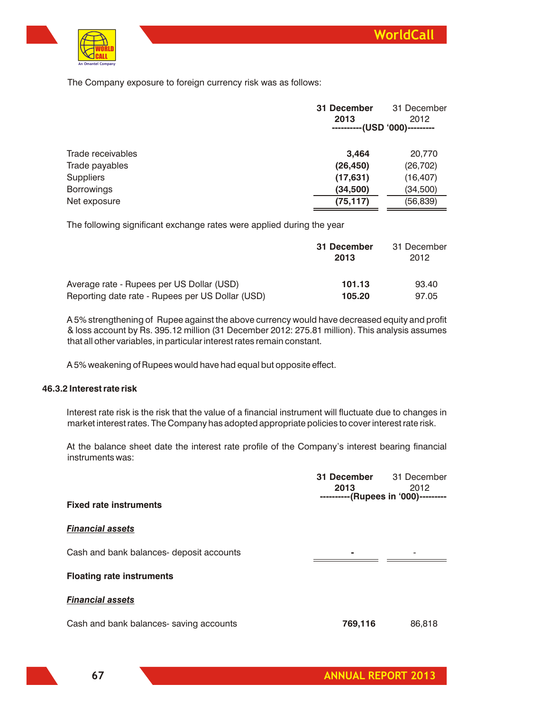

The Company exposure to foreign currency risk was as follows:

|                   | 31 December<br>2013 | 31 December<br>2012<br>---(USD '000)--------- |
|-------------------|---------------------|-----------------------------------------------|
| Trade receivables | 3,464               | 20,770                                        |
| Trade payables    | (26, 450)           | (26, 702)                                     |
| <b>Suppliers</b>  | (17, 631)           | (16, 407)                                     |
| <b>Borrowings</b> | (34, 500)           | (34, 500)                                     |
| Net exposure      | (75, 117)           | (56, 839)                                     |

The following significant exchange rates were applied during the year

|                                                  | 31 December<br>2013 | 31 December<br>2012 |
|--------------------------------------------------|---------------------|---------------------|
| Average rate - Rupees per US Dollar (USD)        | 101.13              | 93.40               |
| Reporting date rate - Rupees per US Dollar (USD) | 105.20              | 97.05               |

A 5% strengthening of Rupee against the above currency would have decreased equity and profit & loss account by Rs. 395.12 million (31 December 2012: 275.81 million). This analysis assumes that all other variables, in particular interest rates remain constant.

A 5% weakening of Rupees would have had equal but opposite effect.

### **46.3.2 Interest rate risk**

Interest rate risk is the risk that the value of a financial instrument will fluctuate due to changes in market interest rates. The Company has adopted appropriate policies to cover interest rate risk.

At the balance sheet date the interest rate profile of the Company's interest bearing financial instruments was:

|                                          | 31 December<br>2013<br>----------(Rupees in '000)--------- | 31 December<br>2012 |
|------------------------------------------|------------------------------------------------------------|---------------------|
| <b>Fixed rate instruments</b>            |                                                            |                     |
| <b>Financial assets</b>                  |                                                            |                     |
| Cash and bank balances- deposit accounts |                                                            |                     |
| <b>Floating rate instruments</b>         |                                                            |                     |
| <b>Financial assets</b>                  |                                                            |                     |
| Cash and bank balances- saving accounts  | 769,116                                                    | 86,818              |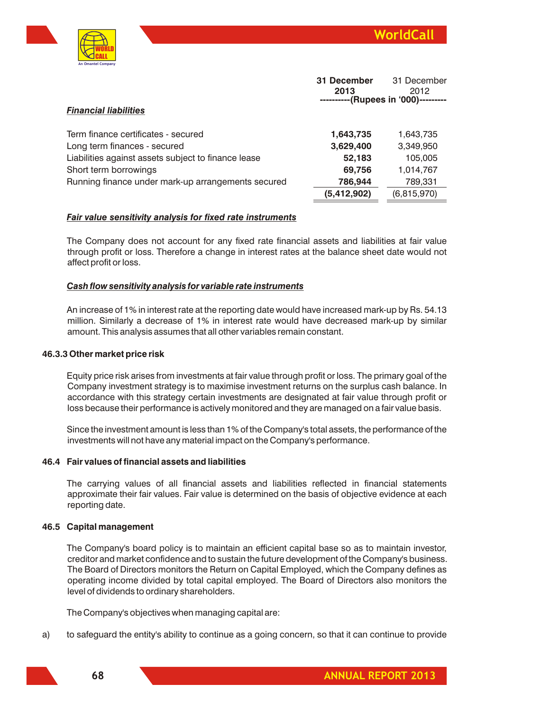

|                                                     | 31 December<br>2013 | 31 December<br>2012        |
|-----------------------------------------------------|---------------------|----------------------------|
| <b>Financial liabilities</b>                        |                     | -(Rupees in '000)--------- |
| Term finance certificates - secured                 | 1,643,735           | 1,643,735                  |
| Long term finances - secured                        | 3,629,400           | 3,349,950                  |
| Liabilities against assets subject to finance lease | 52,183              | 105,005                    |
| Short term borrowings                               | 69,756              | 1,014,767                  |
| Running finance under mark-up arrangements secured  | 786,944             | 789,331                    |
|                                                     | (5, 412, 902)       | (6,815,970)                |

# *Fair value sensitivity analysis for fixed rate instruments*

The Company does not account for any fixed rate financial assets and liabilities at fair value through profit or loss. Therefore a change in interest rates at the balance sheet date would not affect profit or loss.

#### *Cash flow sensitivity analysis for variable rate instruments*

An increase of 1% in interest rate at the reporting date would have increased mark-up by Rs. 54.13 million. Similarly a decrease of 1% in interest rate would have decreased mark-up by similar amount. This analysis assumes that all other variables remain constant.

#### **46.3.3 Other market price risk**

Equity price risk arises from investments at fair value through profit or loss. The primary goal of the Company investment strategy is to maximise investment returns on the surplus cash balance. In accordance with this strategy certain investments are designated at fair value through profit or loss because their performance is actively monitored and they are managed on a fair value basis.

Since the investment amount is less than 1% of the Company's total assets, the performance of the investments will not have any material impact on the Company's performance.

# **46.4 Fair values of financial assets and liabilities**

The carrying values of all financial assets and liabilities reflected in financial statements approximate their fair values. Fair value is determined on the basis of objective evidence at each reporting date.

#### **46.5 Capital management**

The Company's board policy is to maintain an efficient capital base so as to maintain investor, creditor and market confidence and to sustain the future development of the Company's business. The Board of Directors monitors the Return on Capital Employed, which the Company defines as operating income divided by total capital employed. The Board of Directors also monitors the level of dividends to ordinary shareholders.

The Company's objectives when managing capital are:

a) to safeguard the entity's ability to continue as a going concern, so that it can continue to provide

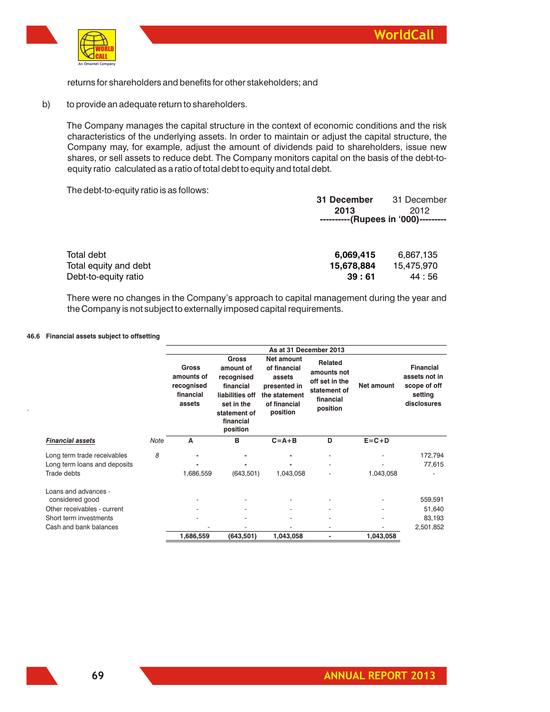

returns for shareholders and benefits for other stakeholders; and

b) to provide an adequate return to shareholders.

The Company manages the capital structure in the context of economic conditions and the risk characteristics of the underlying assets. In order to maintain or adjust the capital structure, the Company may, for example, adjust the amount of dividends paid to shareholders, issue new shares, or sell assets to reduce debt. The Company monitors capital on the basis of the debt-toequity ratio calculated as a ratio of total debt to equity and total debt.

The debt-to-equity ratio is as follows:

|                                               | 31 December<br>2013<br>----------(Rupees in '000)--------- | 31 December<br>2012 |
|-----------------------------------------------|------------------------------------------------------------|---------------------|
| Total debt                                    | 6,069,415                                                  | 6,867,135           |
| Total equity and debt<br>Debt-to-equity ratio | 15,678,884<br>39:61                                        | 15,475,970<br>44:56 |

There were no changes in the Company's approach to capital management during the year and the Company is not subject to externally imposed capital requirements.

#### **46.6 Financial assets subject to offsetting**

 $\ddot{\phantom{0}}$ 

|                                         | As at 31 December 2013                                          |                                                                                                                                |                                                                                                          |                                                                                          |             |                                                                             |
|-----------------------------------------|-----------------------------------------------------------------|--------------------------------------------------------------------------------------------------------------------------------|----------------------------------------------------------------------------------------------------------|------------------------------------------------------------------------------------------|-------------|-----------------------------------------------------------------------------|
|                                         | <b>Gross</b><br>amounts of<br>recognised<br>financial<br>assets | <b>Gross</b><br>amount of<br>recognised<br>financial<br>liabilities off<br>set in the<br>statement of<br>financial<br>position | <b>Net amount</b><br>of financial<br>assets<br>presented in<br>the statement<br>of financial<br>position | <b>Related</b><br>amounts not<br>off set in the<br>statement of<br>financial<br>position | Net amount  | <b>Financial</b><br>assets not in<br>scope of off<br>setting<br>disclosures |
| <b>Financial assets</b><br>Note         | A                                                               | в                                                                                                                              | $C = A + B$                                                                                              | D                                                                                        | $E = C + D$ |                                                                             |
| 8<br>Long term trade receivables        |                                                                 | ۰                                                                                                                              |                                                                                                          | ٠                                                                                        |             | 172,794                                                                     |
| Long term loans and deposits            |                                                                 |                                                                                                                                |                                                                                                          | ٠                                                                                        |             | 77,615                                                                      |
| Trade debts                             | 1,686,559                                                       | (643,501)                                                                                                                      | 1,043,058                                                                                                |                                                                                          | 1,043,058   |                                                                             |
| Loans and advances -<br>considered good |                                                                 |                                                                                                                                |                                                                                                          |                                                                                          |             | 559,591                                                                     |
| Other receivables - current             |                                                                 |                                                                                                                                |                                                                                                          |                                                                                          |             | 51,640                                                                      |
| Short term investments                  |                                                                 |                                                                                                                                |                                                                                                          | ٠                                                                                        |             | 83,193                                                                      |
| Cash and bank balances                  |                                                                 |                                                                                                                                |                                                                                                          | ٠                                                                                        |             | 2,501,852                                                                   |
|                                         | 1,686,559                                                       | (643, 501)                                                                                                                     | 1,043,058                                                                                                |                                                                                          | 1,043,058   |                                                                             |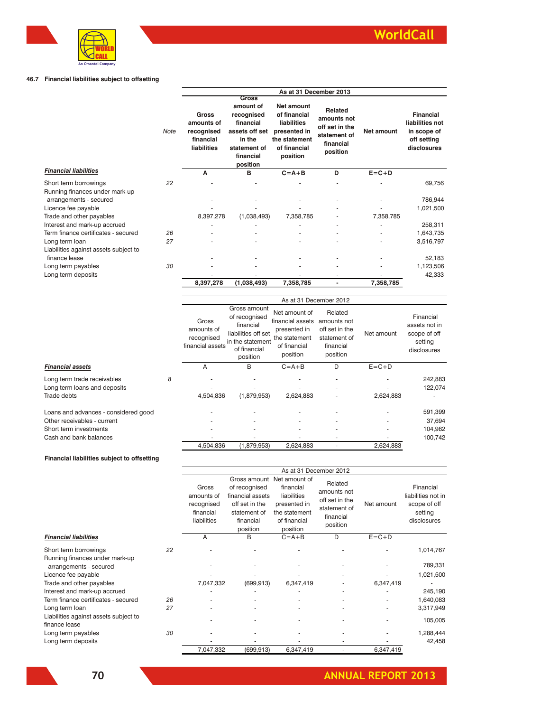

#### **46.7 Financial liabilities subject to offsetting**

|                                                         |             | As at 31 December 2013                                        |                                                                                                                    |                                                                                                               |                                                                                   |             |                                                                                  |
|---------------------------------------------------------|-------------|---------------------------------------------------------------|--------------------------------------------------------------------------------------------------------------------|---------------------------------------------------------------------------------------------------------------|-----------------------------------------------------------------------------------|-------------|----------------------------------------------------------------------------------|
|                                                         | <b>Note</b> | Gross<br>amounts of<br>recognised<br>financial<br>liabilities | Gross<br>amount of<br>recognised<br>financial<br>assets off set<br>in the<br>statement of<br>financial<br>position | <b>Net amount</b><br>of financial<br>liabilities<br>presented in<br>the statement<br>of financial<br>position | Related<br>amounts not<br>off set in the<br>statement of<br>financial<br>position | Net amount  | <b>Financial</b><br>liabilities not<br>in scope of<br>off setting<br>disclosures |
| <b>Financial liabilities</b>                            |             | A                                                             | в                                                                                                                  | $C = A + B$                                                                                                   | D                                                                                 | $E = C + D$ |                                                                                  |
| Short term borrowings<br>Running finances under mark-up | 22          |                                                               |                                                                                                                    |                                                                                                               |                                                                                   |             | 69,756                                                                           |
| arrangements - secured                                  |             |                                                               |                                                                                                                    |                                                                                                               |                                                                                   |             | 786,944                                                                          |
| Licence fee payable                                     |             |                                                               |                                                                                                                    |                                                                                                               |                                                                                   |             | 1,021,500                                                                        |
| Trade and other payables                                |             | 8,397,278                                                     | (1,038,493)                                                                                                        | 7,358,785                                                                                                     |                                                                                   | 7,358,785   |                                                                                  |
| Interest and mark-up accrued                            |             |                                                               |                                                                                                                    |                                                                                                               |                                                                                   |             | 258,311                                                                          |
| Term finance certificates - secured                     | 26          |                                                               |                                                                                                                    |                                                                                                               |                                                                                   |             | 1,643,735                                                                        |
| Long term loan<br>Liabilities against assets subject to | 27          |                                                               |                                                                                                                    |                                                                                                               |                                                                                   |             | 3,516,797                                                                        |
| finance lease                                           |             |                                                               |                                                                                                                    |                                                                                                               |                                                                                   |             | 52,183                                                                           |
| Long term payables                                      | 30          |                                                               |                                                                                                                    |                                                                                                               |                                                                                   |             | 1,123,506                                                                        |
| Long term deposits                                      |             |                                                               |                                                                                                                    |                                                                                                               | ÷.                                                                                |             | 42,333                                                                           |
|                                                         |             | 8,397,278                                                     | (1,038,493)                                                                                                        | 7,358,785                                                                                                     |                                                                                   | 7,358,785   |                                                                                  |
|                                                         |             |                                                               |                                                                                                                    |                                                                                                               | As at 31 December 2012                                                            |             |                                                                                  |
|                                                         |             | Gross<br>amounts of<br>recognised<br>financial assets         | Gross amount<br>of recognised<br>financial<br>liabilities off set<br>in the statement<br>of financial<br>position  | Net amount of<br>financial assets<br>presented in<br>the statement<br>of financial<br>position                | Related<br>amounts not<br>off set in the<br>statement of<br>financial<br>position | Net amount  | Financial<br>assets not in<br>scope of off<br>setting<br>disclosures             |
| <b>Financial assets</b>                                 |             | A                                                             | B                                                                                                                  | $C = A + B$                                                                                                   | D                                                                                 | $E = C + D$ |                                                                                  |
| Long term trade receivables                             | 8           |                                                               |                                                                                                                    |                                                                                                               |                                                                                   |             | 242,883                                                                          |
| Long term loans and deposits                            |             |                                                               |                                                                                                                    |                                                                                                               |                                                                                   |             | 122,074                                                                          |
| Trade debts                                             |             | 4,504,836                                                     | (1,879,953)                                                                                                        | 2,624,883                                                                                                     |                                                                                   | 2,624,883   |                                                                                  |
| Loans and advances - considered good                    |             |                                                               |                                                                                                                    |                                                                                                               |                                                                                   |             | 591,399                                                                          |
| Other receivables - current<br>Short term investments   |             |                                                               |                                                                                                                    |                                                                                                               |                                                                                   |             | 37,694<br>104,982                                                                |
| Cash and bank balances                                  |             |                                                               |                                                                                                                    |                                                                                                               |                                                                                   |             | 100,742                                                                          |
|                                                         |             |                                                               |                                                                                                                    |                                                                                                               |                                                                                   |             |                                                                                  |

4,504,836 (1,879,953) 2,624,883 - 2,624,883

#### **Financial liabilities subject to offsetting**

|                                                         |    | As at 31 December 2012                                        |                                                                                              |                                                                                                                     |                                                                                   |             |                                                                           |
|---------------------------------------------------------|----|---------------------------------------------------------------|----------------------------------------------------------------------------------------------|---------------------------------------------------------------------------------------------------------------------|-----------------------------------------------------------------------------------|-------------|---------------------------------------------------------------------------|
|                                                         |    | Gross<br>amounts of<br>recognised<br>financial<br>liabilities | of recognised<br>financial assets<br>off set in the<br>statement of<br>financial<br>position | Gross amount Net amount of<br>financial<br>liabilities<br>presented in<br>the statement<br>of financial<br>position | Related<br>amounts not<br>off set in the<br>statement of<br>financial<br>position | Net amount  | Financial<br>liabilities not in<br>scope of off<br>setting<br>disclosures |
| <b>Financial liabilities</b>                            |    | A                                                             | B                                                                                            | $C = A + B$                                                                                                         | D                                                                                 | $E = C + D$ |                                                                           |
| Short term borrowings<br>Running finances under mark-up | 22 |                                                               |                                                                                              |                                                                                                                     |                                                                                   |             | 1,014,767                                                                 |
| arrangements - secured                                  |    |                                                               |                                                                                              |                                                                                                                     |                                                                                   |             | 789,331                                                                   |
| Licence fee payable                                     |    |                                                               |                                                                                              |                                                                                                                     |                                                                                   |             | 1,021,500                                                                 |
| Trade and other payables                                |    | 7,047,332                                                     | (699, 913)                                                                                   | 6,347,419                                                                                                           |                                                                                   | 6,347,419   |                                                                           |
| Interest and mark-up accrued                            |    |                                                               |                                                                                              |                                                                                                                     |                                                                                   |             | 245,190                                                                   |
| Term finance certificates - secured                     | 26 |                                                               |                                                                                              |                                                                                                                     |                                                                                   |             | 1,640,083                                                                 |
| Long term loan                                          | 27 |                                                               |                                                                                              |                                                                                                                     | ۰                                                                                 |             | 3,317,949                                                                 |
| Liabilities against assets subject to<br>finance lease  |    |                                                               |                                                                                              |                                                                                                                     |                                                                                   |             | 105,005                                                                   |
| Long term payables                                      | 30 |                                                               |                                                                                              |                                                                                                                     | ٠                                                                                 |             | 1,288,444                                                                 |
| Long term deposits                                      |    |                                                               |                                                                                              |                                                                                                                     |                                                                                   |             | 42,458                                                                    |
|                                                         |    | 7,047,332                                                     | (699, 913)                                                                                   | 6,347,419                                                                                                           |                                                                                   | 6,347,419   |                                                                           |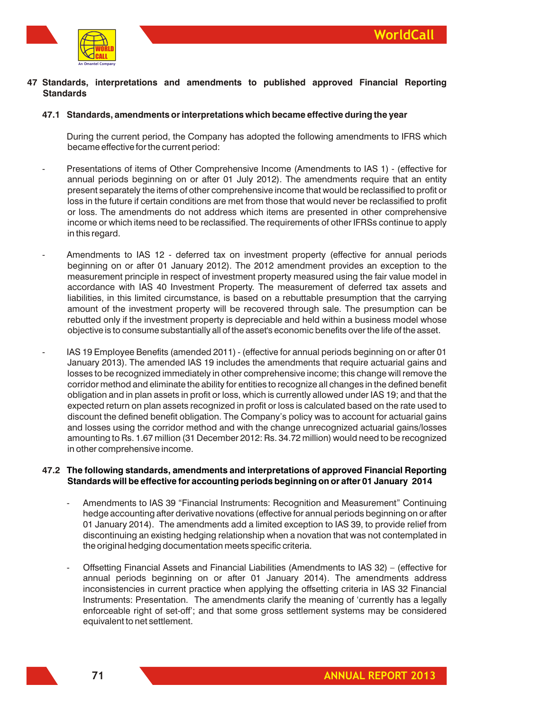

# **47 Standards, interpretations and amendments to published approved Financial Reporting Standards**

#### **47.1 Standards, amendments or interpretations which became effective during the year**

During the current period, the Company has adopted the following amendments to IFRS which became effective for the current period:

- Presentations of items of Other Comprehensive Income (Amendments to IAS 1) (effective for annual periods beginning on or after 01 July 2012). The amendments require that an entity present separately the items of other comprehensive income that would be reclassified to profit or loss in the future if certain conditions are met from those that would never be reclassified to profit or loss. The amendments do not address which items are presented in other comprehensive income or which items need to be reclassified. The requirements of other IFRSs continue to apply in this regard.
- Amendments to IAS 12 deferred tax on investment property (effective for annual periods beginning on or after 01 January 2012). The 2012 amendment provides an exception to the measurement principle in respect of investment property measured using the fair value model in accordance with IAS 40 Investment Property. The measurement of deferred tax assets and liabilities, in this limited circumstance, is based on a rebuttable presumption that the carrying amount of the investment property will be recovered through sale. The presumption can be rebutted only if the investment property is depreciable and held within a business model whose objective is to consume substantially all of the asset's economic benefits over the life of the asset.
- IAS 19 Employee Benefits (amended 2011) (effective for annual periods beginning on or after 01 January 2013). The amended IAS 19 includes the amendments that require actuarial gains and losses to be recognized immediately in other comprehensive income; this change will remove the corridor method and eliminate the ability for entities to recognize all changes in the defined benefit obligation and in plan assets in profit or loss, which is currently allowed under IAS 19; and that the expected return on plan assets recognized in profit or loss is calculated based on the rate used to discount the defined benefit obligation. The Company's policy was to account for actuarial gains and losses using the corridor method and with the change unrecognized actuarial gains/losses amounting to Rs. 1.67 million (31 December 2012: Rs. 34.72 million) would need to be recognized in other comprehensive income.

### **47.2 The following standards, amendments and interpretations of approved Financial Reporting Standards will be effective for accounting periods beginning on or after 01 January 2014**

- Amendments to IAS 39 "Financial Instruments: Recognition and Measurement" Continuing hedge accounting after derivative novations (effective for annual periods beginning on or after 01 January 2014). The amendments add a limited exception to IAS 39, to provide relief from discontinuing an existing hedging relationship when a novation that was not contemplated in the original hedging documentation meets specific criteria.
- Offsetting Financial Assets and Financial Liabilities (Amendments to IAS 32) (effective for annual periods beginning on or after 01 January 2014). The amendments address inconsistencies in current practice when applying the offsetting criteria in IAS 32 Financial Instruments: Presentation. The amendments clarify the meaning of 'currently has a legally enforceable right of set-off'; and that some gross settlement systems may be considered equivalent to net settlement.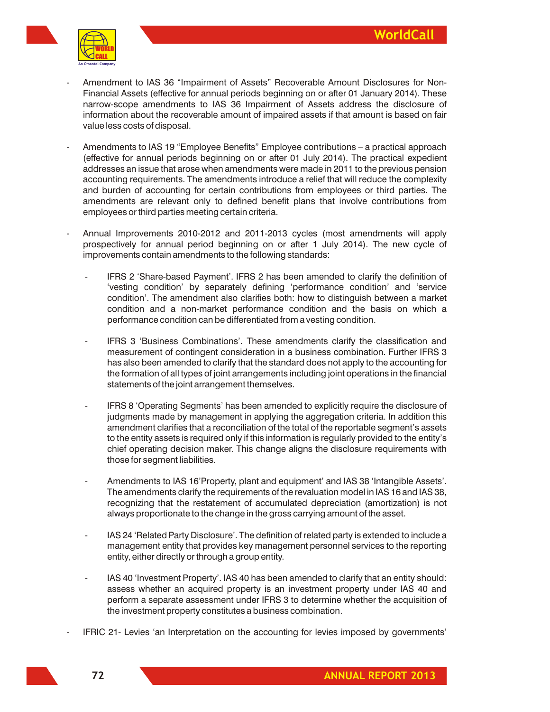

- Amendment to IAS 36 "Impairment of Assets" Recoverable Amount Disclosures for Non-Financial Assets (effective for annual periods beginning on or after 01 January 2014). These narrow-scope amendments to IAS 36 Impairment of Assets address the disclosure of information about the recoverable amount of impaired assets if that amount is based on fair value less costs of disposal.
- Amendments to IAS 19 "Employee Benefits" Employee contributions a practical approach (effective for annual periods beginning on or after 01 July 2014). The practical expedient addresses an issue that arose when amendments were made in 2011 to the previous pension accounting requirements. The amendments introduce a relief that will reduce the complexity and burden of accounting for certain contributions from employees or third parties. The amendments are relevant only to defined benefit plans that involve contributions from employees or third parties meeting certain criteria.
- Annual Improvements 2010-2012 and 2011-2013 cycles (most amendments will apply prospectively for annual period beginning on or after 1 July 2014). The new cycle of improvements contain amendments to the following standards:
	- IFRS 2 'Share-based Payment'. IFRS 2 has been amended to clarify the definition of 'vesting condition' by separately defining 'performance condition' and 'service condition'. The amendment also clarifies both: how to distinguish between a market condition and a non-market performance condition and the basis on which a performance condition can be differentiated from a vesting condition.
	- IFRS 3 'Business Combinations'. These amendments clarify the classification and measurement of contingent consideration in a business combination. Further IFRS 3 has also been amended to clarify that the standard does not apply to the accounting for the formation of all types of joint arrangements including joint operations in the financial statements of the joint arrangement themselves.
	- IFRS 8 'Operating Segments' has been amended to explicitly require the disclosure of judgments made by management in applying the aggregation criteria. In addition this amendment clarifies that a reconciliation of the total of the reportable segment's assets to the entity assets is required only if this information is regularly provided to the entity's chief operating decision maker. This change aligns the disclosure requirements with those for segment liabilities.
	- Amendments to IAS 16'Property, plant and equipment' and IAS 38 'Intangible Assets'. The amendments clarify the requirements of the revaluation model in IAS 16 and IAS 38, recognizing that the restatement of accumulated depreciation (amortization) is not always proportionate to the change in the gross carrying amount of the asset.
	- IAS 24 'Related Party Disclosure'. The definition of related party is extended to include a management entity that provides key management personnel services to the reporting entity, either directly or through a group entity.
	- IAS 40 'Investment Property'. IAS 40 has been amended to clarify that an entity should: assess whether an acquired property is an investment property under IAS 40 and perform a separate assessment under IFRS 3 to determine whether the acquisition of the investment property constitutes a business combination.
- IFRIC 21- Levies 'an Interpretation on the accounting for levies imposed by governments'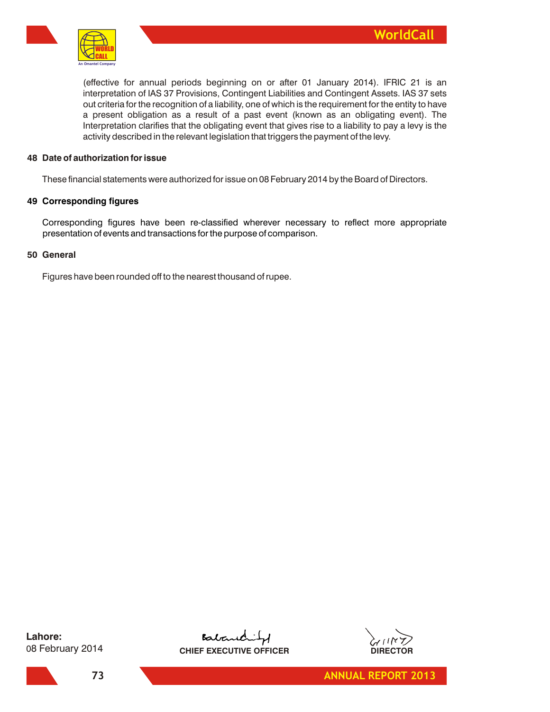

(effective for annual periods beginning on or after 01 January 2014). IFRIC 21 is an interpretation of IAS 37 Provisions, Contingent Liabilities and Contingent Assets. IAS 37 sets out criteria for the recognition of a liability, one of which is the requirement for the entity to have a present obligation as a result of a past event (known as an obligating event). The Interpretation clarifies that the obligating event that gives rise to a liability to pay a levy is the activity described in the relevant legislation that triggers the payment of the levy.

## **48 Date of authorization for issue**

These financial statements were authorized for issue on 08 February 2014 by the Board of Directors.

### **49 Corresponding figures**

Corresponding figures have been re-classified wherever necessary to reflect more appropriate presentation of events and transactions for the purpose of comparison.

## **50 General**

Figures have been rounded off to the nearest thousand of rupee.

**Lahore:** 08 February 2014





**ANNUAL REPORT 2013**

**73**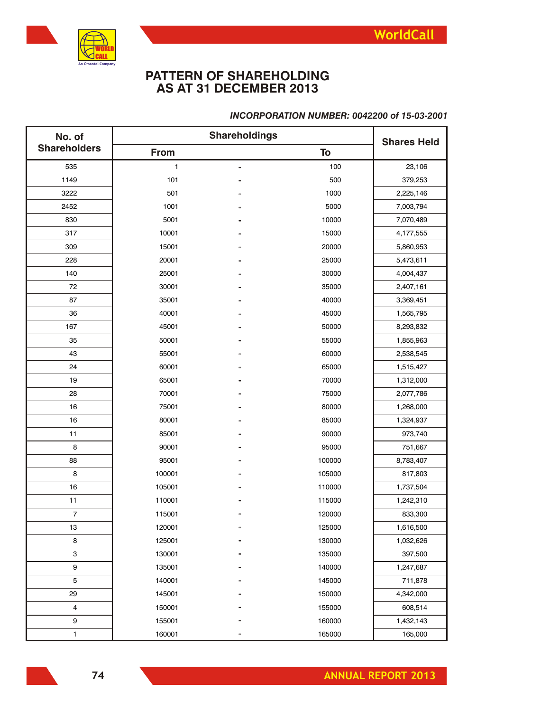

**74**

## **PATTERN OF SHAREHOLDING AS AT 31 DECEMBER 2013**

#### **No. of Shareholders Shareholdings From To Shares Held - - - - - - - - - - - - - - - - - - - - - - - - - - - - - - - - - - - -** 535 1149 3222 2452 830 317 309 228 140 72 87 36 167 35 43 24 19 28 16 16 11 8 88 8 16 11 7 13 8 3 9 5 29 4 9 1 1 101 501 1001 5001 10001 15001 20001 25001 30001 35001 40001 45001 50001 55001 60001 65001 70001 75001 80001 85001 90001 95001 100001 105001 110001 115001 120001 125001 130001 135001 140001 145001 150001 155001 160001 100 500 1000 5000 10000 15000 20000 25000 30000 35000 40000 45000 50000 55000 60000 65000 70000 75000 80000 85000 90000 95000 100000 105000 110000 115000 120000 125000 130000 135000 140000 145000 150000 155000 160000 165000 23,106 379,253 2,225,146 7,003,794 7,070,489 4,177,555 5,860,953 5,473,611 4,004,437 2,407,161 3,369,451 1,565,795 8,293,832 1,855,963 2,538,545 1,515,427 1,312,000 2,077,786 1,268,000 1,324,937 973,740 751,667 8,783,407 817,803 1,737,504 1,242,310 833,300 1,616,500 1,032,626 397,500 1,247,687 711,878 4,342,000 608,514 1,432,143 165,000

#### *INCORPORATION NUMBER: 0042200 of 15-03-2001*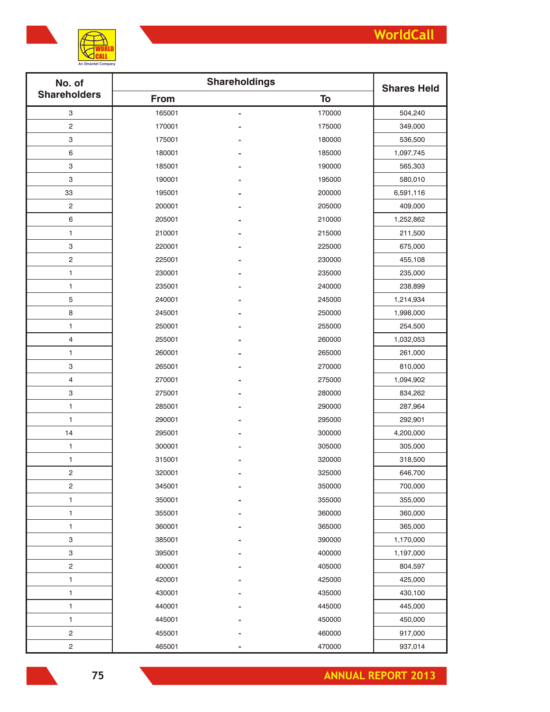

| No. of                    |             | <b>Shareholdings</b> |        | <b>Shares Held</b> |
|---------------------------|-------------|----------------------|--------|--------------------|
| <b>Shareholders</b>       | <b>From</b> |                      | To     |                    |
| 3                         | 165001      |                      | 170000 | 504,240            |
| 2                         | 170001      |                      | 175000 | 349,000            |
| 3                         | 175001      |                      | 180000 | 536,500            |
| 6                         | 180001      |                      | 185000 | 1,097,745          |
| 3                         | 185001      |                      | 190000 | 565,303            |
| 3                         | 190001      |                      | 195000 | 580,010            |
| 33                        | 195001      |                      | 200000 | 6,591,116          |
| 2                         | 200001      |                      | 205000 | 409,000            |
| 6                         | 205001      |                      | 210000 | 1,252,862          |
| 1                         | 210001      |                      | 215000 | 211,500            |
| 3                         | 220001      |                      | 225000 | 675,000            |
| 2                         | 225001      |                      | 230000 | 455,108            |
| 1                         | 230001      |                      | 235000 | 235,000            |
| 1                         | 235001      |                      | 240000 | 238,899            |
| 5                         | 240001      |                      | 245000 | 1,214,934          |
| 8                         | 245001      |                      | 250000 | 1,998,000          |
| 1                         | 250001      |                      | 255000 | 254,500            |
| 4                         | 255001      |                      | 260000 | 1,032,053          |
| 1                         | 260001      |                      | 265000 | 261,000            |
| 3                         | 265001      |                      | 270000 | 810,000            |
| 4                         | 270001      |                      | 275000 | 1,094,902          |
| 3                         | 275001      |                      | 280000 | 834,262            |
| 1                         | 285001      |                      | 290000 | 287,964            |
| 1                         | 290001      |                      | 295000 | 292,901            |
| 14                        | 295001      |                      | 300000 | 4,200,000          |
| 1                         | 300001      |                      | 305000 | 305,000            |
| 1                         | 315001      |                      | 320000 | 318,500            |
| $\overline{2}$            | 320001      |                      | 325000 | 646,700            |
| 2                         | 345001      |                      | 350000 | 700,000            |
| 1                         | 350001      |                      | 355000 | 355,000            |
| 1                         | 355001      |                      | 360000 | 360,000            |
| 1                         | 360001      |                      | 365000 | 365,000            |
| 3                         | 385001      |                      | 390000 | 1,170,000          |
| $\ensuremath{\mathsf{3}}$ | 395001      |                      | 400000 | 1,197,000          |
| $\sqrt{2}$                | 400001      |                      | 405000 | 804,597            |
| 1                         | 420001      |                      | 425000 | 425,000            |
| 1                         | 430001      |                      | 435000 | 430,100            |
| 1                         | 440001      |                      | 445000 | 445,000            |
| 1                         | 445001      |                      | 450000 | 450,000            |
| $\mathbf 2$               | 455001      |                      | 460000 | 917,000            |
| $\mathbf 2$               | 465001      |                      | 470000 | 937,014            |

**75**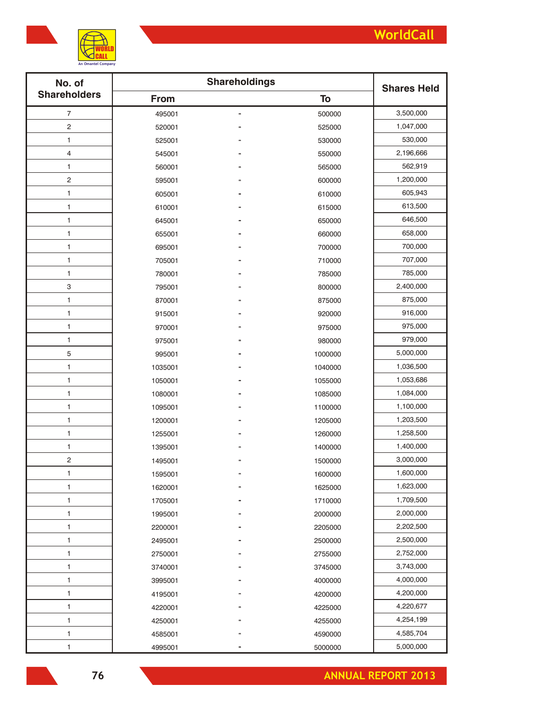

| No. of                  | <b>Shareholdings</b> | <b>Shares Held</b> |         |           |  |
|-------------------------|----------------------|--------------------|---------|-----------|--|
| <b>Shareholders</b>     | To<br><b>From</b>    |                    |         |           |  |
| 7                       | 495001               |                    | 500000  | 3,500,000 |  |
| $\overline{\mathbf{c}}$ | 520001               |                    | 525000  | 1,047,000 |  |
| 1                       | 525001               |                    | 530000  | 530,000   |  |
| 4                       | 545001               |                    | 550000  | 2,196,666 |  |
| 1                       | 560001               |                    | 565000  | 562,919   |  |
| $\overline{\mathbf{c}}$ | 595001               |                    | 600000  | 1,200,000 |  |
| 1                       | 605001               |                    | 610000  | 605,943   |  |
| 1                       | 610001               |                    | 615000  | 613,500   |  |
| 1                       | 645001               |                    | 650000  | 646,500   |  |
| 1                       | 655001               |                    | 660000  | 658,000   |  |
| 1                       | 695001               |                    | 700000  | 700,000   |  |
| 1                       | 705001               |                    | 710000  | 707,000   |  |
| 1                       | 780001               |                    | 785000  | 785,000   |  |
| 3                       | 795001               |                    | 800000  | 2,400,000 |  |
| 1                       | 870001               |                    | 875000  | 875,000   |  |
| 1                       | 915001               |                    | 920000  | 916,000   |  |
| 1                       | 970001               |                    | 975000  | 975,000   |  |
| 1                       | 975001               |                    | 980000  | 979,000   |  |
| 5                       | 995001               |                    | 1000000 | 5,000,000 |  |
| 1                       | 1035001              |                    | 1040000 | 1,036,500 |  |
| 1                       | 1050001              |                    | 1055000 | 1,053,686 |  |
| 1                       | 1080001              |                    | 1085000 | 1,084,000 |  |
| 1                       | 1095001              |                    | 1100000 | 1,100,000 |  |
| 1                       | 1200001              |                    | 1205000 | 1,203,500 |  |
| 1                       | 1255001              |                    | 1260000 | 1,258,500 |  |
| 1                       | 1395001              |                    | 1400000 | 1,400,000 |  |
| $\overline{\mathbf{c}}$ | 1495001              |                    | 1500000 | 3,000,000 |  |
| 1                       | 1595001              |                    | 1600000 | 1,600,000 |  |
| 1                       | 1620001              |                    | 1625000 | 1,623,000 |  |
| 1                       | 1705001              |                    | 1710000 | 1,709,500 |  |
| 1                       | 1995001              |                    | 2000000 | 2,000,000 |  |
| 1                       | 2200001              |                    | 2205000 | 2,202,500 |  |
| 1                       | 2495001              |                    | 2500000 | 2,500,000 |  |
| 1                       | 2750001              |                    | 2755000 | 2,752,000 |  |
| 1                       | 3740001              |                    | 3745000 | 3,743,000 |  |
| 1                       | 3995001              |                    | 4000000 | 4,000,000 |  |
| 1                       | 4195001              |                    | 4200000 | 4,200,000 |  |
| 1                       | 4220001              |                    | 4225000 | 4,220,677 |  |
| 1                       | 4250001              |                    | 4255000 | 4,254,199 |  |
| 1                       | 4585001              |                    | 4590000 | 4,585,704 |  |
| $\mathbf{1}$            | 4995001              |                    | 5000000 | 5,000,000 |  |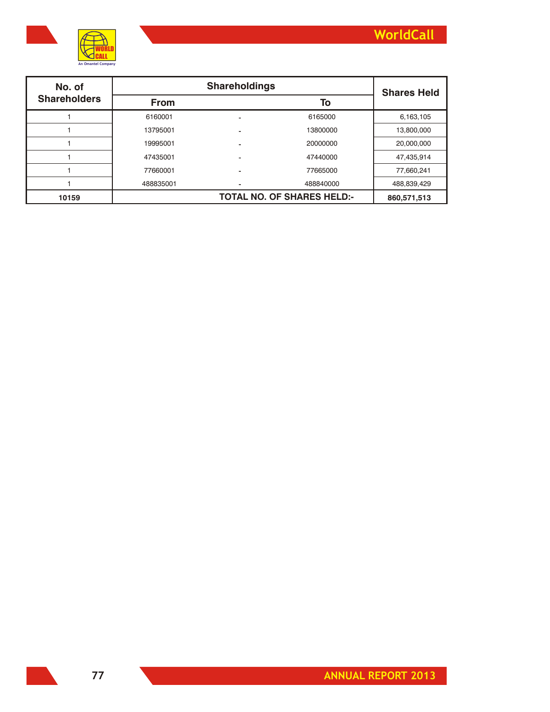

| No. of              |             | <b>Shares Held</b> |             |
|---------------------|-------------|--------------------|-------------|
| <b>Shareholders</b> | <b>From</b> | To                 |             |
|                     | 6160001     | 6165000            | 6,163,105   |
|                     | 13795001    | 13800000           | 13,800,000  |
|                     | 19995001    | 20000000           | 20,000,000  |
|                     | 47435001    | 47440000           | 47,435,914  |
|                     | 77660001    | 77665000           | 77,660,241  |
|                     | 488835001   | 488840000          | 488,839,429 |
| 10159               |             | 860,571,513        |             |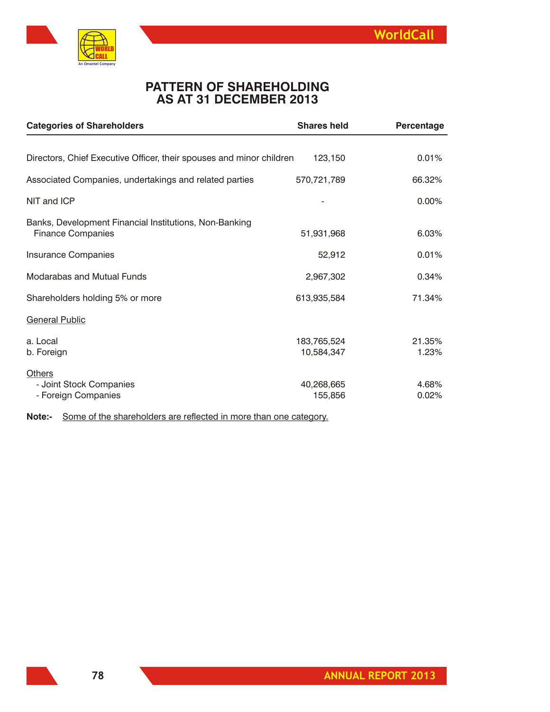

# **PATTERN OF SHAREHOLDING AS AT 31 DECEMBER 2013**

| <b>Categories of Shareholders</b>                                    | <b>Shares held</b> | Percentage |
|----------------------------------------------------------------------|--------------------|------------|
|                                                                      |                    |            |
| Directors, Chief Executive Officer, their spouses and minor children | 123,150            | 0.01%      |
| Associated Companies, undertakings and related parties               | 570,721,789        | 66.32%     |
| NIT and ICP                                                          |                    | $0.00\%$   |
| Banks, Development Financial Institutions, Non-Banking               |                    |            |
| <b>Finance Companies</b>                                             | 51,931,968         | 6.03%      |
| <b>Insurance Companies</b>                                           | 52,912             | 0.01%      |
| Modarabas and Mutual Funds                                           | 2,967,302          | 0.34%      |
| Shareholders holding 5% or more                                      | 613,935,584        | 71.34%     |
| <b>General Public</b>                                                |                    |            |
| a. Local                                                             | 183,765,524        | 21.35%     |
| b. Foreign                                                           | 10,584,347         | 1.23%      |
| Others                                                               |                    |            |
| - Joint Stock Companies                                              | 40,268,665         | 4.68%      |
| - Foreign Companies                                                  | 155,856            | 0.02%      |

**Note:-** Some of the shareholders are reflected in more than one category.

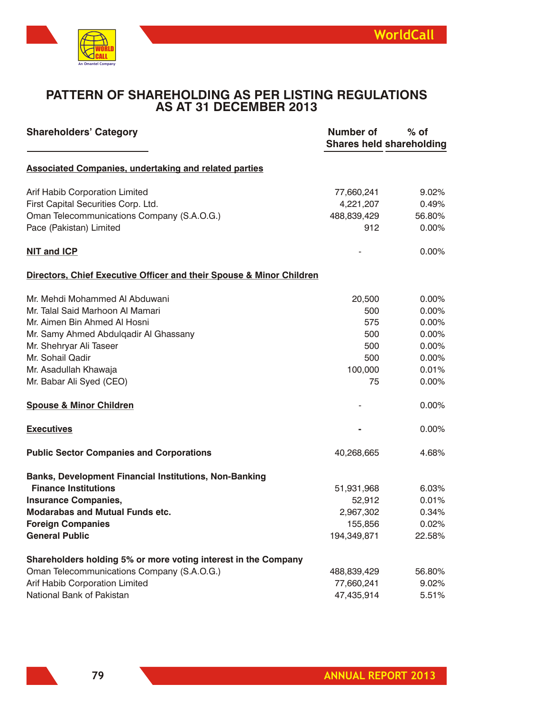

## **PATTERN OF SHAREHOLDING AS PER LISTING REGULATIONS AS AT 31 DECEMBER 2013**

| <b>Shareholders' Category</b>                                        | <b>Number of</b><br>$%$ of<br><b>Shares held shareholding</b> |        |  |
|----------------------------------------------------------------------|---------------------------------------------------------------|--------|--|
| <b>Associated Companies, undertaking and related parties</b>         |                                                               |        |  |
| Arif Habib Corporation Limited                                       | 77,660,241                                                    | 9.02%  |  |
| First Capital Securities Corp. Ltd.                                  | 4,221,207                                                     | 0.49%  |  |
| Oman Telecommunications Company (S.A.O.G.)                           | 488,839,429                                                   | 56.80% |  |
| Pace (Pakistan) Limited                                              | 912                                                           | 0.00%  |  |
| <b>NIT and ICP</b>                                                   |                                                               | 0.00%  |  |
| Directors, Chief Executive Officer and their Spouse & Minor Children |                                                               |        |  |
| Mr. Mehdi Mohammed Al Abduwani                                       | 20,500                                                        | 0.00%  |  |
| Mr. Talal Said Marhoon Al Mamari                                     | 500                                                           | 0.00%  |  |
| Mr. Aimen Bin Ahmed Al Hosni                                         | 575                                                           | 0.00%  |  |
| Mr. Samy Ahmed Abdulgadir Al Ghassany                                | 500                                                           | 0.00%  |  |
| Mr. Shehryar Ali Taseer                                              | 500                                                           | 0.00%  |  |
| Mr. Sohail Qadir                                                     | 500                                                           | 0.00%  |  |
| Mr. Asadullah Khawaja                                                | 100,000                                                       | 0.01%  |  |
| Mr. Babar Ali Syed (CEO)                                             | 75                                                            | 0.00%  |  |
| <b>Spouse &amp; Minor Children</b>                                   |                                                               | 0.00%  |  |
| <b>Executives</b>                                                    |                                                               | 0.00%  |  |
| <b>Public Sector Companies and Corporations</b>                      | 40,268,665                                                    | 4.68%  |  |
| <b>Banks, Development Financial Institutions, Non-Banking</b>        |                                                               |        |  |
| <b>Finance Institutions</b>                                          | 51,931,968                                                    | 6.03%  |  |
| <b>Insurance Companies,</b>                                          | 52,912                                                        | 0.01%  |  |
| <b>Modarabas and Mutual Funds etc.</b>                               | 2,967,302                                                     | 0.34%  |  |
| <b>Foreign Companies</b>                                             | 155,856                                                       | 0.02%  |  |
| <b>General Public</b>                                                | 194,349,871                                                   | 22.58% |  |
| Shareholders holding 5% or more voting interest in the Company       |                                                               |        |  |
| Oman Telecommunications Company (S.A.O.G.)                           | 488,839,429                                                   | 56.80% |  |
| Arif Habib Corporation Limited                                       | 77,660,241                                                    | 9.02%  |  |
| National Bank of Pakistan                                            | 47,435,914                                                    | 5.51%  |  |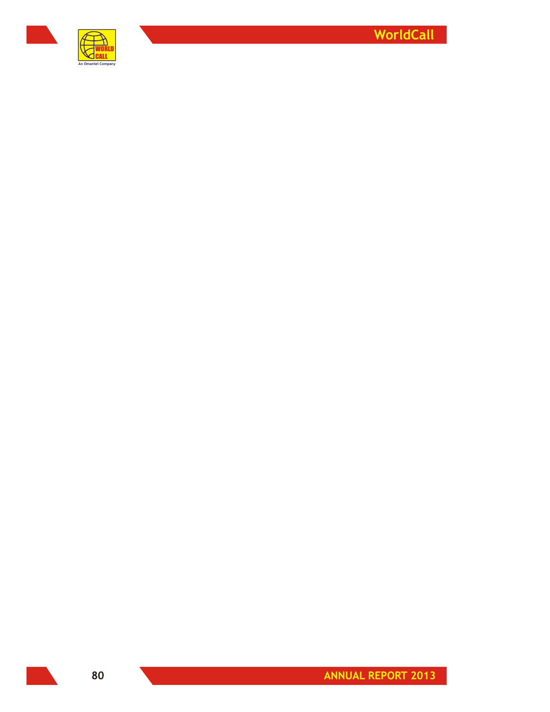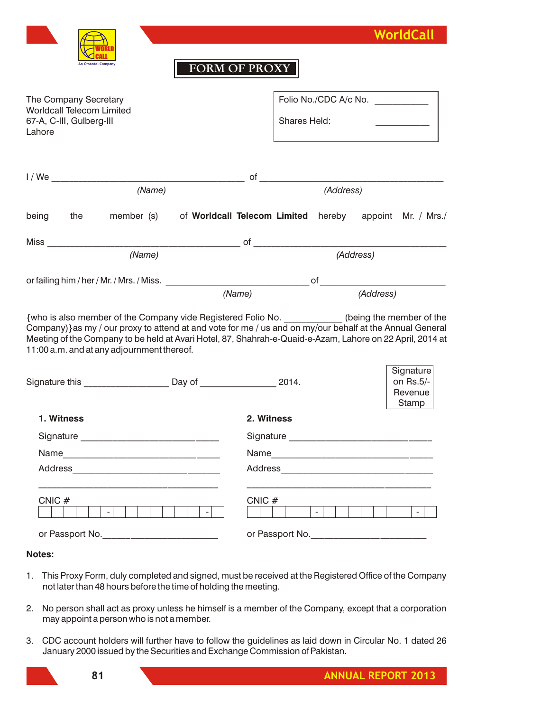

# **WorldCall**

## **FORM OF PROXY**

| The Company Secretary<br>Worldcall Telecom Limited<br>67-A, C-III, Gulberg-III<br>Lahore |            |                                                                                                                                                                                                                                                                                                                                                                            |                                                                    | Shares Held: |  | Folio No./CDC A/c No. __________ |           |                               |
|------------------------------------------------------------------------------------------|------------|----------------------------------------------------------------------------------------------------------------------------------------------------------------------------------------------------------------------------------------------------------------------------------------------------------------------------------------------------------------------------|--------------------------------------------------------------------|--------------|--|----------------------------------|-----------|-------------------------------|
|                                                                                          |            |                                                                                                                                                                                                                                                                                                                                                                            |                                                                    |              |  |                                  |           |                               |
|                                                                                          |            | (Name)                                                                                                                                                                                                                                                                                                                                                                     |                                                                    | (Address)    |  |                                  |           |                               |
| being                                                                                    | the        |                                                                                                                                                                                                                                                                                                                                                                            | member (s) of Worldcall Telecom Limited hereby appoint Mr. / Mrs./ |              |  |                                  |           |                               |
|                                                                                          |            |                                                                                                                                                                                                                                                                                                                                                                            |                                                                    |              |  |                                  |           |                               |
|                                                                                          |            | (Name)                                                                                                                                                                                                                                                                                                                                                                     |                                                                    |              |  |                                  | (Address) |                               |
|                                                                                          |            |                                                                                                                                                                                                                                                                                                                                                                            |                                                                    |              |  |                                  |           |                               |
|                                                                                          |            |                                                                                                                                                                                                                                                                                                                                                                            | (Name)                                                             |              |  | (Address)                        |           |                               |
|                                                                                          |            | {who is also member of the Company vide Registered Folio No. ____________ (being the member of the<br>Company) } as my / our proxy to attend at and vote for me / us and on my/our behalf at the Annual General<br>Meeting of the Company to be held at Avari Hotel, 87, Shahrah-e-Quaid-e-Azam, Lahore on 22 April, 2014 at<br>11:00 a.m. and at any adjournment thereof. |                                                                    |              |  |                                  |           | Signature                     |
|                                                                                          |            | Signature this Day of 2014.                                                                                                                                                                                                                                                                                                                                                |                                                                    |              |  |                                  |           | on Rs.5/-<br>Revenue<br>Stamp |
|                                                                                          | 1. Witness |                                                                                                                                                                                                                                                                                                                                                                            |                                                                    | 2. Witness   |  |                                  |           |                               |
|                                                                                          |            |                                                                                                                                                                                                                                                                                                                                                                            |                                                                    |              |  |                                  |           |                               |
|                                                                                          |            |                                                                                                                                                                                                                                                                                                                                                                            |                                                                    |              |  |                                  |           |                               |
|                                                                                          |            |                                                                                                                                                                                                                                                                                                                                                                            |                                                                    |              |  |                                  |           |                               |
| CNIC $#$                                                                                 |            | $\mathbb{Z}^2$<br>or Passport No.                                                                                                                                                                                                                                                                                                                                          |                                                                    | CNIC $#$     |  | $\mathbb{Z}^{\mathbb{Z}}$        |           | $-1$                          |
|                                                                                          |            |                                                                                                                                                                                                                                                                                                                                                                            |                                                                    |              |  |                                  |           |                               |

## **Notes:**

- 1. This Proxy Form, duly completed and signed, must be received at the Registered Office of the Company not later than 48 hours before the time of holding the meeting.
- 2. No person shall act as proxy unless he himself is a member of the Company, except that a corporation may appoint a person who is not a member.
- 3. CDC account holders will further have to follow the guidelines as laid down in Circular No. 1 dated 26 January 2000 issued by the Securities and Exchange Commission of Pakistan.